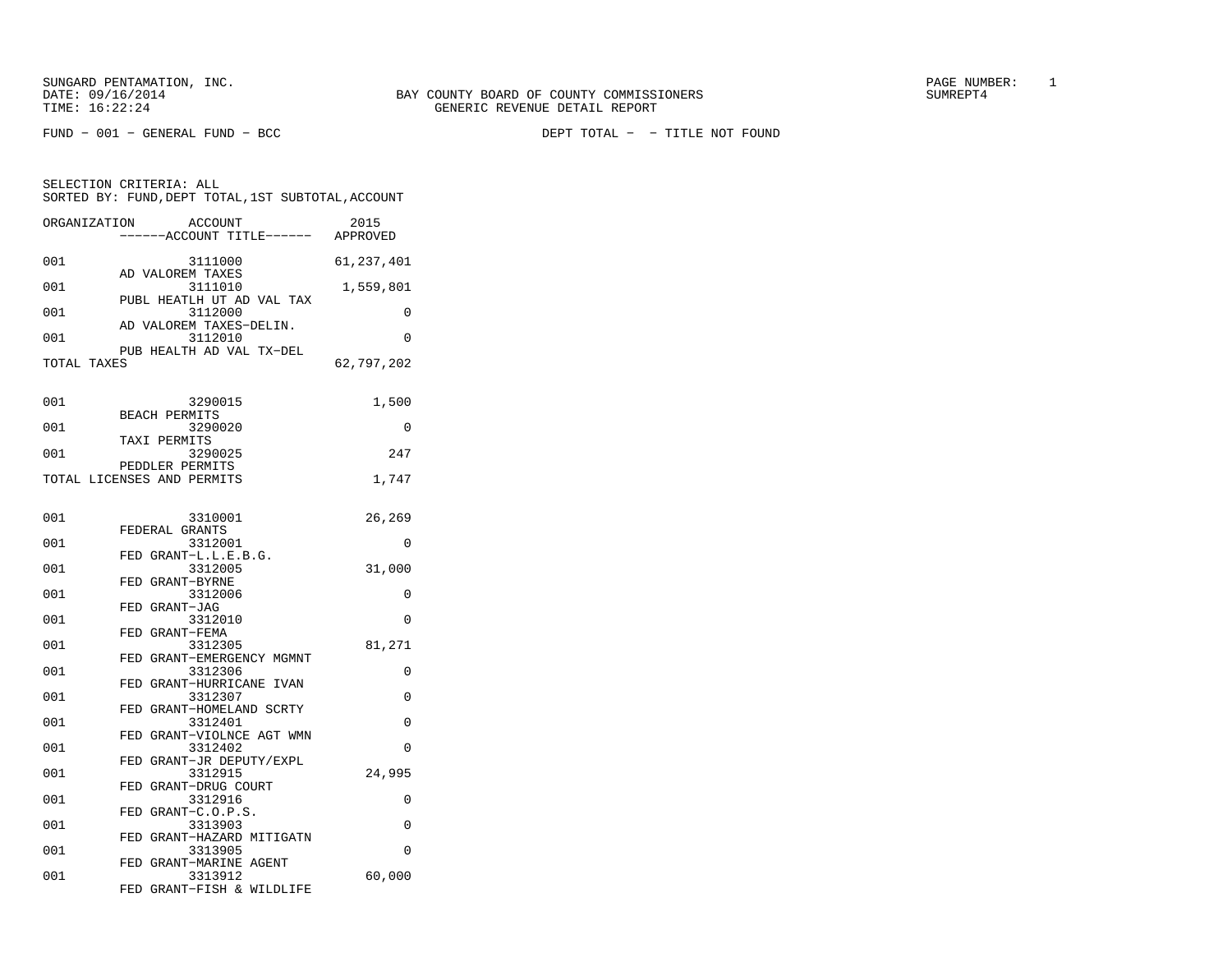FUND − 001 − GENERAL FUND − BCC DEPT TOTAL − − TITLE NOT FOUND

| SELECTION CRITERIA: ALL |                                                    |      |
|-------------------------|----------------------------------------------------|------|
|                         | SORTED BY: FUND, DEPT TOTAL, 1ST SUBTOTAL, ACCOUNT |      |
|                         |                                                    |      |
| ORCANTZATION            | <b>ACCOLINT</b>                                    | 2015 |

| ORGHNI TURI | <b>ACCOONI</b><br>-----ACCOUNT TITLE------ APPROVED | ⊿∪⊥⊃       |
|-------------|-----------------------------------------------------|------------|
| 001         | 3111000                                             | 61,237,401 |
| 001         | AD VALOREM TAXES<br>3111010                         | 1,559,801  |
| 001         | PUBL HEATLH UT AD VAL TAX<br>3112000                | 0          |
| 001         | AD VALOREM TAXES-DELIN.<br>3112010                  | 0          |
|             | PUB HEALTH AD VAL TX-DEL                            |            |
| TOTAL TAXES |                                                     | 62,797,202 |
| 001         | 3290015                                             | 1,500      |
|             | <b>BEACH PERMITS</b>                                |            |
| 001         | 3290020<br>TAXI PERMITS                             | 0          |
| 001         | 3290025                                             | 247        |
|             | PEDDLER PERMITS                                     |            |
|             | TOTAL LICENSES AND PERMITS                          | 1,747      |
| 001         | 3310001                                             | 26,269     |
| 001         | FEDERAL GRANTS<br>3312001                           | 0          |
| 001         | FED GRANT-L.L.E.B.G.<br>3312005                     | 31,000     |
| 001         | FED GRANT-BYRNE                                     | 0          |
|             | 3312006<br>FED GRANT-JAG                            |            |
| 001         | 3312010                                             | 0          |
| 001         | FED GRANT-FEMA<br>3312305                           | 81,271     |
|             | FED GRANT-EMERGENCY MGMNT                           |            |
| 001         | 3312306<br>FED GRANT-HURRICANE IVAN                 | 0          |
| 001         | 3312307                                             | 0          |
| 001         | FED GRANT-HOMELAND SCRTY<br>3312401                 | 0          |
| 001         | FED GRANT-VIOLNCE AGT WMN<br>3312402                | 0          |
|             | FED GRANT-JR DEPUTY/EXPL                            |            |
| 001         | 3312915<br>FED GRANT-DRUG COURT                     | 24,995     |
| 001         | 3312916                                             | 0          |
| 001         | FED GRANT-C.O.P.S.<br>3313903                       | 0          |
|             | FED GRANT-HAZARD MITIGATN                           |            |
| 001         | 3313905<br>FED GRANT-MARINE AGENT                   | $\Omega$   |
| 001         | 3313912                                             | 60,000     |
|             | FED GRANT-FISH & WILDLIFE                           |            |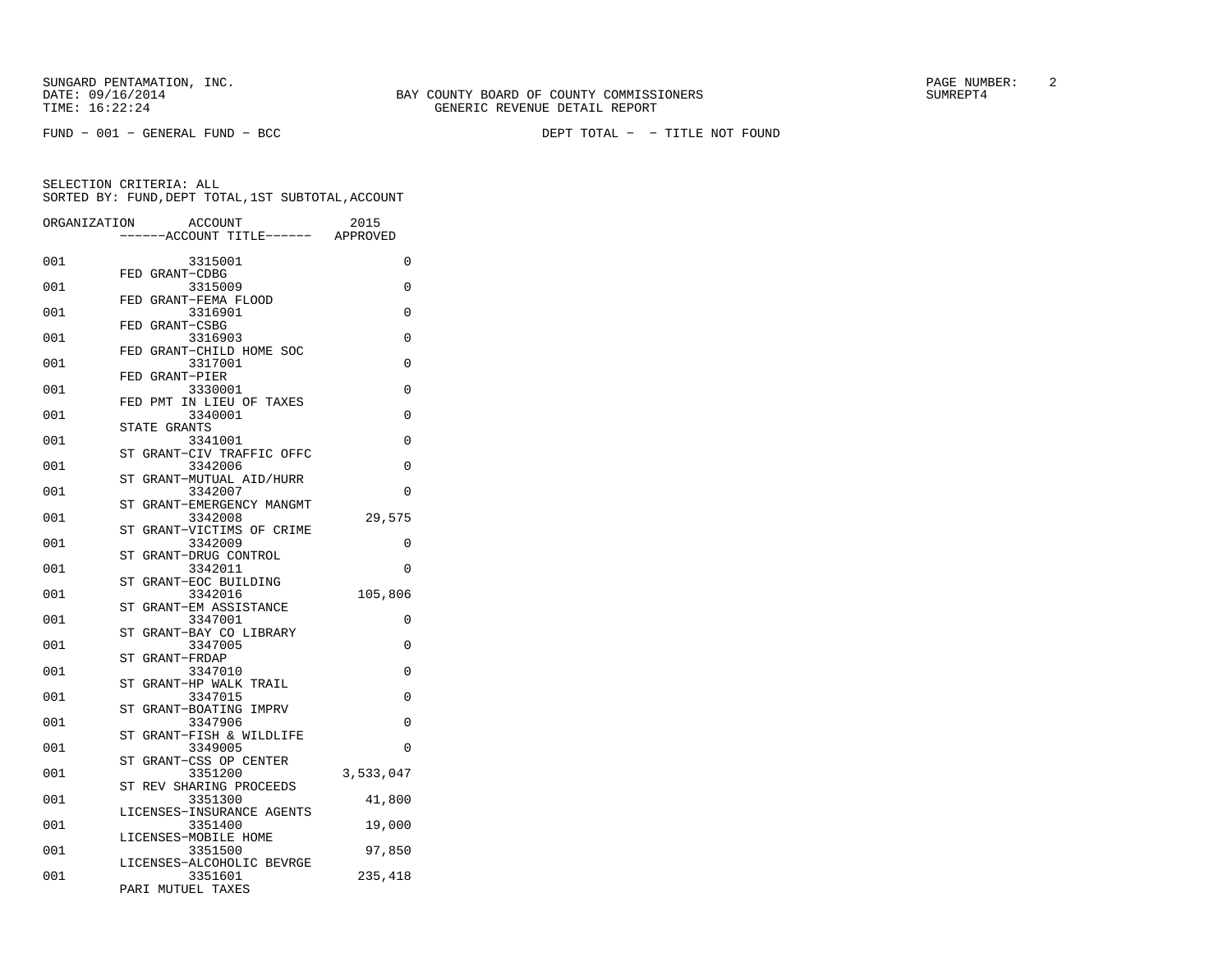| ORGANIZATION | ACCOUNT                                      | 2015      |
|--------------|----------------------------------------------|-----------|
|              | ---ACCOUNT TITLE------ APPROVED              |           |
| 001          | 3315001                                      | 0         |
| 001          | FED GRANT-CDBG<br>3315009                    | 0         |
| 001          | FED GRANT-FEMA FLOOD<br>3316901              | 0         |
| 001          | FED GRANT-CSBG<br>3316903                    | 0         |
| 001          | FED GRANT-CHILD HOME SOC<br>3317001          | $\Omega$  |
| 001          | FED GRANT-PIER<br>3330001                    | 0         |
| 001          | FED PMT IN LIEU OF TAXES<br>3340001          | 0         |
| 001          | STATE GRANTS<br>3341001                      | 0         |
| 001          | ST GRANT-CIV TRAFFIC OFFC<br>3342006         | 0         |
| 001          | GRANT-MUTUAL AID/HURR<br>ST<br>3342007       | $\Omega$  |
| 001          | GRANT-EMERGENCY MANGMT<br>SТ<br>3342008      | 29,575    |
|              | GRANT-VICTIMS OF CRIME<br>ST                 |           |
| 001          | 3342009<br>GRANT-DRUG CONTROL<br>ST          | 0         |
| 001          | 3342011<br>ST GRANT-EOC BUILDING             | 0         |
| 001          | 3342016<br>GRANT-EM ASSISTANCE<br>ST         | 105,806   |
| 001          | 3347001<br>GRANT-BAY CO LIBRARY<br><b>ST</b> | 0         |
| 001          | 3347005<br>ST<br>GRANT-FRDAP                 | $\Omega$  |
| 001          | 3347010<br>GRANT-HP WALK TRAIL<br>ST         | $\Omega$  |
| 001          | 3347015<br>ST GRANT-BOATING IMPRV            | $\Omega$  |
| 001          | 3347906<br>ST GRANT-FISH & WILDLIFE          | $\Omega$  |
| 001          | 3349005<br>GRANT-CSS OP CENTER<br>SТ         | 0         |
| 001          | 3351200                                      | 3,533,047 |
| 001          | ST REV SHARING PROCEEDS<br>3351300           | 41,800    |
| 001          | LICENSES-INSURANCE AGENTS<br>3351400         | 19,000    |
| 001          | LICENSES-MOBILE HOME<br>3351500              | 97,850    |
| 001          | LICENSES-ALCOHOLIC BEVRGE<br>3351601         | 235,418   |
|              | PARI MUTUEL TAXES                            |           |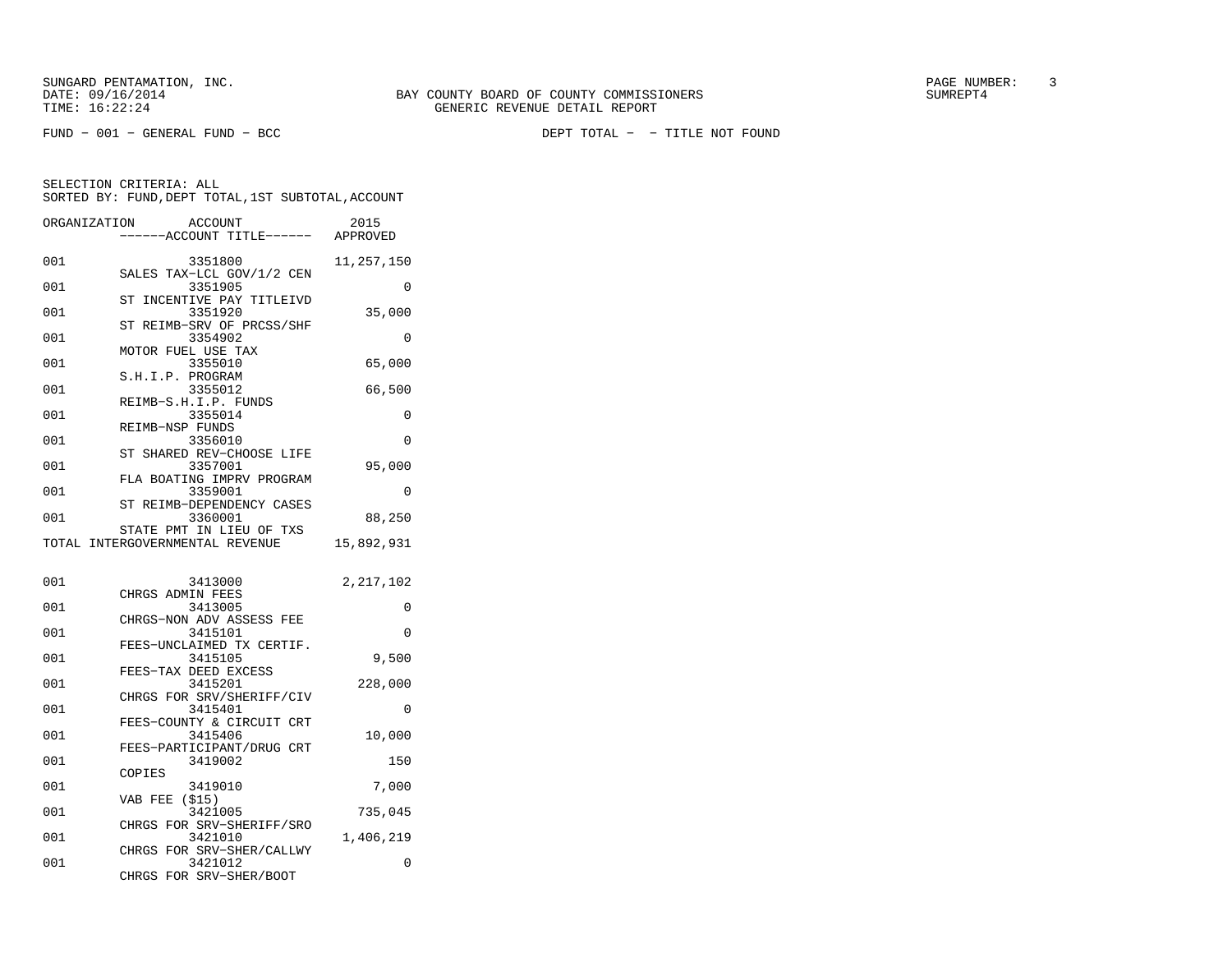FUND − 001 − GENERAL FUND − BCC DEPT TOTAL − − TITLE NOT FOUND

SELECTION CRITERIA: ALL

|              | SELECTION CRITERIA: ALL<br>SORTED BY: FUND, DEPT TOTAL, 1ST SUBTOTAL, ACCOUNT |                       |
|--------------|-------------------------------------------------------------------------------|-----------------------|
| ORGANIZATION | ACCOUNT<br>-----ACCOUNT TITLE------ APPROVED                                  | 2015                  |
| 001          | 3351800<br>SALES TAX-LCL GOV/1/2 CEN                                          | 11,257,150            |
| 001          | 3351905                                                                       | 0                     |
| 001          | INCENTIVE PAY TITLEIVD<br>SТ<br>3351920                                       | 35,000                |
| 001          | ST REIMB-SRV OF PRCSS/SHF<br>3354902                                          | $\Omega$              |
| 001          | MOTOR FUEL USE TAX<br>3355010                                                 | 65,000                |
| 001          | S.H.I.P. PROGRAM<br>3355012                                                   | 66,500                |
| 001          | REIMB-S.H.I.P. FUNDS<br>3355014                                               | 0                     |
| 001          | REIMB-NSP FUNDS<br>3356010                                                    | $\Omega$              |
| 001          | ST SHARED REV-CHOOSE LIFE<br>3357001                                          | 95,000                |
| 001          | FLA BOATING IMPRV PROGRAM<br>3359001                                          | $\Omega$              |
| 001          | ST REIMB-DEPENDENCY CASES<br>3360001                                          | 88,250                |
|              | STATE PMT IN LIEU OF TXS<br>TOTAL INTERGOVERNMENTAL REVENUE                   |                       |
|              |                                                                               | 15,892,931            |
| 001          | 3413000                                                                       | 2,217,102             |
| 001          | CHRGS ADMIN FEES<br>3413005                                                   | $\Omega$              |
| 001          | CHRGS-NON ADV ASSESS FEE<br>3415101                                           | $\Omega$              |
| 001          | FEES-UNCLAIMED TX CERTIF.<br>3415105                                          | 9,500                 |
| 001          | FEES-TAX DEED EXCESS<br>3415201                                               | 228,000               |
| 001          | CHRGS FOR SRV/SHERIFF/CIV<br>3415401                                          | $\Omega$              |
| 001          | FEES-COUNTY & CIRCUIT CRT<br>3415406                                          | 10,000                |
| 001          | FEES-PARTICIPANT/DRUG CRT<br>3419002                                          | 150                   |
| 001          | COPIES<br>3419010                                                             | 7,000                 |
| 001          | VAB FEE<br>( \$15)<br>3421005                                                 | 735,045               |
| 001          | CHRGS FOR SRV-SHERIFF/SRO<br>3421010                                          |                       |
| 001          | CHRGS FOR SRV-SHER/CALLWY<br>3421012                                          | 1,406,219<br>$\Omega$ |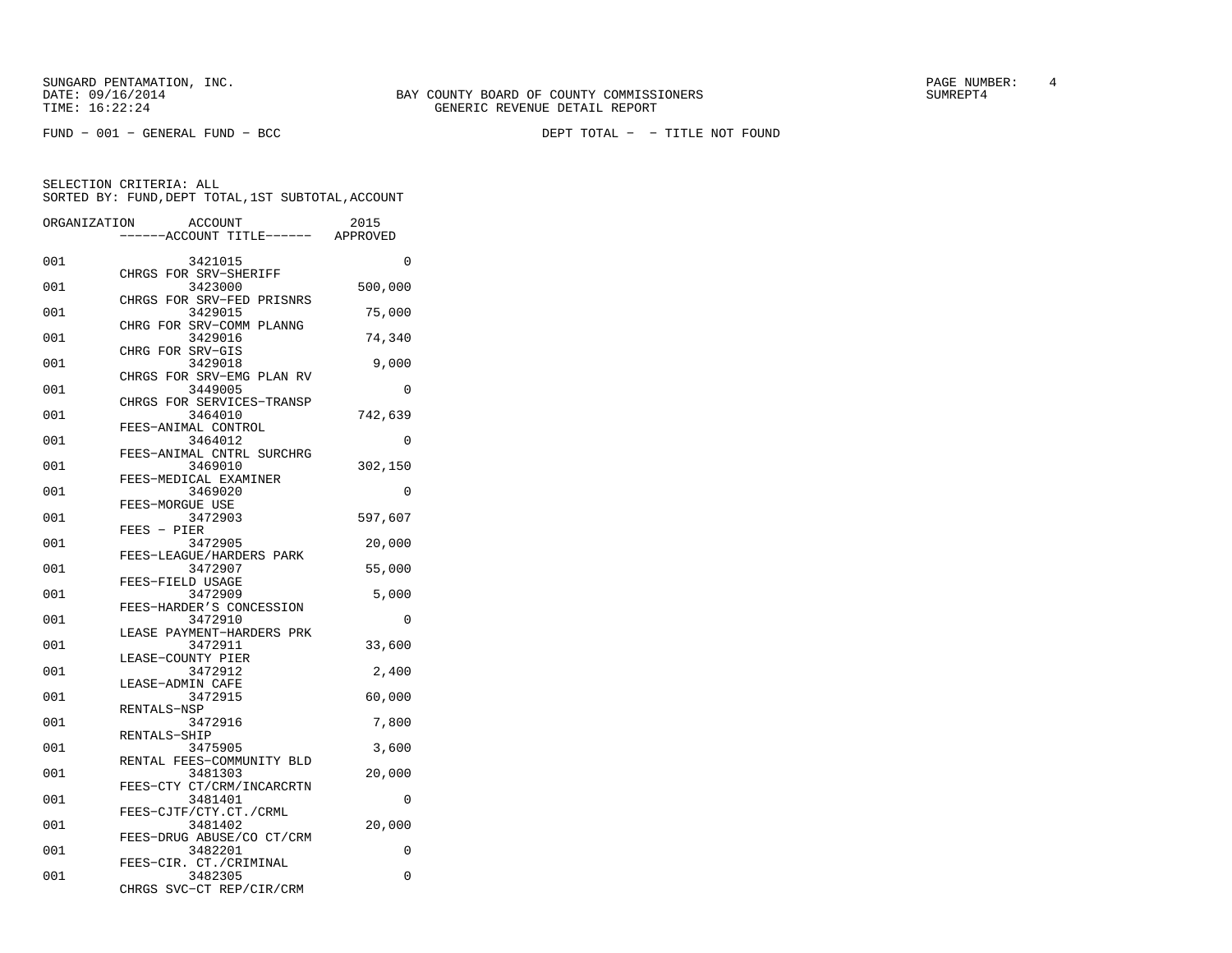SUNGARD PENTAMATION, INC.<br>
BAY COUNTY BOARD OF COUNTY COMMISSIONERS AND SUNREPT4 SUMREPT4

FUND − 001 − GENERAL FUND − BCC DEPT TOTAL − − TITLE NOT FOUND

| ORGANIZATION | <b>ACCOUNT</b>                          | 2015     |
|--------------|-----------------------------------------|----------|
|              | ----ACCOUNT TITLE------ APPROVED        |          |
| 001          | 3421015                                 | 0        |
| 001          | CHRGS FOR SRV-SHERIFF<br>3423000        | 500,000  |
| 001          | CHRGS FOR SRV-FED PRISNRS<br>3429015    | 75,000   |
| 001          | CHRG FOR SRV-COMM PLANNG<br>3429016     | 74,340   |
| 001          | CHRG FOR SRV-GIS<br>3429018             | 9,000    |
| 001          | CHRGS<br>FOR SRV-EMG PLAN RV<br>3449005 | 0        |
| 001          | CHRGS FOR SERVICES-TRANSP<br>3464010    | 742,639  |
| 001          | FEES-ANIMAL CONTROL<br>3464012          | $\Omega$ |
| 001          | FEES-ANIMAL CNTRL SURCHRG<br>3469010    | 302,150  |
| 001          | FEES-MEDICAL EXAMINER<br>3469020        | 0        |
| 001          | FEES-MORGUE USE<br>3472903              | 597,607  |
| 001          | $FEES - PIER$<br>3472905                | 20,000   |
| 001          | FEES-LEAGUE/HARDERS PARK<br>3472907     | 55,000   |
| 001          | FEES-FIELD USAGE<br>3472909             | 5,000    |
| 001          | FEES-HARDER'S CONCESSION<br>3472910     | 0        |
| 001          | LEASE PAYMENT-HARDERS PRK<br>3472911    | 33,600   |
| 001          | LEASE-COUNTY PIER<br>3472912            | 2,400    |
| 001          | LEASE-ADMIN CAFE<br>3472915             | 60,000   |
| 001          | RENTALS-NSP<br>3472916                  | 7,800    |
| 001          | RENTALS-SHIP<br>3475905                 | 3,600    |
| 001          | RENTAL FEES-COMMUNITY BLD<br>3481303    | 20,000   |
| 001          | FEES-CTY CT/CRM/INCARCRTN<br>3481401    | $\Omega$ |
| 001          | FEES-CJTF/CTY.CT./CRML                  |          |
|              | 3481402<br>FEES-DRUG ABUSE/CO CT/CRM    | 20,000   |
| 001          | 3482201<br>FEES-CIR. CT./CRIMINAL       | 0        |
| 001          | 3482305<br>CHRGS<br>SVC-CT REP/CIR/CRM  | 0        |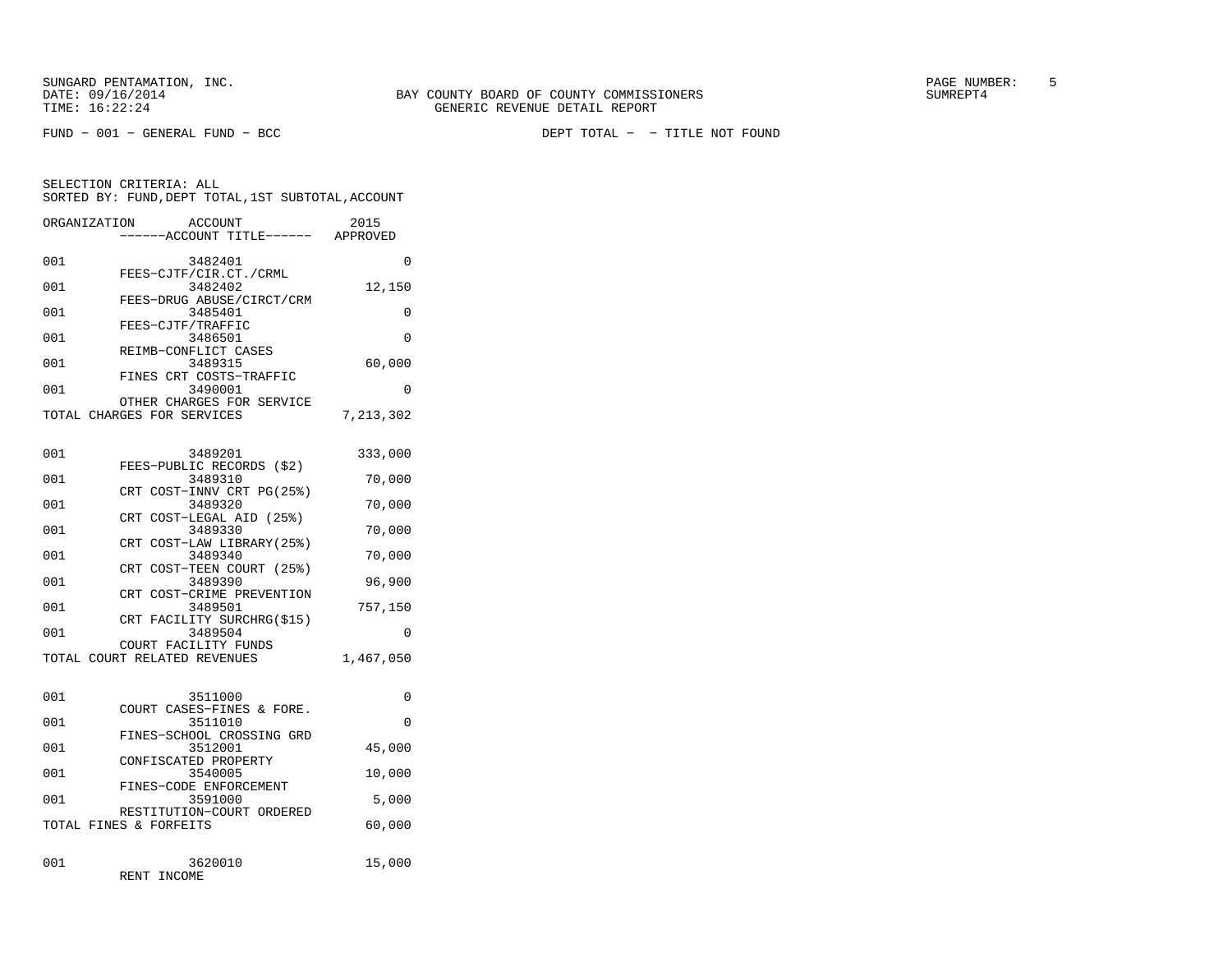SELECTION CRITERIA: ALL

FUND − 001 − GENERAL FUND − BCC DEPT TOTAL − − TITLE NOT FOUND

|      | ORGANIZATION<br>ACCOUNT<br>-----ACCOUNT TITLE------ APPROVED | 2015           |
|------|--------------------------------------------------------------|----------------|
| 001  | 3482401                                                      | $\Omega$       |
| 001  | FEES-CJTF/CIR.CT./CRML<br>3482402                            | 12,150         |
| 001  | FEES-DRUG ABUSE/CIRCT/CRM<br>3485401                         | $\Omega$       |
| 001  | FEES-CJTF/TRAFFIC<br>3486501                                 | $\Omega$       |
| 001  | REIMB-CONFLICT CASES<br>3489315                              | 60,000         |
| 001  | FINES CRT COSTS-TRAFFIC<br>3490001                           | $\Omega$       |
|      | OTHER CHARGES FOR SERVICE<br>TOTAL CHARGES FOR SERVICES      | 7,213,302      |
| 001  | 3489201                                                      | 333,000        |
| 001  | FEES-PUBLIC RECORDS (\$2)<br>3489310                         | 70,000         |
| 001  | CRT COST-INNV CRT PG(25%)<br>3489320                         | 70,000         |
| 001  | CRT COST-LEGAL AID (25%)<br>3489330                          | 70,000         |
| 001  | CRT COST-LAW LIBRARY (25%)<br>3489340                        | 70,000         |
| 0.01 | CRT COST-TEEN COURT (25%)                                    | 0 <sub>0</sub> |

SORTED BY: FUND,DEPT TOTAL,1ST SUBTOTAL,ACCOUNT

| 001 | 3489390                               | 96,900    |
|-----|---------------------------------------|-----------|
|     | CRT COST-CRIME PREVENTION             |           |
| 001 | 3489501                               | 757,150   |
| 001 | CRT FACILITY SURCHRG(\$15)<br>3489504 | 0         |
|     | COURT FACILITY FUNDS                  |           |
|     | TOTAL COURT RELATED REVENUES          | 1,467,050 |
|     |                                       |           |
| 001 | 3511000                               | 0         |
|     | COURT CASES-FINES & FORE.             |           |
| 001 | 3511010                               | $\Omega$  |
|     | FINES-SCHOOL CROSSING GRD             |           |
| 001 | 3512001                               | 45,000    |
|     | CONFISCATED PROPERTY                  |           |
| 001 | 3540005                               | 10,000    |
| 001 | FINES-CODE ENFORCEMENT<br>3591000     | 5,000     |
|     |                                       |           |

| -001 |  | 3591000                   | 5,000  |
|------|--|---------------------------|--------|
|      |  | RESTITUTION-COURT ORDERED |        |
|      |  | TOTAL FINES & FORFEITS    | 60,000 |

| 001 | 3620010     | 15,000 |
|-----|-------------|--------|
|     |             |        |
|     | RENT INCOME |        |
|     |             |        |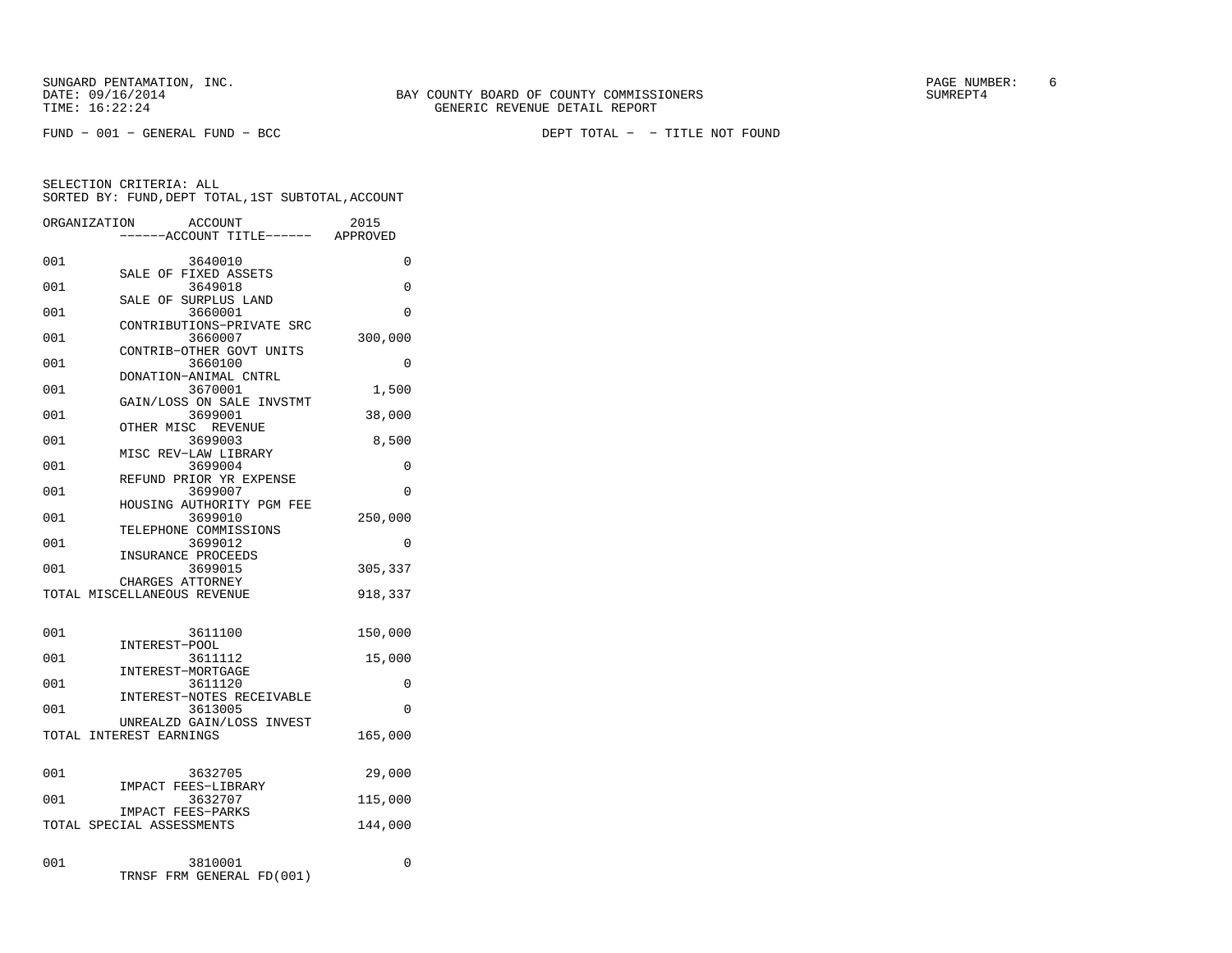FUND − 001 − GENERAL FUND − BCC DEPT TOTAL − − TITLE NOT FOUND

|     | ORGANIZATION<br><b>ACCOUNT</b><br>---ACCOUNT TITLE------ APPROVED | 2015     |
|-----|-------------------------------------------------------------------|----------|
| 001 | 3640010                                                           | 0        |
| 001 | SALE OF FIXED ASSETS<br>3649018                                   | $\Omega$ |
| 001 | SALE OF SURPLUS LAND<br>3660001                                   | 0        |
| 001 | CONTRIBUTIONS-PRIVATE SRC<br>3660007                              | 300,000  |
| 001 | CONTRIB-OTHER GOVT UNITS<br>3660100                               | 0        |
| 001 | DONATION-ANIMAL CNTRL<br>3670001                                  | 1,500    |
| 001 | GAIN/LOSS ON SALE INVSTMT<br>3699001                              | 38,000   |
| 001 | OTHER MISC REVENUE<br>3699003                                     | 8,500    |
| 001 | MISC REV-LAW LIBRARY                                              |          |
|     | 3699004<br>REFUND PRIOR YR EXPENSE                                | 0        |
| 001 | 3699007<br>HOUSING AUTHORITY PGM FEE                              | $\Omega$ |
| 001 | 3699010<br>TELEPHONE COMMISSIONS                                  | 250,000  |
| 001 | 3699012<br>INSURANCE PROCEEDS                                     | 0        |
| 001 | 3699015<br>CHARGES ATTORNEY                                       | 305,337  |
|     | TOTAL MISCELLANEOUS REVENUE                                       | 918,337  |
| 001 | 3611100                                                           | 150,000  |
| 001 | INTEREST-POOL<br>3611112                                          | 15,000   |
| 001 | INTEREST-MORTGAGE<br>3611120                                      | 0        |
| 001 | INTEREST-NOTES RECEIVABLE<br>3613005                              | $\Omega$ |
|     | UNREALZD GAIN/LOSS INVEST<br>TOTAL INTEREST EARNINGS              | 165,000  |
|     |                                                                   |          |
| 001 | 3632705<br>IMPACT FEES-LIBRARY                                    | 29,000   |
| 001 | 3632707                                                           | 115,000  |
|     | <b>IMPACT FEES-PARKS</b><br>TOTAL SPECIAL ASSESSMENTS             | 144,000  |
| 001 | 3810001<br>FRM GENERAL FD(001)<br>TRNSF                           | 0        |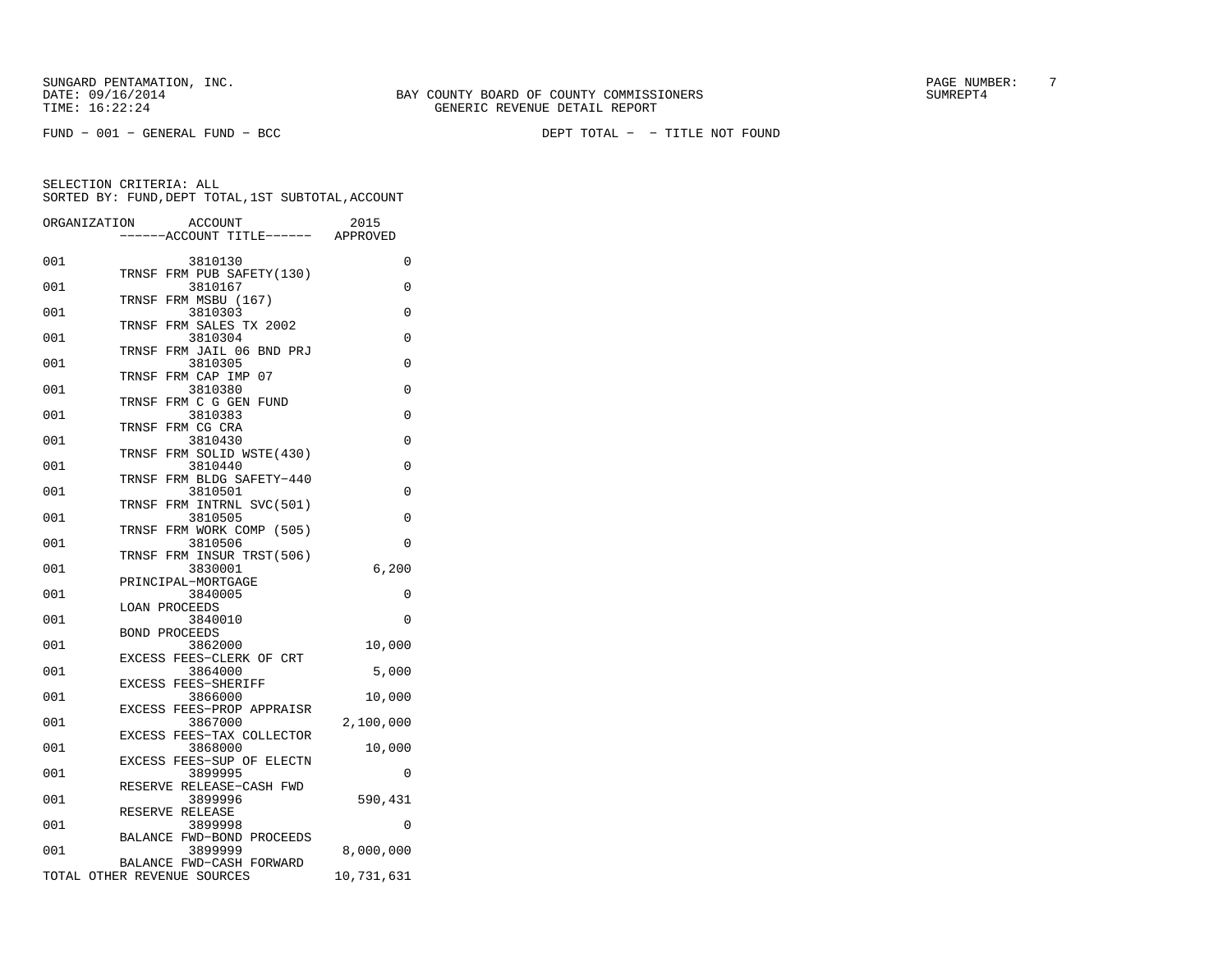FUND − 001 − GENERAL FUND − BCC DEPT TOTAL − − TITLE NOT FOUND

|     | ORGANIZATION | <b>ACCOUNT</b>                       | 2015       |
|-----|--------------|--------------------------------------|------------|
|     |              | ----ACCOUNT TITLE------ APPROVED     |            |
| 001 |              | 3810130                              | 0          |
|     |              | TRNSF FRM PUB SAFETY(130)            |            |
| 001 |              | 3810167<br>TRNSF FRM MSBU (167)      | $\Omega$   |
| 001 |              | 3810303                              | 0          |
|     | TRNSF        | FRM SALES TX 2002                    |            |
| 001 |              | 3810304                              | 0          |
| 001 | TRNSF        | FRM JAIL 06 BND PRJ<br>3810305       | 0          |
|     | TRNSF        | FRM CAP IMP 07                       |            |
| 001 |              | 3810380                              | 0          |
| 001 | TRNSF        | FRM C G GEN FUND<br>3810383          | $\Omega$   |
|     | TRNSF        | FRM CG CRA                           |            |
| 001 |              | 3810430                              | 0          |
|     |              | TRNSF FRM SOLID WSTE(430)            |            |
| 001 |              | 3810440                              | 0          |
|     |              | TRNSF FRM BLDG SAFETY-440            | $\Omega$   |
| 001 | TRNSF        | 3810501<br>FRM INTRNL SVC(501)       |            |
| 001 |              | 3810505                              | 0          |
|     |              | TRNSF FRM WORK COMP (505)            |            |
| 001 |              | 3810506                              | 0          |
|     | TRNSF        | FRM INSUR TRST(506)                  |            |
| 001 |              | 3830001<br>PRINCIPAL-MORTGAGE        | 6,200      |
| 001 |              | 3840005                              | 0          |
|     |              | <b>LOAN PROCEEDS</b>                 |            |
| 001 |              | 3840010                              | $\Omega$   |
|     |              | <b>BOND PROCEEDS</b>                 |            |
| 001 |              | 3862000<br>EXCESS FEES-CLERK OF CRT  | 10,000     |
| 001 |              | 3864000                              | 5,000      |
|     |              | EXCESS FEES-SHERIFF                  |            |
| 001 |              | 3866000                              | 10,000     |
|     |              | EXCESS FEES-PROP APPRAISR            |            |
| 001 |              | 3867000<br>EXCESS FEES-TAX COLLECTOR | 2,100,000  |
| 001 |              | 3868000                              | 10,000     |
|     |              | EXCESS FEES-SUP OF ELECTN            |            |
| 001 |              | 3899995                              | $\Omega$   |
| 001 |              | RESERVE RELEASE-CASH FWD<br>3899996  | 590,431    |
|     |              | RESERVE RELEASE                      |            |
| 001 |              | 3899998                              | $\Omega$   |
|     |              | BALANCE FWD-BOND PROCEEDS            |            |
| 001 |              | 3899999                              | 8,000,000  |
|     |              | BALANCE FWD-CASH FORWARD             |            |
|     |              | TOTAL OTHER REVENUE SOURCES          | 10,731,631 |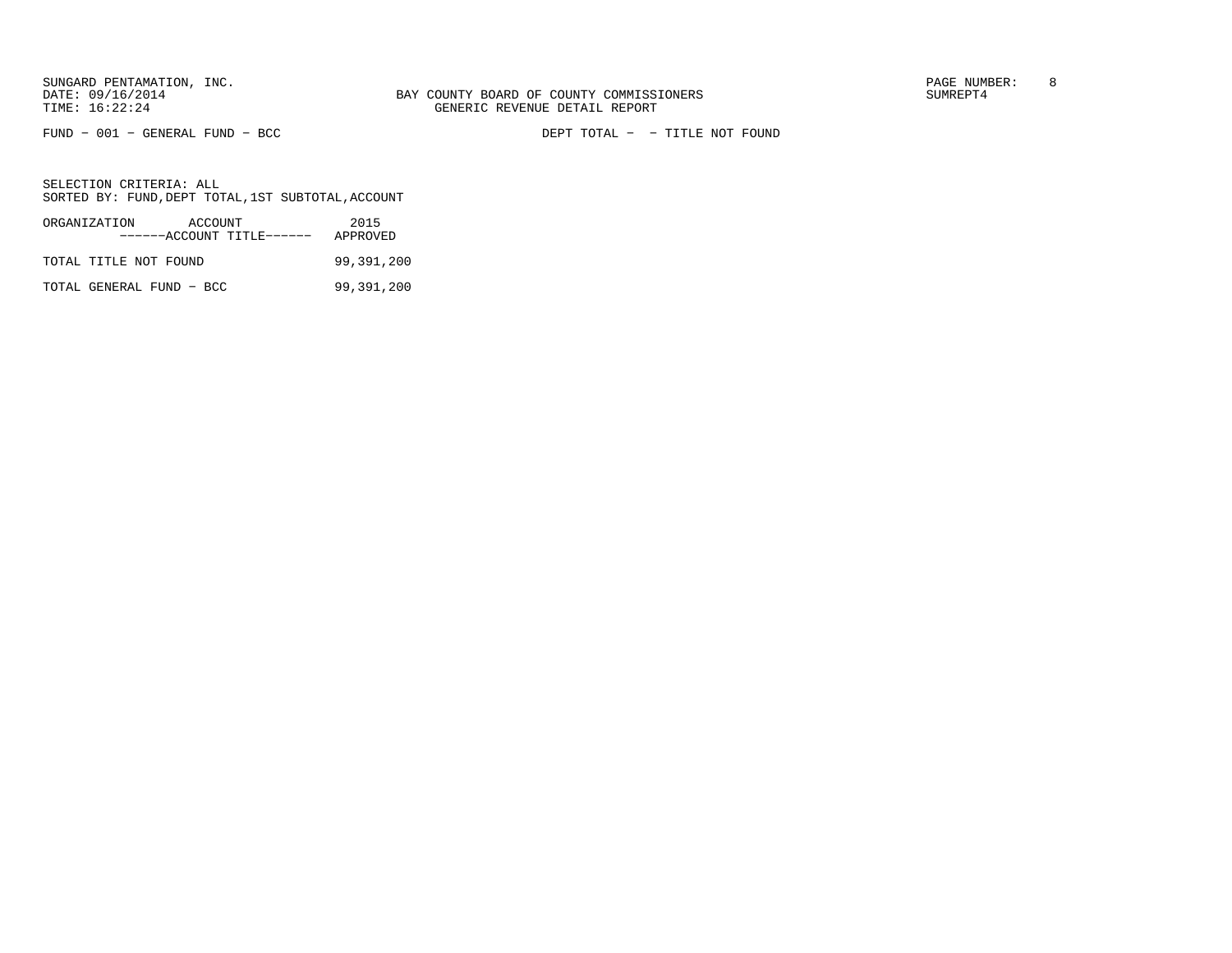FUND − 001 − GENERAL FUND − BCC DEPT TOTAL − − TITLE NOT FOUND

| ORGANIZATION             | ACCOUNT<br>------ACCOUNT TITLE------ | 2015<br>APPROVED |
|--------------------------|--------------------------------------|------------------|
| TOTAL TITLE NOT FOUND    |                                      | 99,391,200       |
| TOTAL GENERAL FUND - BCC |                                      | 99,391,200       |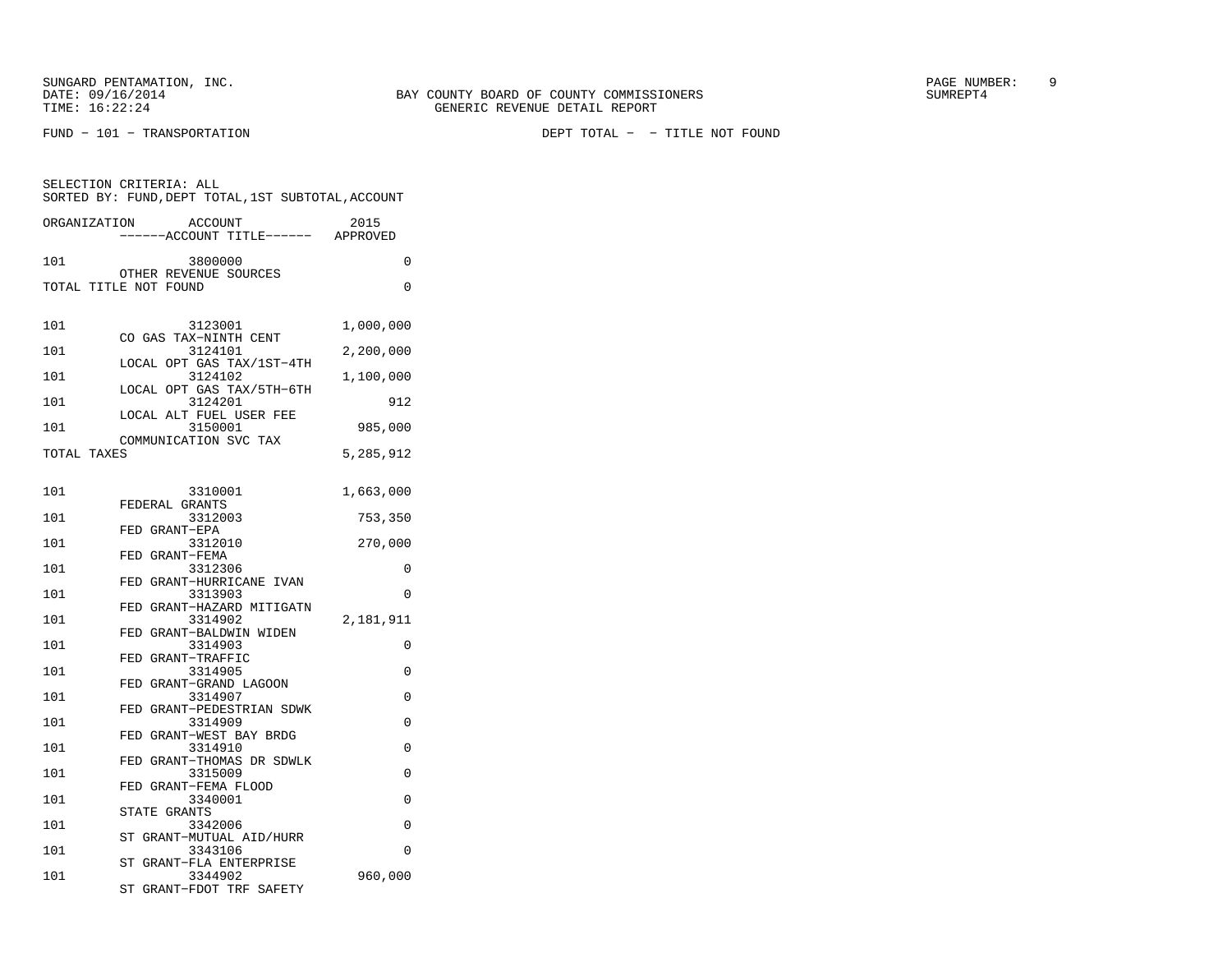FUND − 101 − TRANSPORTATION DEPT TOTAL − − TITLE NOT FOUND

| SELECTION CRITERIA: ALL<br>SORTED BY: FUND, DEPT TOTAL, 1ST SUBTOTAL, ACCOUNT |                                                                |           |  |
|-------------------------------------------------------------------------------|----------------------------------------------------------------|-----------|--|
| ORGANIZATION                                                                  | ACCOUNT<br>-----ACCOUNT TITLE------ APPROVED                   | 2015      |  |
| 101                                                                           | 3800000                                                        | 0         |  |
|                                                                               | OTHER REVENUE SOURCES<br>TOTAL TITLE NOT FOUND                 | 0         |  |
| 101                                                                           | 3123001<br>CO GAS TAX-NINTH CENT                               | 1,000,000 |  |
| 101                                                                           | 3124101<br>LOCAL OPT GAS TAX/1ST-4TH                           | 2,200,000 |  |
| 101                                                                           | 3124102<br>LOCAL OPT GAS TAX/5TH-6TH                           | 1,100,000 |  |
| 101                                                                           | 3124201<br>LOCAL ALT FUEL USER FEE                             | 912       |  |
| 101                                                                           | 3150001<br>COMMUNICATION SVC TAX                               | 985,000   |  |
| TOTAL TAXES                                                                   |                                                                | 5,285,912 |  |
| 101                                                                           | 3310001<br>FEDERAL GRANTS                                      | 1,663,000 |  |
| 101                                                                           | 3312003                                                        | 753,350   |  |
| 101                                                                           | FED GRANT-EPA<br>3312010                                       | 270,000   |  |
| 101                                                                           | FED GRANT-FEMA<br>3312306                                      | 0         |  |
| 101                                                                           | FED GRANT-HURRICANE IVAN<br>3313903                            | 0         |  |
| 101                                                                           | FED GRANT-HAZARD MITIGATN<br>3314902                           | 2,181,911 |  |
| 101                                                                           | FED GRANT-BALDWIN WIDEN<br>3314903                             | 0         |  |
| 101                                                                           | FED GRANT-TRAFFIC<br>3314905                                   | 0         |  |
| 101                                                                           | FED GRANT-GRAND LAGOON<br>3314907                              | 0         |  |
| 101                                                                           | FED GRANT-PEDESTRIAN SDWK<br>3314909                           | 0         |  |
| 101                                                                           | FED GRANT-WEST BAY BRDG<br>3314910                             | 0         |  |
| 101                                                                           | FED GRANT-THOMAS DR SDWLK<br>3315009                           | 0         |  |
| 101                                                                           | FED GRANT-FEMA FLOOD<br>3340001                                | 0         |  |
| 101                                                                           | STATE GRANTS<br>3342006                                        | 0         |  |
| 101                                                                           | ST GRANT-MUTUAL AID/HURR<br>3343106                            | 0         |  |
| 101                                                                           | ST GRANT-FLA ENTERPRISE<br>3344902<br>ST GRANT-FDOT TRF SAFETY | 960,000   |  |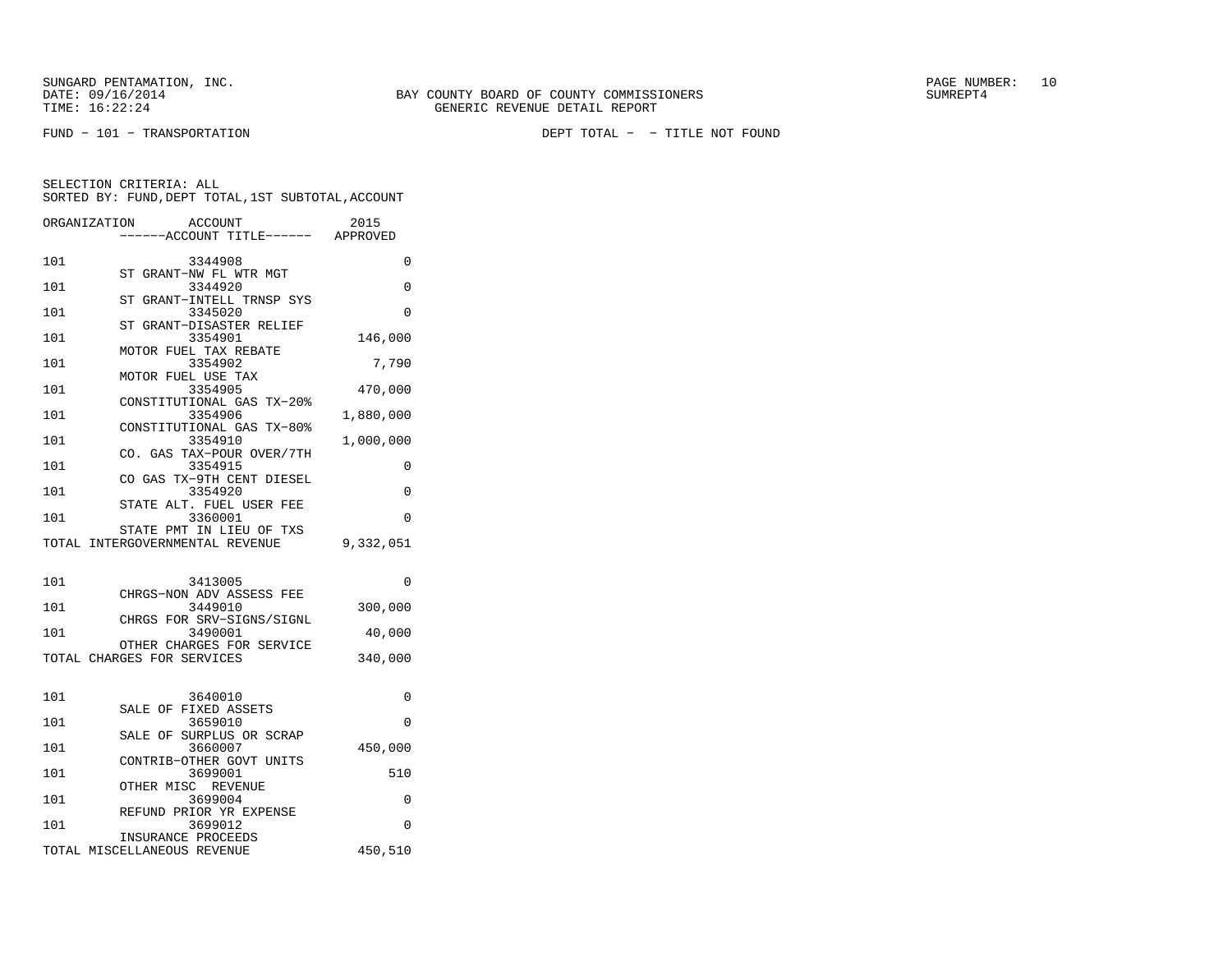FUND − 101 − TRANSPORTATION DEPT TOTAL − − TITLE NOT FOUND

|     | ACCOUNT<br>ORGANIZATION              | 2015      |
|-----|--------------------------------------|-----------|
|     | ----ACCOUNT TITLE------ APPROVED     |           |
|     |                                      |           |
| 101 | 3344908                              | $\Omega$  |
|     | ST GRANT-NW FL WTR MGT               |           |
| 101 | 3344920<br>ST GRANT-INTELL TRNSP SYS | 0         |
| 101 | 3345020                              | 0         |
|     | ST GRANT-DISASTER RELIEF             |           |
| 101 | 3354901                              | 146,000   |
|     | MOTOR FUEL TAX REBATE                |           |
| 101 | 3354902                              | 7,790     |
|     | MOTOR FUEL USE TAX                   |           |
| 101 | 3354905                              | 470,000   |
|     | CONSTITUTIONAL GAS TX-20%            |           |
| 101 | 3354906                              | 1,880,000 |
|     | CONSTITUTIONAL GAS TX-80%            |           |
| 101 | 3354910                              | 1,000,000 |
|     | CO. GAS TAX-POUR OVER/7TH            |           |
| 101 | 3354915<br>CO GAS TX-9TH CENT DIESEL | 0         |
| 101 | 3354920                              | 0         |
|     | STATE ALT. FUEL USER FEE             |           |
| 101 | 3360001                              | 0         |
|     | STATE PMT IN LIEU OF TXS             |           |
|     | TOTAL INTERGOVERNMENTAL REVENUE      | 9,332,051 |
|     |                                      |           |
|     |                                      |           |
| 101 | 3413005                              | 0         |
|     | CHRGS-NON ADV ASSESS FEE             |           |
| 101 | 3449010                              | 300,000   |
| 101 | CHRGS FOR SRV-SIGNS/SIGNL<br>3490001 |           |
|     | OTHER CHARGES FOR SERVICE            | 40,000    |
|     | TOTAL CHARGES FOR SERVICES           | 340,000   |
|     |                                      |           |
|     |                                      |           |
| 101 | 3640010                              | $\Omega$  |
|     | SALE OF FIXED ASSETS                 |           |
| 101 | 3659010                              | $\Omega$  |
|     | SALE OF SURPLUS OR SCRAP             |           |
| 101 | 3660007                              | 450,000   |
|     | CONTRIB-OTHER GOVT UNITS             |           |
| 101 | 3699001                              | 510       |
|     | OTHER MISC REVENUE                   |           |
| 101 | 3699004<br>REFUND PRIOR YR EXPENSE   | 0         |
| 101 | 3699012                              | 0         |
|     | INSURANCE PROCEEDS                   |           |
|     | TOTAL MISCELLANEOUS REVENUE          | 450,510   |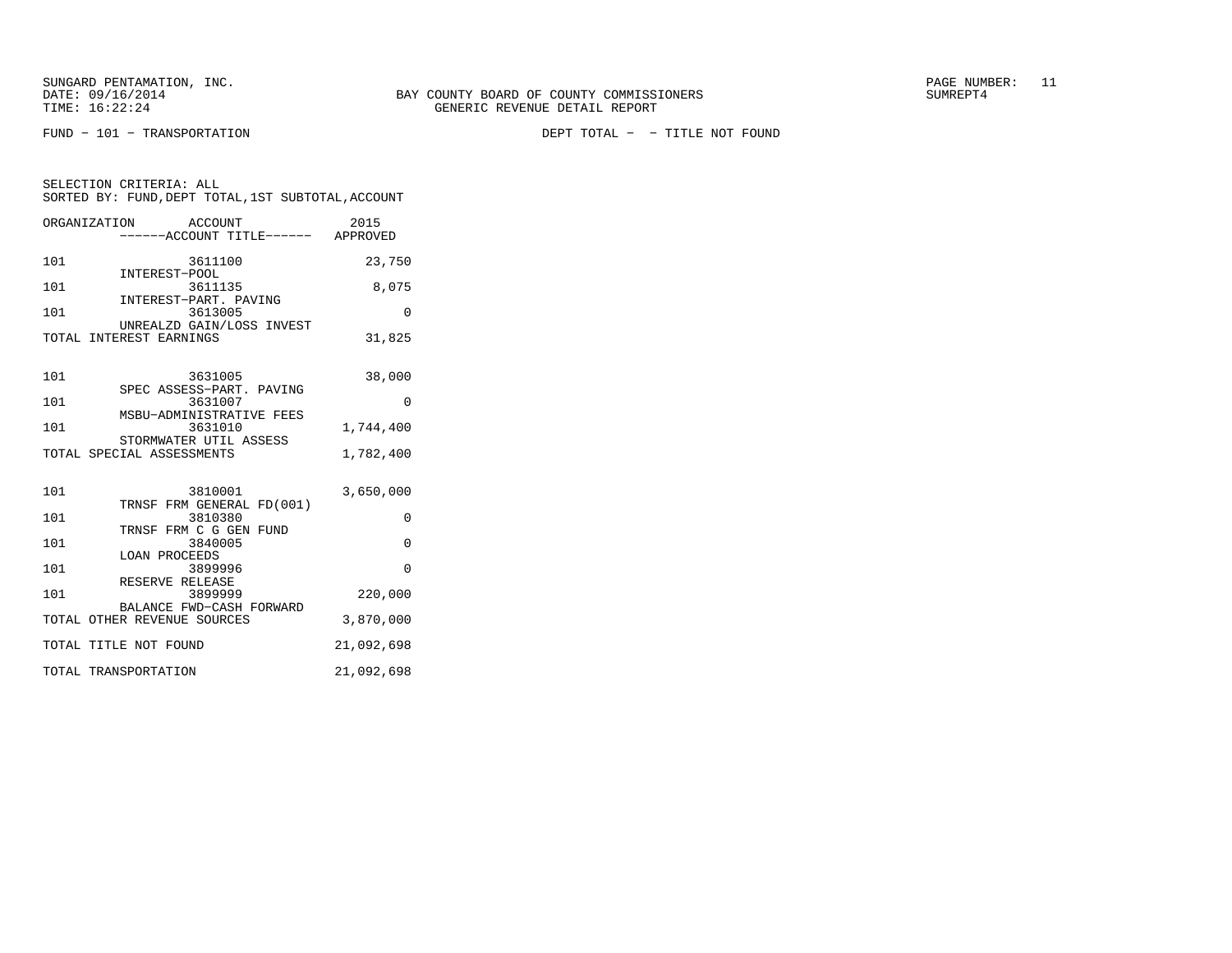SELECTION CRITERIA: ALL

FUND − 101 − TRANSPORTATION DEPT TOTAL − − TITLE NOT FOUND

| ORGANIZATION            | ACCOUNT<br>------ACCOUNT TITLE------ | 2015<br>APPROVED |
|-------------------------|--------------------------------------|------------------|
| 101                     | 3611100                              | 23,750           |
| INTEREST-POOL<br>101    | 3611135                              | 8,075            |
| 101                     | INTEREST-PART. PAVING<br>3613005     |                  |
| TOTAL INTEREST EARNINGS | UNREALZD GAIN/LOSS INVEST            | 31,825           |
|                         |                                      |                  |

SORTED BY: FUND,DEPT TOTAL,1ST SUBTOTAL,ACCOUNT

| 101 | 3631005                                                 | 38,000     |
|-----|---------------------------------------------------------|------------|
| 101 | SPEC ASSESS-PART. PAVING<br>3631007                     | $\Omega$   |
| 101 | MSBU-ADMINISTRATIVE FEES<br>3631010                     | 1,744,400  |
|     | STORMWATER UTIL ASSESS                                  |            |
|     | TOTAL SPECIAL ASSESSMENTS                               | 1,782,400  |
| 101 | 3810001                                                 | 3,650,000  |
| 101 | TRNSF FRM GENERAL FD(001)<br>3810380                    | $\Omega$   |
| 101 | TRNSF FRM C G GEN FUND<br>3840005                       | $\Omega$   |
| 101 | LOAN PROCEEDS<br>3899996                                | $\Omega$   |
| 101 | RESERVE RELEASE<br>3899999                              | 220,000    |
|     | BALANCE FWD-CASH FORWARD<br>TOTAL OTHER REVENUE SOURCES | 3,870,000  |
|     | TOTAL TITLE NOT FOUND                                   | 21,092,698 |
|     | TOTAL TRANSPORTATION                                    | 21,092,698 |
|     |                                                         |            |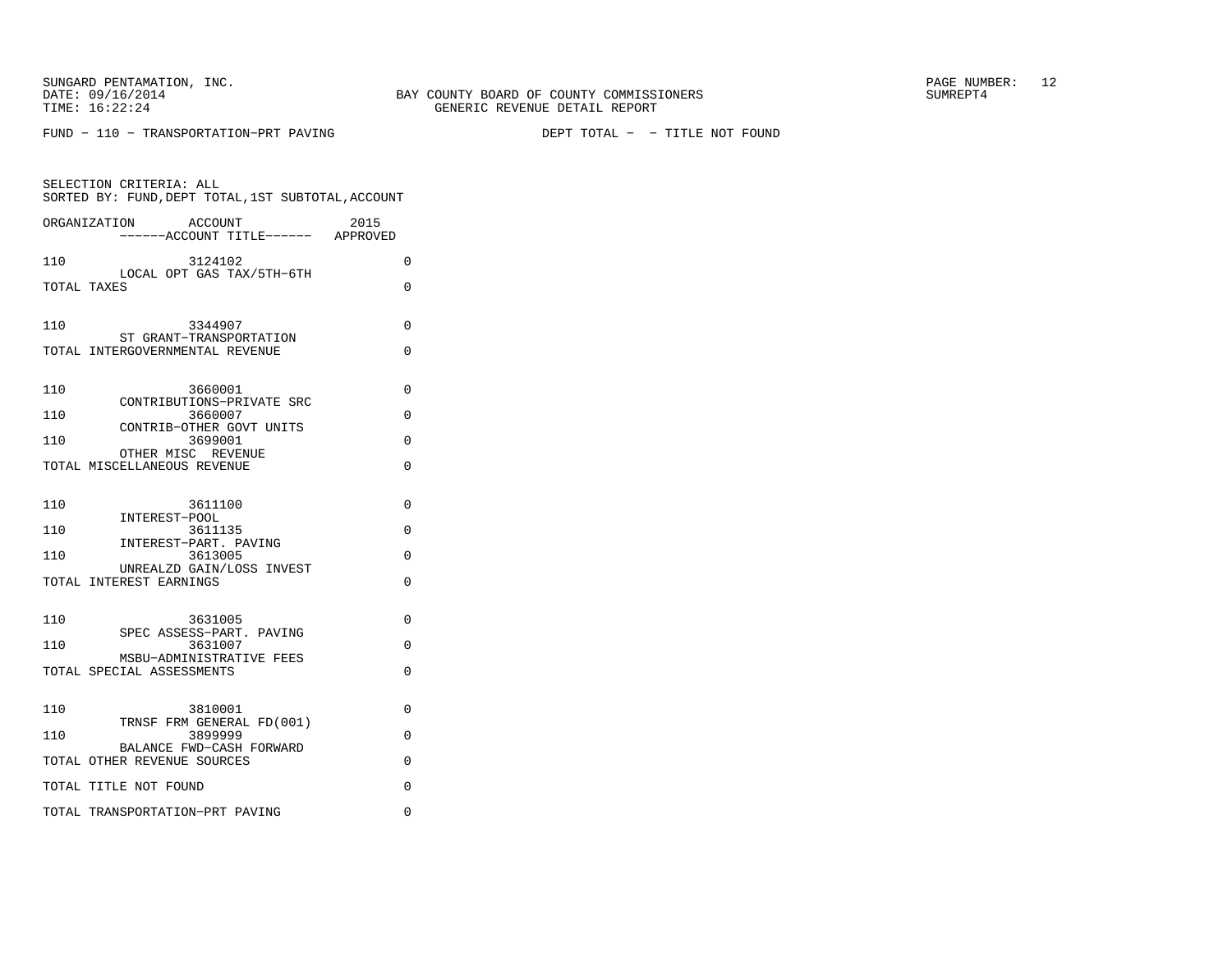FUND − 110 − TRANSPORTATION−PRT PAVING DEPT TOTAL − − TITLE NOT FOUND

| SELECTION CRITERIA: ALL<br>SORTED BY: FUND, DEPT TOTAL, 1ST SUBTOTAL, ACCOUNT |   |
|-------------------------------------------------------------------------------|---|
| 2015<br>ORGANIZATION<br>ACCOUNT<br>-----ACCOUNT TITLE------ APPROVED          |   |
| 110<br>3124102                                                                | 0 |
| LOCAL OPT GAS TAX/5TH-6TH<br>TOTAL TAXES                                      | 0 |
| 110<br>3344907                                                                | 0 |
| ST GRANT-TRANSPORTATION<br>TOTAL INTERGOVERNMENTAL REVENUE                    | 0 |
| 110<br>3660001<br>CONTRIBUTIONS-PRIVATE SRC                                   | 0 |
| 110<br>3660007                                                                | 0 |
| CONTRIB-OTHER GOVT UNITS<br>110<br>3699001                                    | 0 |
| OTHER MISC REVENUE<br>TOTAL MISCELLANEOUS REVENUE                             | 0 |
| 110<br>3611100                                                                | 0 |
| INTEREST-POOL<br>110<br>3611135                                               | 0 |
| INTEREST-PART. PAVING<br>110<br>3613005                                       | 0 |
| UNREALZD GAIN/LOSS INVEST<br>TOTAL INTEREST EARNINGS                          | 0 |
| 110<br>3631005                                                                | 0 |
| SPEC ASSESS-PART. PAVING<br>110<br>3631007                                    | 0 |
| MSBU-ADMINISTRATIVE FEES<br>TOTAL SPECIAL ASSESSMENTS                         | 0 |
| 110<br>3810001<br>TRNSF FRM GENERAL FD(001)                                   | 0 |
| 110<br>3899999                                                                | 0 |
| BALANCE FWD-CASH FORWARD<br>TOTAL OTHER REVENUE SOURCES                       | 0 |
| TOTAL TITLE NOT FOUND                                                         | 0 |
| TOTAL TRANSPORTATION-PRT PAVING                                               | 0 |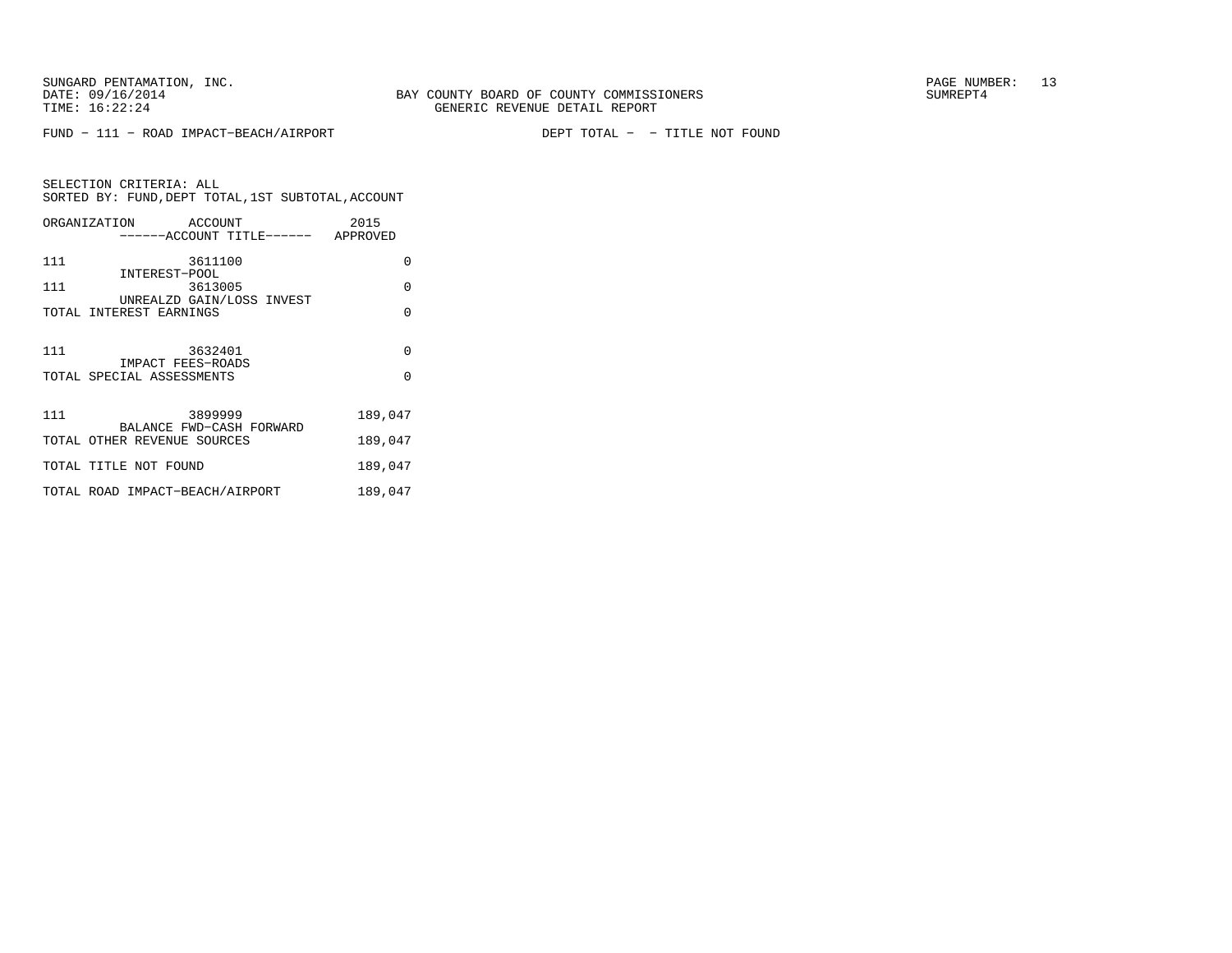FUND − 111 − ROAD IMPACT−BEACH/AIRPORT DEPT TOTAL − − TITLE NOT FOUND

SELECTION CRITERIA: ALL SORTED BY: FUND,DEPT TOTAL,1ST SUBTOTAL,ACCOUNTORGANIZATION ACCOUNT 2015

|     | ------ACCOUNT TITLE------ APPROVED                   |          |
|-----|------------------------------------------------------|----------|
| 111 | 3611100                                              | $\Omega$ |
| 111 | INTEREST-POOL<br>3613005                             | $\Omega$ |
|     | UNREALZD GAIN/LOSS INVEST<br>TOTAL INTEREST EARNINGS | O        |
|     |                                                      |          |
| 111 | 3632401                                              | $\Omega$ |
|     | IMPACT FEES-ROADS<br>TOTAL SPECIAL ASSESSMENTS       | $\Omega$ |
| 111 | 3899999<br>BALANCE FWD-CASH FORWARD                  | 189,047  |
|     | TOTAL OTHER REVENUE SOURCES                          | 189,047  |
|     | TOTAL TITLE NOT FOUND                                | 189,047  |
|     | TOTAL ROAD IMPACT-BEACH/AIRPORT                      | 189,047  |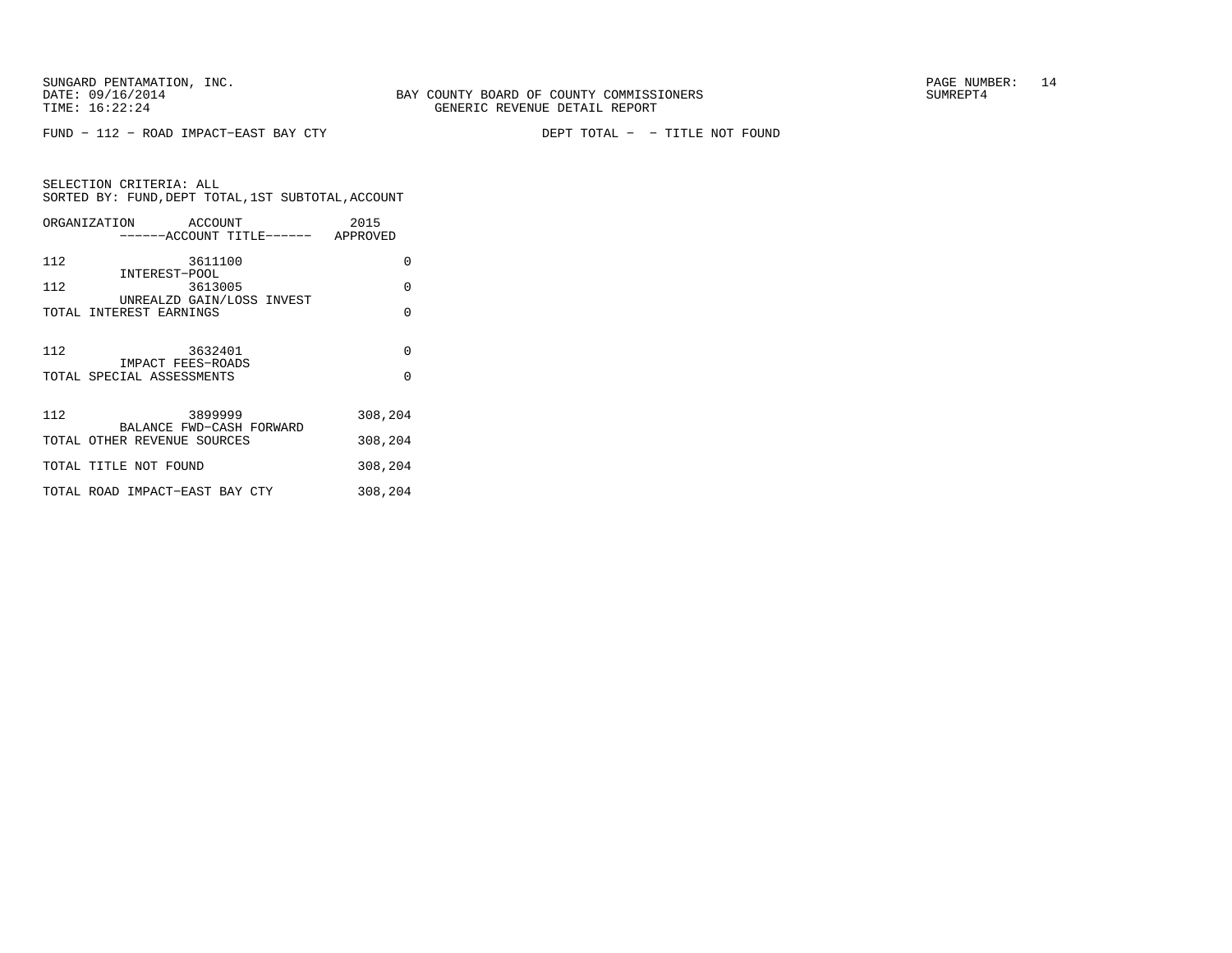FUND − 112 − ROAD IMPACT−EAST BAY CTY DEPT TOTAL − − TITLE NOT FOUND

| SELECTION CRITERIA: ALL |         | SORTED BY: FUND, DEPT TOTAL, 1ST SUBTOTAL, ACCOUNT |
|-------------------------|---------|----------------------------------------------------|
| ORGANIZATION            | ACCOUNT | 2015                                               |

|     | ------ACCOUNT TITLE------ APPROVED                   |          |
|-----|------------------------------------------------------|----------|
| 112 | 3611100<br>INTEREST-POOL                             | 0        |
| 112 | 3613005                                              | $\Omega$ |
|     | UNREALZD GAIN/LOSS INVEST<br>TOTAL INTEREST EARNINGS | $\Omega$ |
| 112 | 3632401<br>IMPACT FEES-ROADS                         | $\Omega$ |
|     | TOTAL SPECIAL ASSESSMENTS                            | $\Omega$ |
| 112 | 3899999<br>BALANCE FWD-CASH FORWARD                  | 308,204  |
|     | TOTAL OTHER REVENUE SOURCES                          | 308,204  |
|     | TOTAL TITLE NOT FOUND                                | 308,204  |
|     | TOTAL ROAD IMPACT-EAST BAY CTY                       | 308,204  |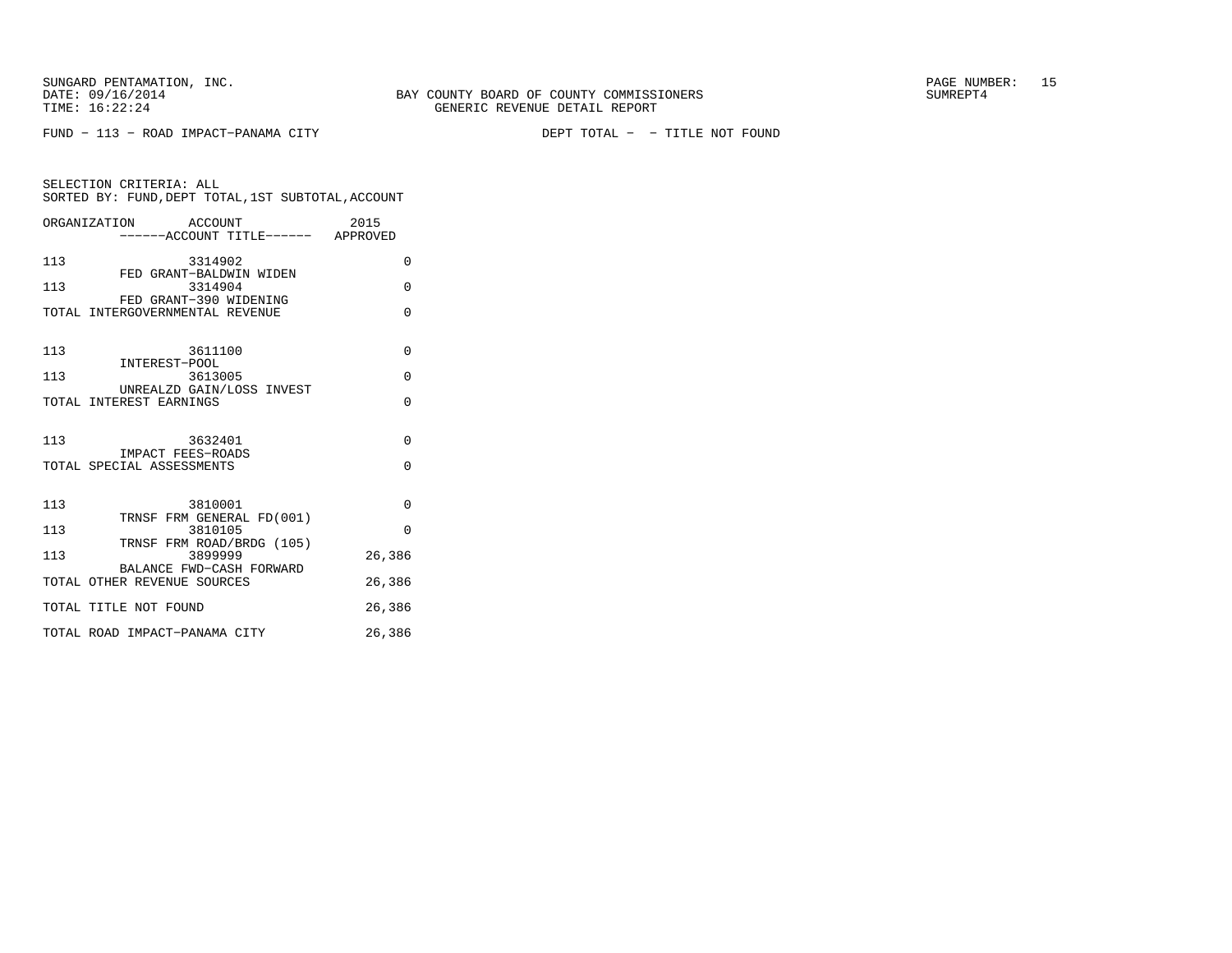FUND − 113 − ROAD IMPACT−PANAMA CITY DEPT TOTAL − − TITLE NOT FOUND

|                                                                                                                                                                           | SELECTION CRITERIA: ALL                            |                |      |
|---------------------------------------------------------------------------------------------------------------------------------------------------------------------------|----------------------------------------------------|----------------|------|
|                                                                                                                                                                           | SORTED BY: FUND, DEPT TOTAL, 1ST SUBTOTAL, ACCOUNT |                |      |
| $\bigcap$ $\bigcap$ $\bigcap$ $\bigcap$ $\bigcap$ $\bigcap$ $\bigcap$ $\bigcap$ $\bigcap$ $\bigcap$ $\bigcap$ $\bigcap$ $\bigcap$ $\bigcap$ $\bigcap$ $\bigcap$ $\bigcap$ |                                                    | <b>ROOTENT</b> | つの15 |

|     | URGANIZATION<br>ACCOUNT<br>------ACCOUNT TITLE------ APPROVED | 7012     |
|-----|---------------------------------------------------------------|----------|
| 113 | 3314902                                                       | $\Omega$ |
| 113 | FED GRANT-BALDWIN WIDEN<br>3314904                            | $\Omega$ |
|     | FED GRANT-390 WIDENING<br>TOTAL INTERGOVERNMENTAL REVENUE     | $\Omega$ |
|     |                                                               |          |
| 113 | 3611100<br>INTEREST-POOL                                      | $\Omega$ |
| 113 | 3613005                                                       | $\Omega$ |
|     | UNREALZD GAIN/LOSS INVEST<br>TOTAL INTEREST EARNINGS          | $\Omega$ |
| 113 | 3632401                                                       | $\Omega$ |
|     | IMPACT FEES-ROADS<br>TOTAL SPECIAL ASSESSMENTS                | $\Omega$ |
| 113 | 3810001                                                       | $\Omega$ |
| 113 | TRNSF FRM GENERAL FD(001)<br>3810105                          | $\Omega$ |
| 113 | TRNSF FRM ROAD/BRDG (105)<br>3899999                          | 26,386   |
|     | BALANCE FWD-CASH FORWARD<br>TOTAL OTHER REVENUE SOURCES       | 26,386   |
|     | TOTAL TITLE NOT FOUND                                         | 26,386   |
|     | TOTAL ROAD IMPACT-PANAMA CITY                                 | 26,386   |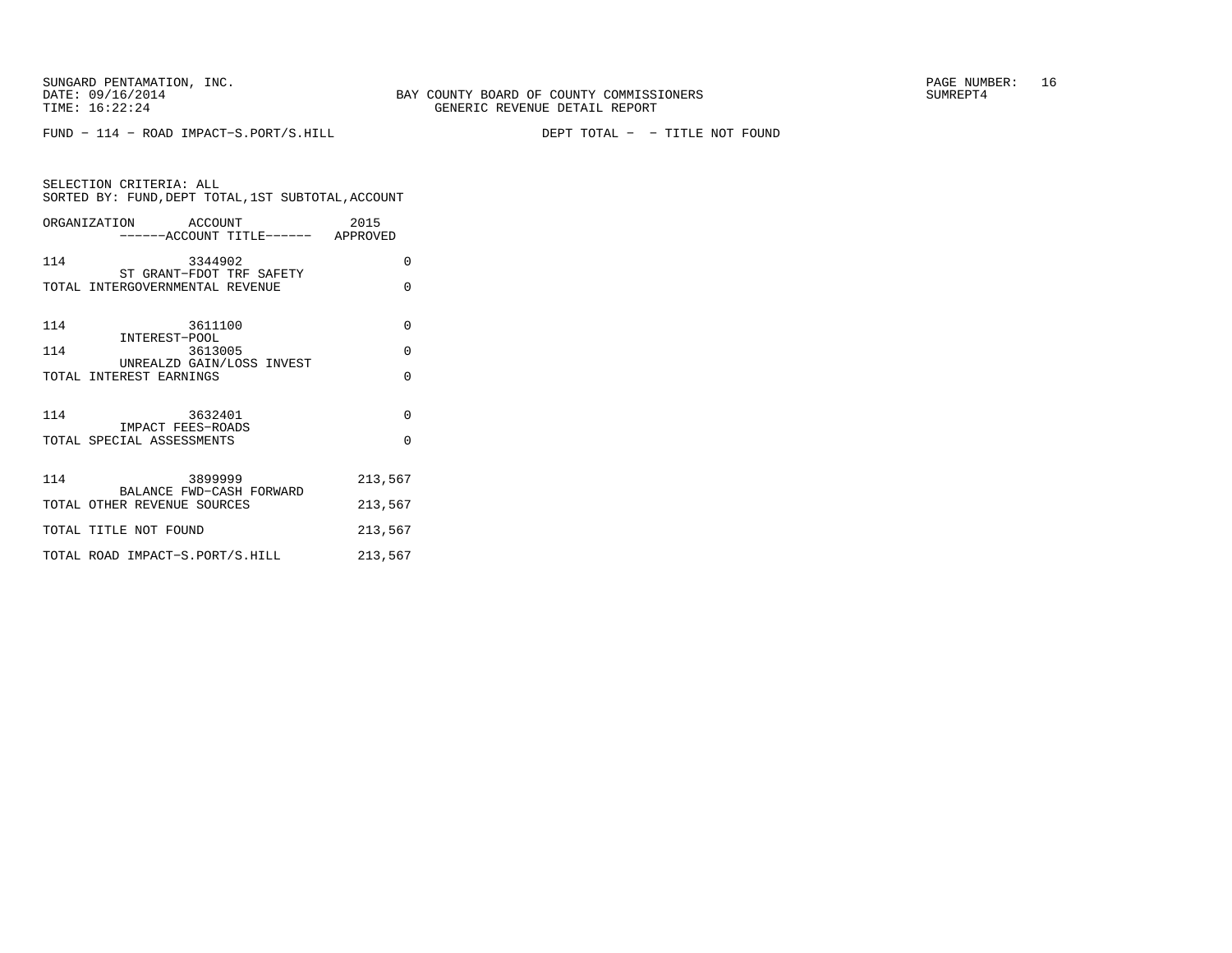FUND − 114 − ROAD IMPACT−S.PORT/S.HILL DEPT TOTAL − − TITLE NOT FOUND

| SELECTION CRITERIA: ALL |         | SORTED BY: FUND, DEPT TOTAL, 1ST SUBTOTAL, ACCOUNT |
|-------------------------|---------|----------------------------------------------------|
| ORGANIZATION            | ACCOUNT | 2015                                               |

|     | ------ACCOUNT TITLE------ APPROVED                      |          |
|-----|---------------------------------------------------------|----------|
| 114 | 3344902<br>ST GRANT-FDOT TRF SAFETY                     | $\Omega$ |
|     | TOTAL INTERGOVERNMENTAL REVENUE                         | $\Omega$ |
|     |                                                         |          |
| 114 | 3611100                                                 | $\Omega$ |
| 114 | INTEREST-POOL<br>3613005                                | $\Omega$ |
|     | UNREALZD GAIN/LOSS INVEST<br>TOTAL INTEREST EARNINGS    | $\Omega$ |
|     |                                                         |          |
| 114 | 3632401                                                 | $\Omega$ |
|     | IMPACT FEES-ROADS<br>TOTAL SPECIAL ASSESSMENTS          | $\Omega$ |
|     |                                                         |          |
| 114 | 3899999                                                 | 213,567  |
|     | BALANCE FWD-CASH FORWARD<br>TOTAL OTHER REVENUE SOURCES | 213,567  |
|     | TOTAL TITLE NOT FOUND                                   | 213,567  |
|     | TOTAL ROAD IMPACT-S.PORT/S.HILL                         | 213,567  |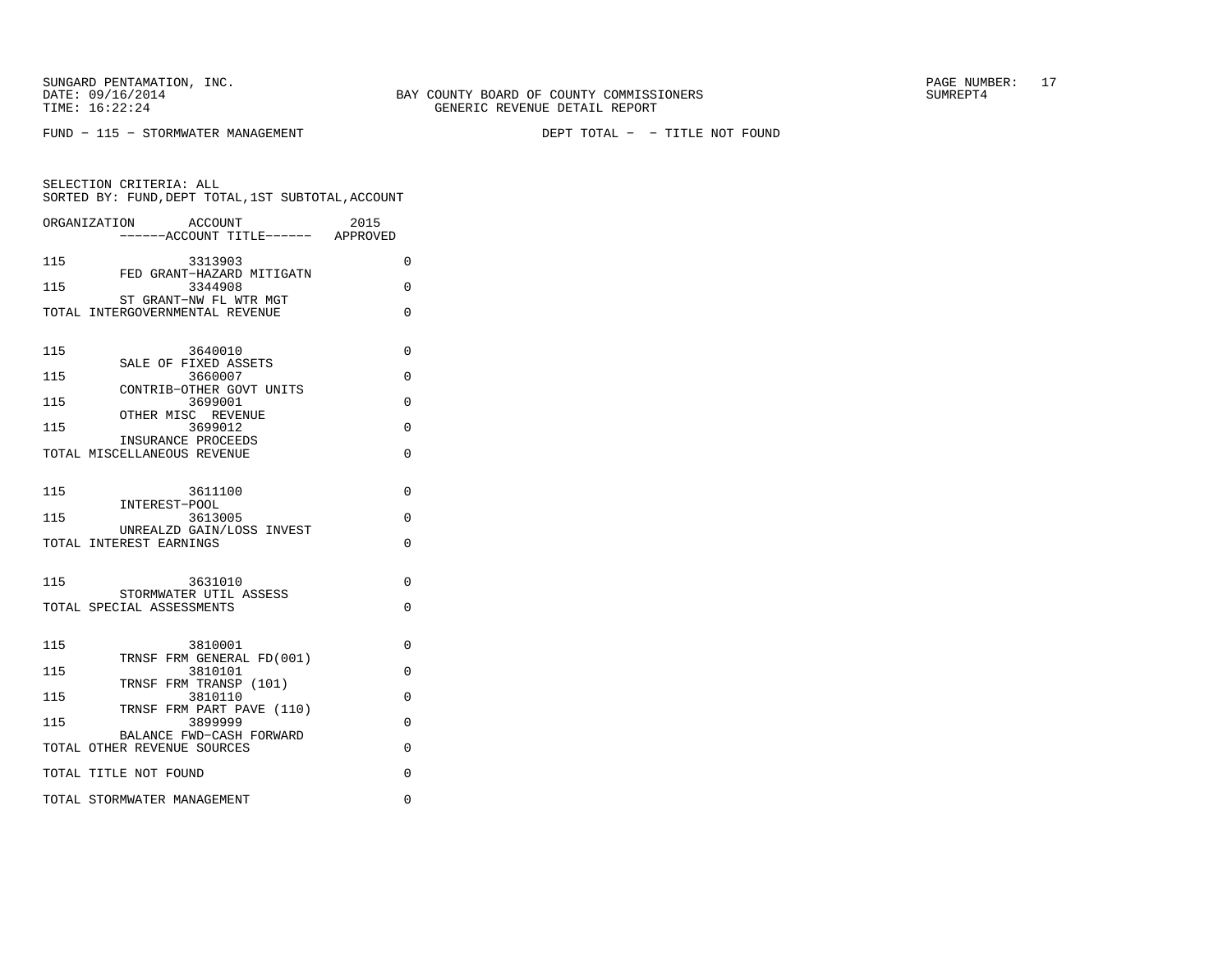SUNGARD PENTAMATION, INC. THE SUNGARD PAGE NUMBER: 17

SELECTION CRITERIA: ALL

FUND − 115 − STORMWATER MANAGEMENT DEPT TOTAL − − TITLE NOT FOUND

 SORTED BY: FUND,DEPT TOTAL,1ST SUBTOTAL,ACCOUNTORGANIZATION ACCOUNT 2015−−−−−−ACCOUNT TITLE−−−−−− APPROVED

115 3313903 0 FED GRANT−HAZARD MITIGATN 115 3344908 0 ST GRANT−NW FL WTR MGT TOTAL INTERGOVERNMENTAL REVENUE 0 115 3640010 0 SALE OF FIXED ASSETS 115 3660007 0 CONTRIB−OTHER GOVT UNITS115 3699001 0 OTHER MISC REVENUE115 3699012 0 INSURANCE PROCEEDS TOTAL MISCELLANEOUS REVENUE 0 115 3611100 0 INTEREST−POOL 115 3613005 0 UNREALZD GAIN/LOSS INVESTTOTAL INTEREST EARNINGS 0 115 3631010 0 STORMWATER UTIL ASSESSTOTAL SPECIAL ASSESSMENTS 0 115 3810001 0 TRNSF FRM GENERAL FD(001)115 3810101 0 TRNSF FRM TRANSP (101)115 3810110 0 TRNSF FRM PART PAVE (110)115 3899999 0 BALANCE FWD−CASH FORWARDTOTAL OTHER REVENUE SOURCES 0 TOTAL TITLE NOT FOUND 0

TOTAL STORMWATER MANAGEMENT 0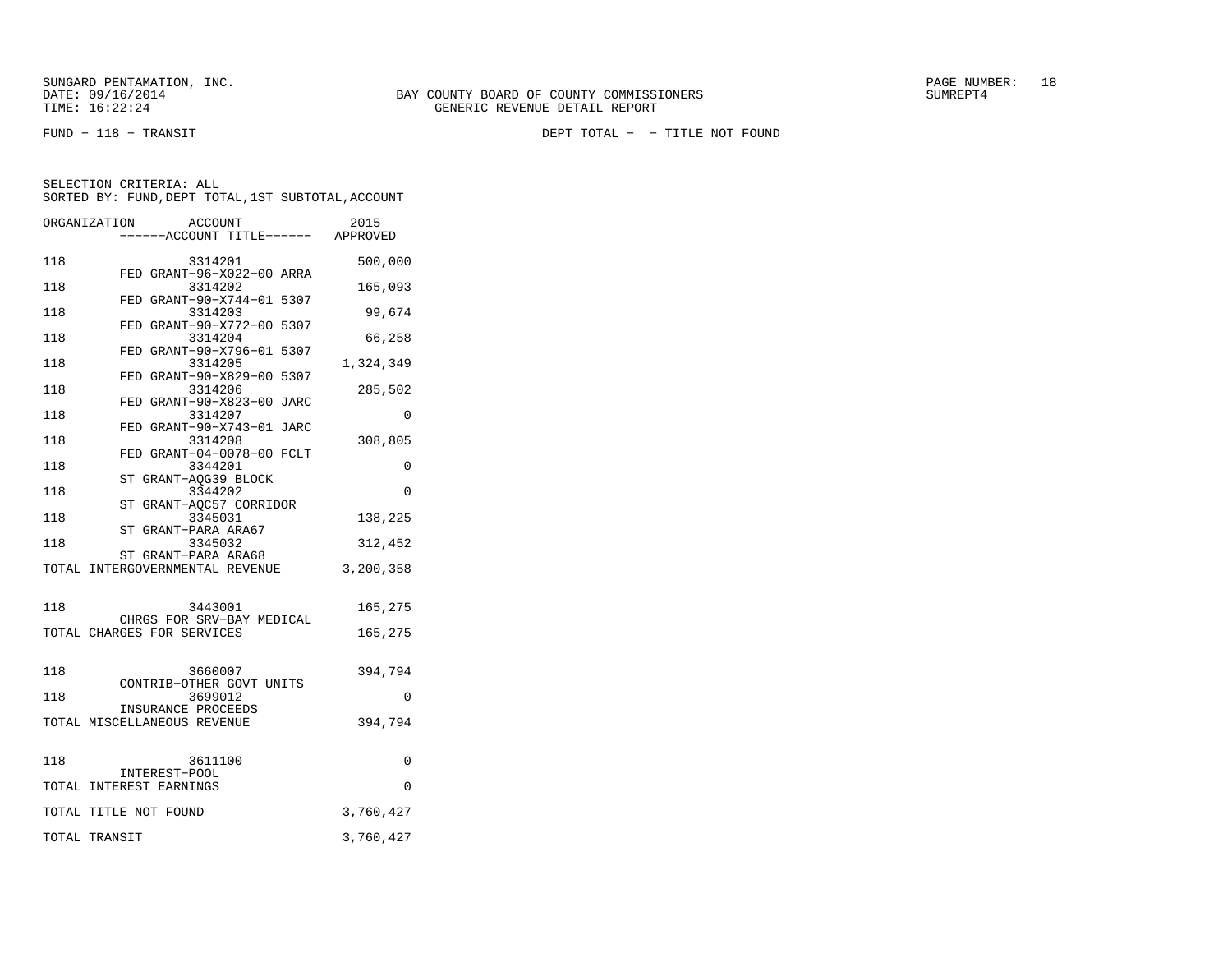FUND − 118 − TRANSIT DEPT TOTAL − − TITLE NOT FOUND

|     | ORGANIZATION<br>ACCOUNT                                 | 2015      |
|-----|---------------------------------------------------------|-----------|
|     | ---ACCOUNT TITLE------                                  | APPROVED  |
| 118 | 3314201                                                 | 500,000   |
| 118 | FED GRANT-96-X022-00 ARRA<br>3314202                    | 165,093   |
| 118 | FED GRANT-90-X744-01 5307<br>3314203                    | 99,674    |
| 118 | FED GRANT-90-X772-00 5307<br>3314204                    | 66,258    |
| 118 | FED GRANT-90-X796-01 5307<br>3314205                    | 1,324,349 |
| 118 | FED GRANT-90-X829-00 5307<br>3314206                    | 285,502   |
| 118 | FED GRANT-90-X823-00 JARC<br>3314207                    | 0         |
| 118 | FED GRANT-90-X743-01 JARC<br>3314208                    | 308,805   |
| 118 | FED GRANT-04-0078-00 FCLT<br>3344201                    | 0         |
| 118 | ST GRANT-AOG39 BLOCK<br>3344202                         | 0         |
| 118 | ST GRANT-AQC57 CORRIDOR<br>3345031                      | 138,225   |
| 118 | ST GRANT-PARA ARA67<br>3345032                          | 312,452   |
|     | ST GRANT-PARA ARA68<br>TOTAL INTERGOVERNMENTAL REVENUE  | 3,200,358 |
| 118 | 3443001                                                 | 165,275   |
|     | CHRGS FOR SRV-BAY MEDICAL<br>TOTAL CHARGES FOR SERVICES | 165,275   |
| 118 | 3660007                                                 | 394,794   |
| 118 | CONTRIB-OTHER GOVT UNITS<br>3699012                     | 0         |
|     | INSURANCE PROCEEDS<br>TOTAL MISCELLANEOUS REVENUE       | 394,794   |
|     |                                                         |           |
| 118 | 3611100<br>INTEREST-POOL                                | 0         |
|     | TOTAL INTEREST EARNINGS                                 | $\Omega$  |
|     | TOTAL TITLE NOT FOUND                                   | 3,760,427 |
|     | TOTAL TRANSIT                                           | 3,760,427 |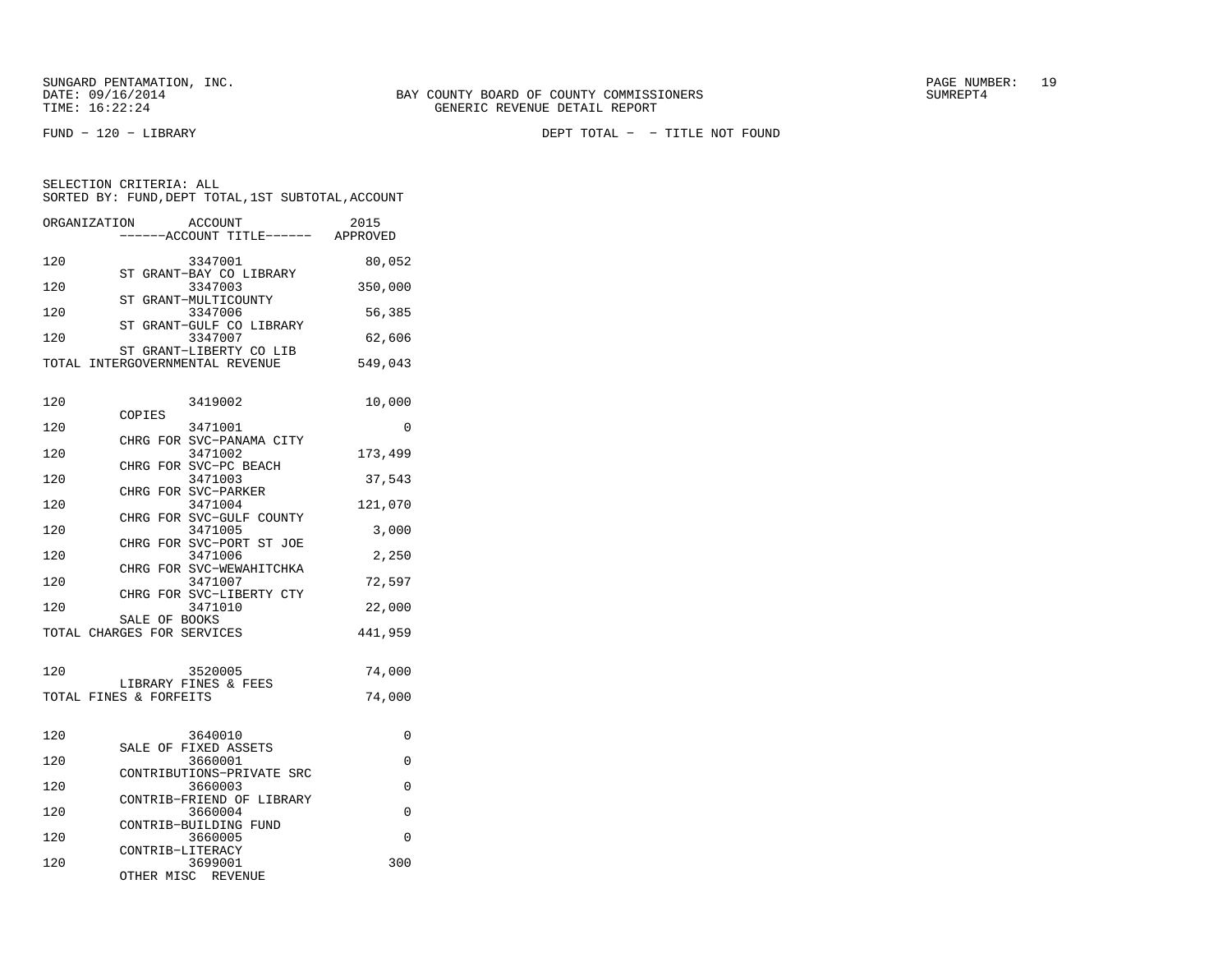SELECTION CRITERIA: ALL

FUND − 120 − LIBRARY DEPT TOTAL − − TITLE NOT FOUND

| 120  | 3347001                                                    | 80,052  |
|------|------------------------------------------------------------|---------|
| 120  | ST GRANT-BAY CO LIBRARY<br>3347003                         | 350,000 |
| 120  | ST GRANT-MULTICOUNTY<br>3347006                            | 56,385  |
| 120  | ST GRANT-GULF CO LIBRARY<br>3347007                        | 62,606  |
|      | ST GRANT-LIBERTY CO LIB<br>TOTAL INTERGOVERNMENTAL REVENUE | 549,043 |
|      |                                                            |         |
| 120  | 3419002<br>COPIES                                          | 10,000  |
| 120  | 3471001                                                    | U       |
| 1.20 | CHRG FOR SVC-PANAMA CITY<br>$2171002$                      | 172 400 |

 SORTED BY: FUND,DEPT TOTAL,1ST SUBTOTAL,ACCOUNTORGANIZATION ACCOUNT 2015−−−−−−ACCOUNT TITLE−−−−−− APPROVED

| 120 | 3471002                  | 173,499 |
|-----|--------------------------|---------|
|     | CHRG FOR SVC-PC BEACH    |         |
| 120 | 3471003                  | 37,543  |
|     | CHRG FOR SVC-PARKER      |         |
| 120 | 3471004                  | 121,070 |
|     | CHRG FOR SVC-GULF COUNTY |         |
| 120 | 3471005                  | 3,000   |
|     | CHRG FOR SVC-PORT ST JOE |         |
| 120 | 3471006                  | 2. 250  |

| 120 | 3471006                    | 2,250   |
|-----|----------------------------|---------|
|     | CHRG FOR SVC-WEWAHITCHKA   |         |
| 120 | 3471007                    | 72,597  |
|     | CHRG FOR SVC-LIBERTY CTY   |         |
| 120 | 3471010                    | 22,000  |
|     | SALE OF BOOKS              |         |
|     | TOTAL CHARGES FOR SERVICES | 441,959 |

| 120 | 3520005                                        | 74,000 |
|-----|------------------------------------------------|--------|
|     | LIBRARY FINES & FEES<br>TOTAL FINES & FORFEITS | 74,000 |

| 120 | 3640010                   |     |
|-----|---------------------------|-----|
|     | SALE OF FIXED ASSETS      |     |
| 120 | 3660001                   | O   |
|     | CONTRIBUTIONS-PRIVATE SRC |     |
| 120 | 3660003                   | U   |
|     | CONTRIB-FRIEND OF LIBRARY |     |
| 120 | 3660004                   |     |
|     | CONTRIB-BUILDING FUND     |     |
| 120 | 3660005                   | O   |
|     | CONTRIB-LITERACY          |     |
| 120 | 3699001                   | 300 |
|     | OTHER MISC<br>REVENUE     |     |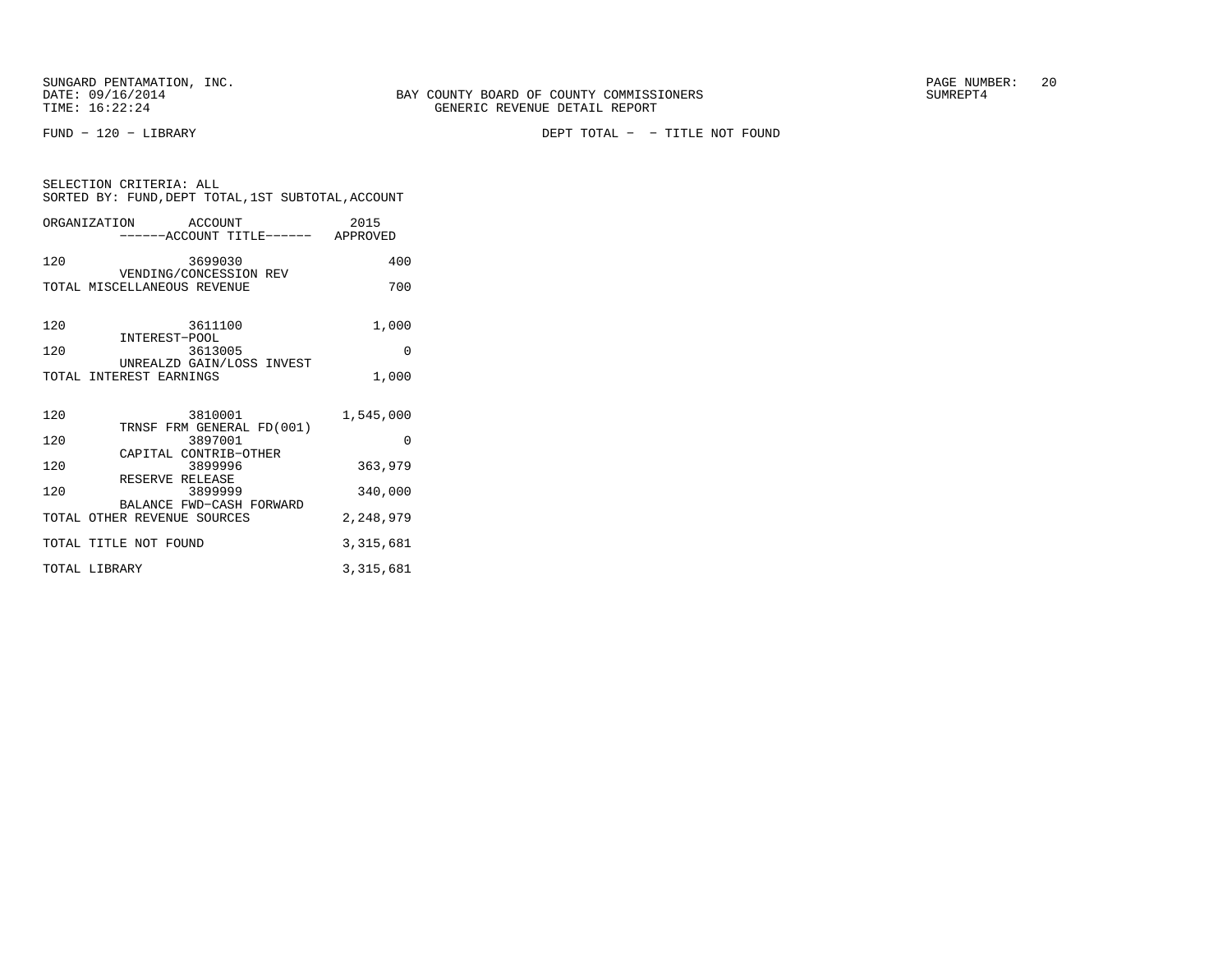SELECTION CRITERIA: ALL

FUND − 120 − LIBRARY DEPT TOTAL − − TITLE NOT FOUND

| ORGANIZATION ACCOUNT<br>-----ACCOUNT TITLE------ APPROVED  | 2015        |
|------------------------------------------------------------|-------------|
| 120<br>3699030                                             | 400         |
| VENDING/CONCESSION REV<br>TOTAL MISCELLANEOUS REVENUE      | 700         |
| 120<br>3611100<br>INTEREST-POOL                            | 1,000       |
| 120<br>3613005                                             | $\Omega$    |
| UNREALZD GAIN/LOSS INVEST<br>TOTAL INTEREST EARNINGS       | 1,000       |
| 120<br>3810001                                             | 1,545,000   |
| TRNSF FRM GENERAL FD(001)<br>120<br>3897001                | $\Omega$    |
| CAPITAL CONTRIB-OTHER<br>120<br>3899996<br>RESERVE RELEASE | 363,979     |
| 120<br>3899999                                             | 340,000     |
| BALANCE FWD-CASH FORWARD<br>TOTAL OTHER REVENUE SOURCES    | 2,248,979   |
| TOTAL TITLE NOT FOUND                                      | 3, 315, 681 |
| TOTAL LIBRARY                                              | 3, 315, 681 |

SORTED BY: FUND,DEPT TOTAL,1ST SUBTOTAL,ACCOUNT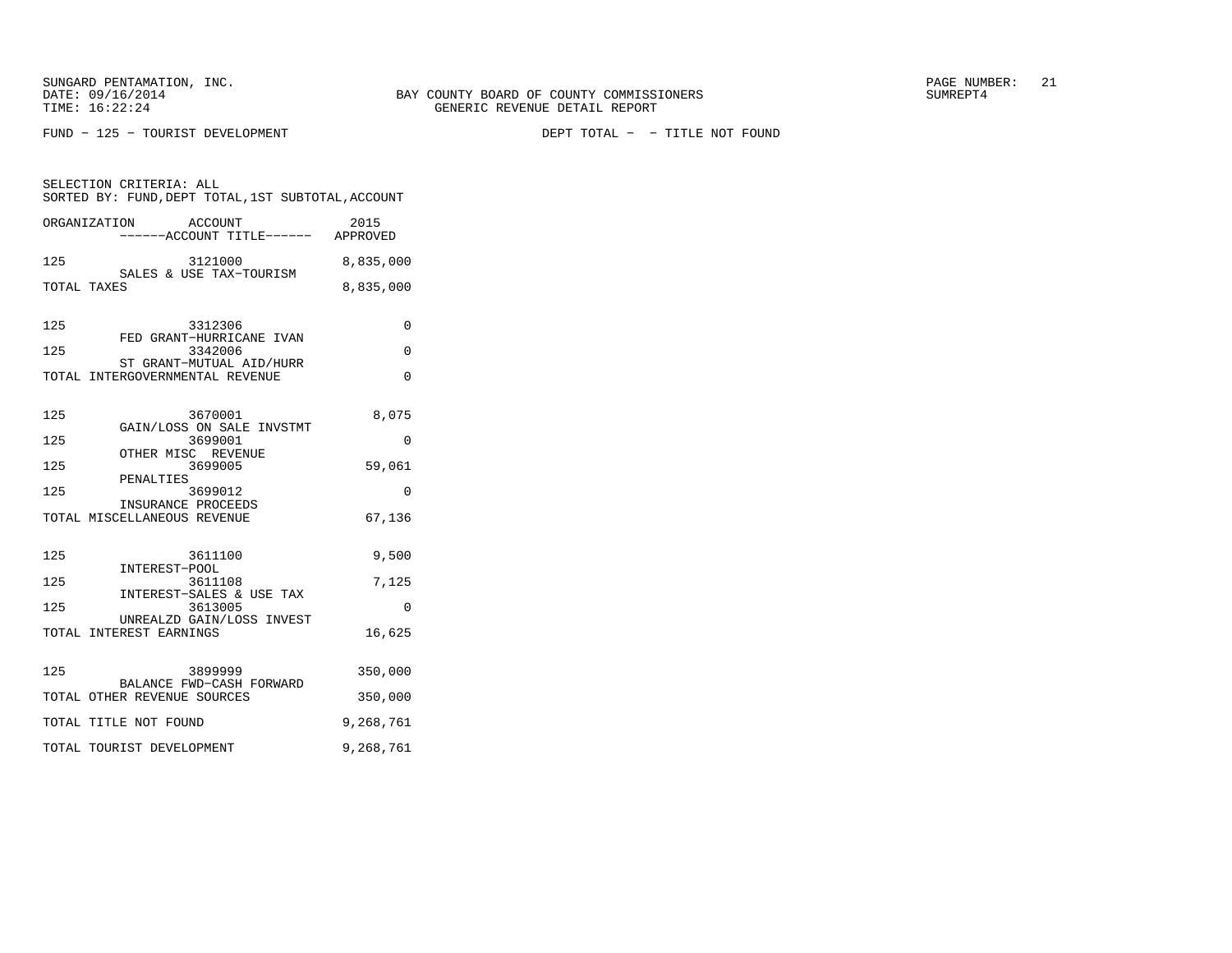FUND − 125 − TOURIST DEVELOPMENT DEPT TOTAL − − TITLE NOT FOUND

SELECTION CRITERIA: ALL SORTED BY: FUND,DEPT TOTAL,1ST SUBTOTAL,ACCOUNTORGANIZATION ACCOUNT 2015

|                   | ORGANIZATION<br>ACCOUN'I'<br>-----ACCOUNT TITLE------ APPROVED                                                | 2015                       |
|-------------------|---------------------------------------------------------------------------------------------------------------|----------------------------|
| 125               | 3121000<br>SALES & USE TAX-TOURISM                                                                            | 8,835,000                  |
|                   | TOTAL TAXES                                                                                                   | 8,835,000                  |
| 125<br>125        | 3312306<br>FED GRANT-HURRICANE IVAN<br>3342006<br>ST GRANT-MUTUAL AID/HURR<br>TOTAL INTERGOVERNMENTAL REVENUE | 0<br>$\Omega$<br>$\Omega$  |
| 125               | 3670001                                                                                                       | 8,075                      |
| 125               | GAIN/LOSS ON SALE INVSTMT<br>3699001                                                                          | $\Omega$                   |
| 125               | OTHER MISC REVENUE<br>3699005                                                                                 | 59,061                     |
| 125               | PENALTIES<br>3699012                                                                                          | $\Omega$                   |
|                   | INSURANCE PROCEEDS<br>TOTAL MISCELLANEOUS REVENUE                                                             | 67,136                     |
| 125<br>125<br>125 | 3611100<br>INTEREST-POOL<br>3611108<br>INTEREST-SALES & USE TAX<br>3613005                                    | 9,500<br>7,125<br>$\Omega$ |
|                   | UNREALZD GAIN/LOSS INVEST<br>TOTAL INTEREST EARNINGS                                                          | 16,625                     |
| 125               | 3899999<br>BALANCE FWD-CASH FORWARD<br>TOTAL OTHER REVENUE SOURCES                                            | 350,000<br>350,000         |
|                   | TOTAL TITLE NOT FOUND                                                                                         | 9,268,761                  |
|                   | TOTAL TOURIST DEVELOPMENT                                                                                     | 9,268,761                  |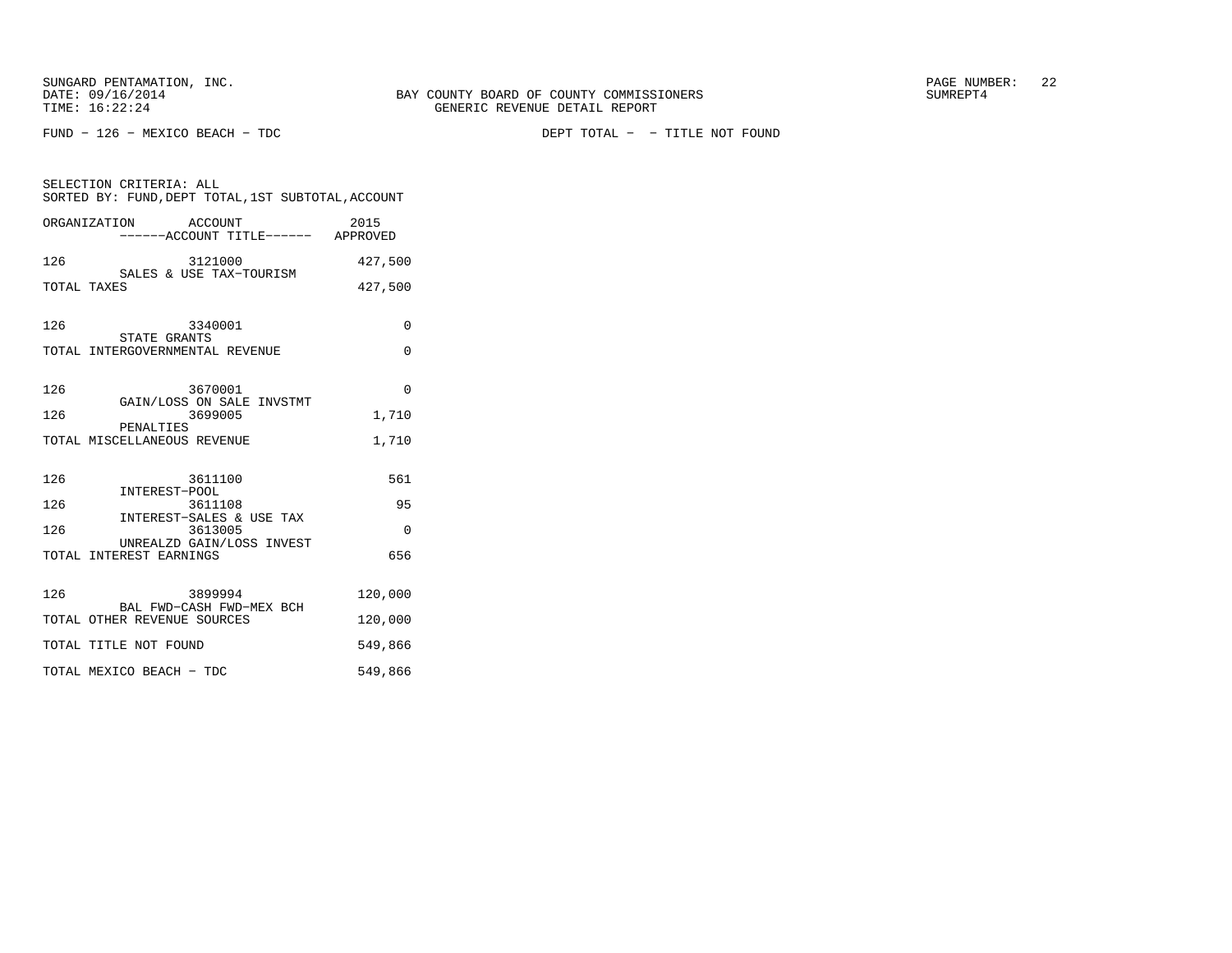FUND − 126 − MEXICO BEACH − TDC DEPT TOTAL − − TITLE NOT FOUND

| SELECTION CRITERIA: ALL<br>SORTED BY: FUND, DEPT TOTAL, 1ST SUBTOTAL, ACCOUNT |          |  |
|-------------------------------------------------------------------------------|----------|--|
| ORGANIZATION ACCOUNT<br>------ACCOUNT TITLE------ APPROVED                    | 2015     |  |
| 126<br>SALES & USE TAX-TOURISM<br>FS                                          | 427,500  |  |
| TOTAL TAXES                                                                   | 427,500  |  |
| 126<br>3340001<br>STATE GRANTS                                                | $\Omega$ |  |
| TOTAL INTERGOVERNMENTAL REVENUE                                               | 0        |  |
| 126<br>3670001<br>GAIN/LOSS ON SALE INVSTMT                                   | $\Omega$ |  |
| 126<br>3699005                                                                | 1,710    |  |
| PENALTIES<br>TOTAL MISCELLANEOUS REVENUE                                      | 1,710    |  |
| 126<br>3611100<br>INTEREST-POOL                                               | 561      |  |
| 126<br>3611108<br>INTEREST-SALES & USE TAX                                    | 95       |  |
| 126<br>3613005                                                                | 0        |  |
| UNREALZD GAIN/LOSS INVEST<br>TOTAL INTEREST EARNINGS                          | 656      |  |
| 126<br>3899994<br>BAL FWD-CASH FWD-MEX BCH                                    | 120,000  |  |
| TOTAL OTHER REVENUE SOURCES                                                   | 120,000  |  |
| TOTAL TITLE NOT FOUND                                                         | 549,866  |  |
| TOTAL MEXICO BEACH - TDC                                                      | 549,866  |  |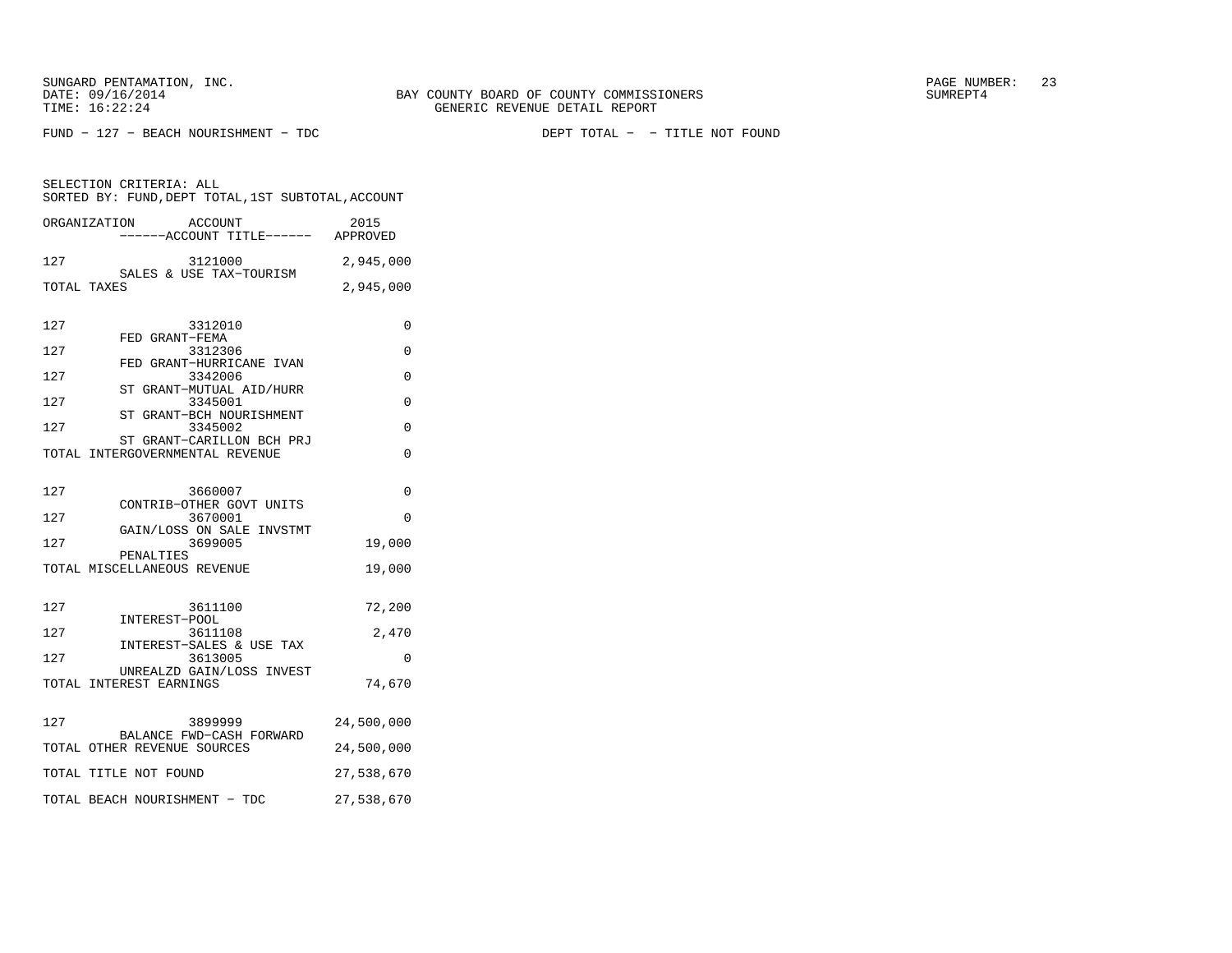FUND − 127 − BEACH NOURISHMENT − TDC DEPT TOTAL − − TITLE NOT FOUND

|     | ACCOUNT<br>ORGANIZATION                                      | 2015<br>----ACCOUNT TITLE------ APPROVED |
|-----|--------------------------------------------------------------|------------------------------------------|
| 127 | 3121000                                                      | 2,945,000                                |
|     | SALES & USE TAX-TOURISM<br>TOTAL TAXES                       | 2,945,000                                |
| 127 | 3312010                                                      | $\Omega$                                 |
| 127 | FED GRANT-FEMA<br>3312306                                    | 0                                        |
| 127 | FED GRANT-HURRICANE IVAN<br>3342006                          | $\Omega$                                 |
| 127 | ST GRANT-MUTUAL AID/HURR<br>3345001                          | $\Omega$                                 |
| 127 | ST<br>GRANT-BCH NOURISHMENT<br>3345002                       | $\Omega$                                 |
|     | ST GRANT-CARILLON BCH PRJ<br>TOTAL INTERGOVERNMENTAL REVENUE | $\Omega$                                 |
| 127 | 3660007<br>CONTRIB-OTHER GOVT UNITS                          | $\Omega$                                 |
| 127 | 3670001                                                      | $\Omega$                                 |
| 127 | GAIN/LOSS ON SALE INVSTMT<br>3699005                         | 19,000                                   |
|     | PENALTIES<br>TOTAL MISCELLANEOUS REVENUE                     | 19,000                                   |
| 127 | 3611100                                                      | 72,200                                   |
| 127 | INTEREST-POOL<br>3611108                                     | 2,470                                    |
| 127 | INTEREST-SALES & USE TAX<br>3613005                          | $\Omega$                                 |
|     | UNREALZD GAIN/LOSS INVEST<br>TOTAL INTEREST EARNINGS         | 74,670                                   |
| 127 | 3899999<br>BALANCE FWD-CASH FORWARD                          | 24,500,000                               |
|     | TOTAL OTHER REVENUE SOURCES                                  | 24,500,000                               |
|     | TOTAL TITLE NOT FOUND                                        | 27,538,670                               |
|     | TOTAL BEACH NOURISHMENT - TDC                                | 27,538,670                               |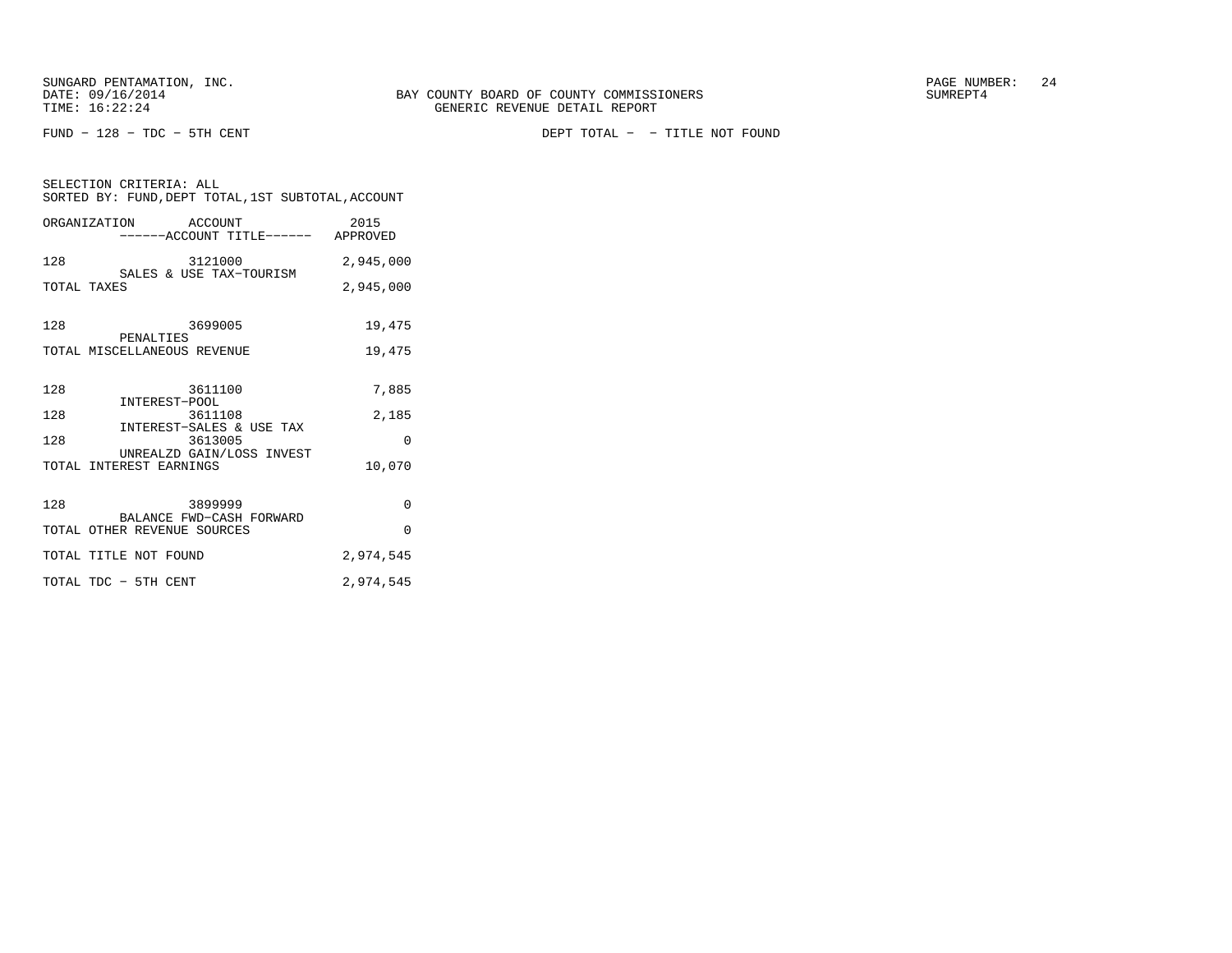SELECTION CRITERIA: ALL

FUND − 128 − TDC − 5TH CENT DEPT TOTAL − − TITLE NOT FOUND

| SELECTION CRITERIA: ALL<br>SORTED BY: FUND, DEPT TOTAL, 1ST SUBTOTAL, ACCOUNT |           |  |
|-------------------------------------------------------------------------------|-----------|--|
| ORGANIZATION ACCOUNT<br>------ACCOUNT TITLE------ APPROVED                    | 2015      |  |
| 128<br>3121000<br>SALES & USE TAX-TOURISM                                     | 2,945,000 |  |
| TOTAL TAXES                                                                   | 2,945,000 |  |
| 128<br>3699005<br>PENALTIES                                                   | 19,475    |  |
| TOTAL MISCELLANEOUS REVENUE                                                   | 19,475    |  |
| 128<br>3611100<br>INTEREST-POOL                                               | 7,885     |  |
| 128<br>3611108                                                                | 2,185     |  |
| INTEREST-SALES & USE TAX<br>128<br>3613005                                    | $\Omega$  |  |
| UNREALZD GAIN/LOSS INVEST<br>TOTAL INTEREST EARNINGS                          | 10,070    |  |
| 128<br>3899999<br>BALANCE FWD-CASH FORWARD                                    | 0         |  |
| TOTAL OTHER REVENUE SOURCES                                                   | $\Omega$  |  |
| TOTAL TITLE NOT FOUND                                                         | 2,974,545 |  |
| TOTAL TDC - 5TH CENT                                                          | 2,974,545 |  |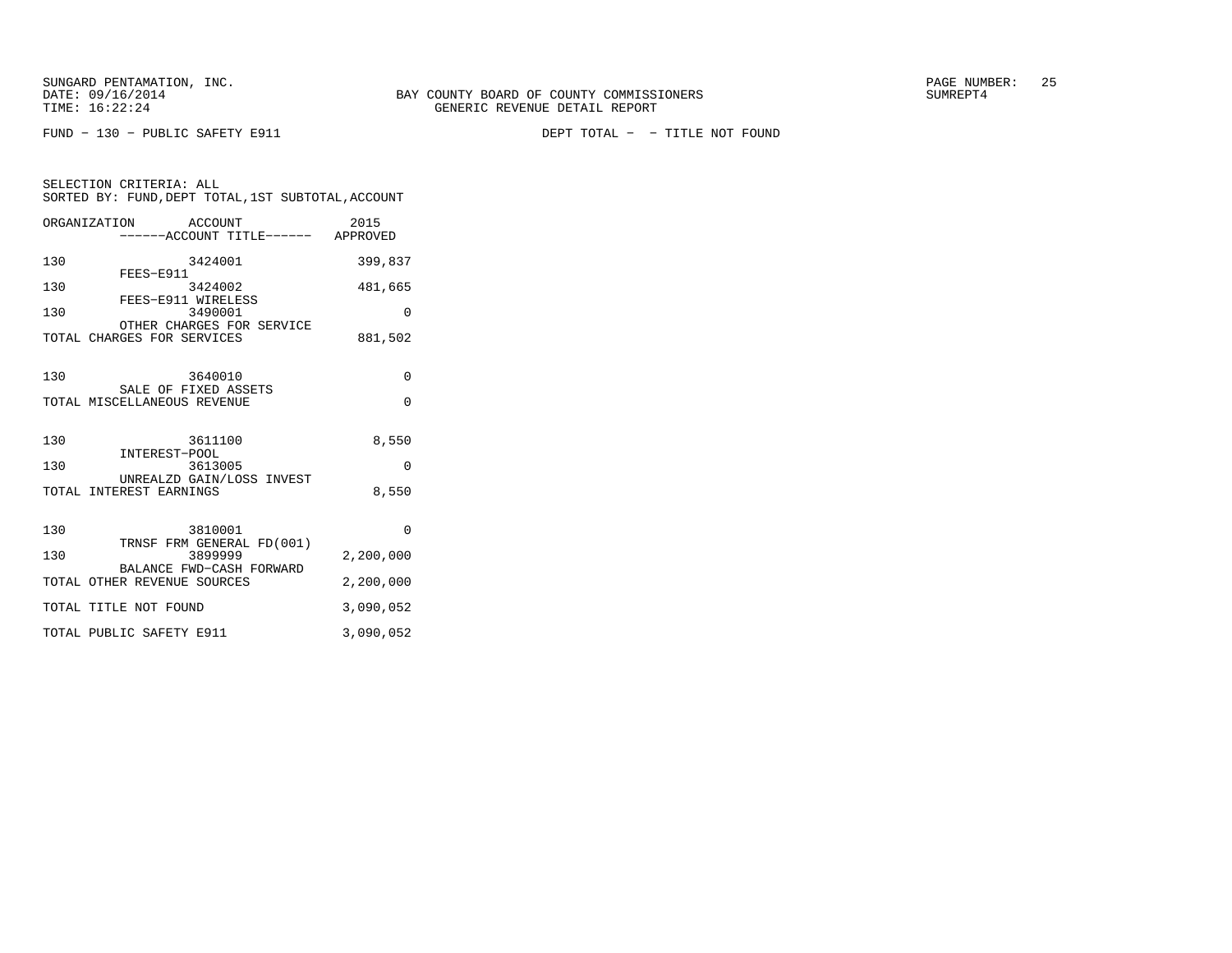SELECTION CRITERIA: ALL

FUND − 130 − PUBLIC SAFETY E911 DEPT TOTAL − − TITLE NOT FOUND

| SORTED BY: FUND, DEPT TOTAL, 1ST SUBTOTAL, ACCOUNT      |                  |
|---------------------------------------------------------|------------------|
| ORGANIZATION<br>ACCOUNT<br>------ACCOUNT TITLE------    | 2015<br>APPROVED |
| 130<br>3424001                                          | 399,837          |
| FEES-E911<br>130<br>3424002                             | 481,665          |
| FEES-E911 WIRELESS<br>130<br>3490001                    | 0                |
| OTHER CHARGES FOR SERVICE<br>TOTAL CHARGES FOR SERVICES | 881,502          |

| 130 | 3640010<br>SALE OF FIXED ASSETS                                  | U         |
|-----|------------------------------------------------------------------|-----------|
|     | TOTAL MISCELLANEOUS REVENUE                                      | U         |
|     |                                                                  |           |
| 130 | 3611100<br>INTEREST-POOL                                         | 8,550     |
| 130 | 3613005                                                          | O         |
|     | UNREALZD GAIN/LOSS INVEST<br>TOTAL INTEREST EARNINGS             | 8,550     |
| 130 | 3810001                                                          | $\Omega$  |
| 130 | TRNSF FRM GENERAL FD(001)<br>3899999<br>BALANCE FWD-CASH FORWARD | 2,200,000 |
|     | TOTAL OTHER REVENUE SOURCES                                      | 2,200,000 |
|     | TOTAL TITLE NOT FOUND                                            | 3,090,052 |
|     | TOTAL PUBLIC SAFETY E911                                         | 3,090,052 |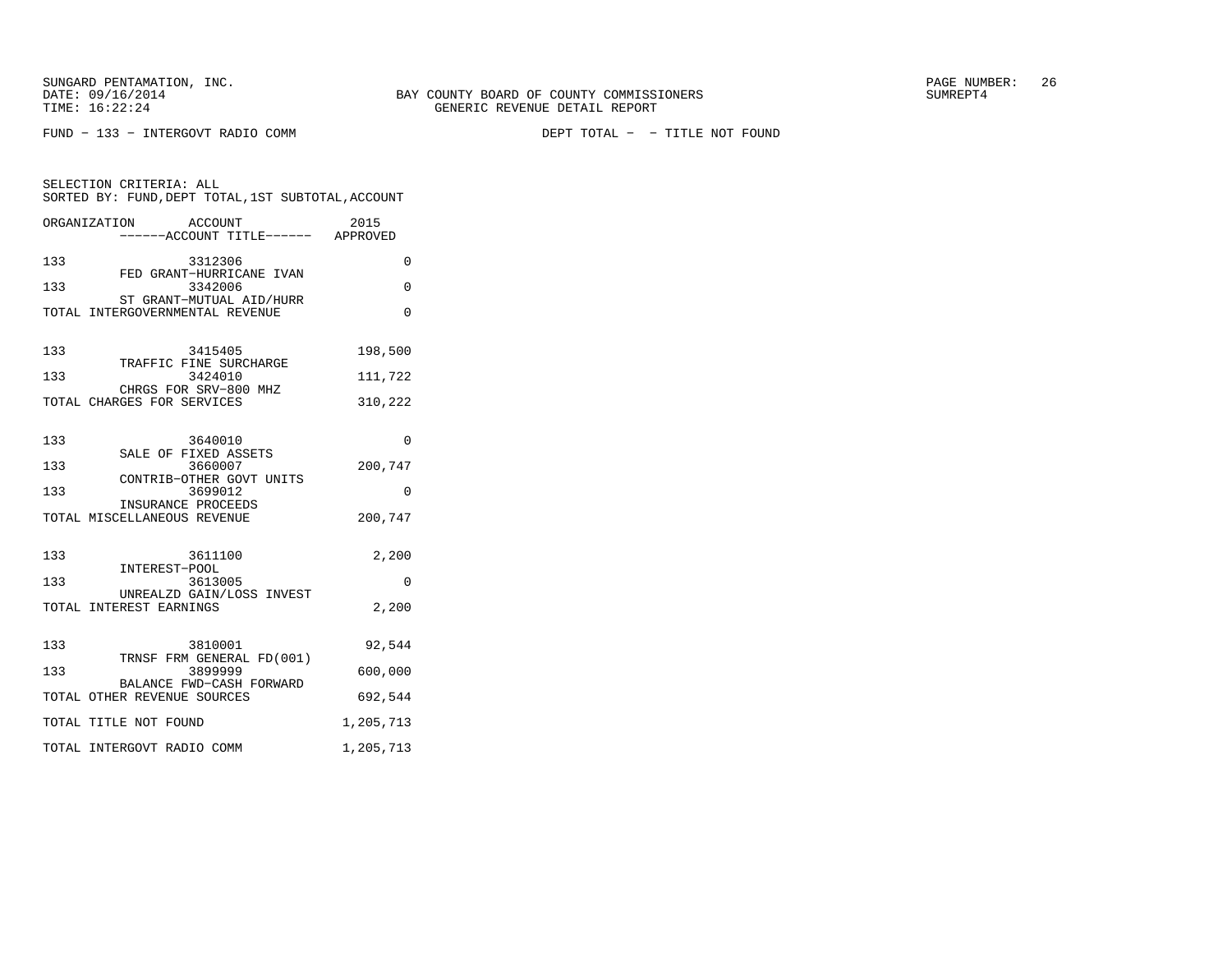FUND − 133 − INTERGOVT RADIO COMM DEPT TOTAL − − TITLE NOT FOUND

| SELECTION CRITERIA: ALL<br>SORTED BY: FUND, DEPT TOTAL, 1ST SUBTOTAL, ACCOUNT |           |
|-------------------------------------------------------------------------------|-----------|
| ORGANIZATION<br>ACCOUNT<br>-----ACCOUNT TITLE------ APPROVED                  | 2015      |
| 133<br>3312306                                                                | 0         |
| FED GRANT-HURRICANE IVAN<br>133<br>3342006                                    | 0         |
| ST GRANT-MUTUAL AID/HURR<br>TOTAL INTERGOVERNMENTAL REVENUE                   | $\Omega$  |
| 3415405<br>133<br>TRAFFIC FINE SURCHARGE                                      | 198,500   |
| 133<br>3424010<br>CHRGS FOR SRV-800 MHZ                                       | 111,722   |
| TOTAL CHARGES FOR SERVICES                                                    | 310,222   |
| 133<br>3640010<br>SALE OF FIXED ASSETS                                        | $\Omega$  |
| 133<br>3660007                                                                | 200,747   |
| CONTRIB-OTHER GOVT UNITS<br>133<br>3699012                                    | $\Omega$  |
| INSURANCE PROCEEDS<br>TOTAL MISCELLANEOUS REVENUE                             | 200,747   |
| 133<br>3611100<br>INTEREST-POOL                                               | 2,200     |
| 133<br>3613005                                                                | 0         |
| UNREALZD GAIN/LOSS INVEST<br>TOTAL INTEREST EARNINGS                          | 2,200     |
| 133<br>3810001<br>TRNSF FRM GENERAL FD(001)                                   | 92,544    |
| 133<br>3899999                                                                | 600,000   |
| BALANCE FWD-CASH FORWARD<br>TOTAL OTHER REVENUE SOURCES                       | 692,544   |
| TOTAL TITLE NOT FOUND                                                         | 1,205,713 |
| TOTAL INTERGOVT RADIO COMM                                                    | 1,205,713 |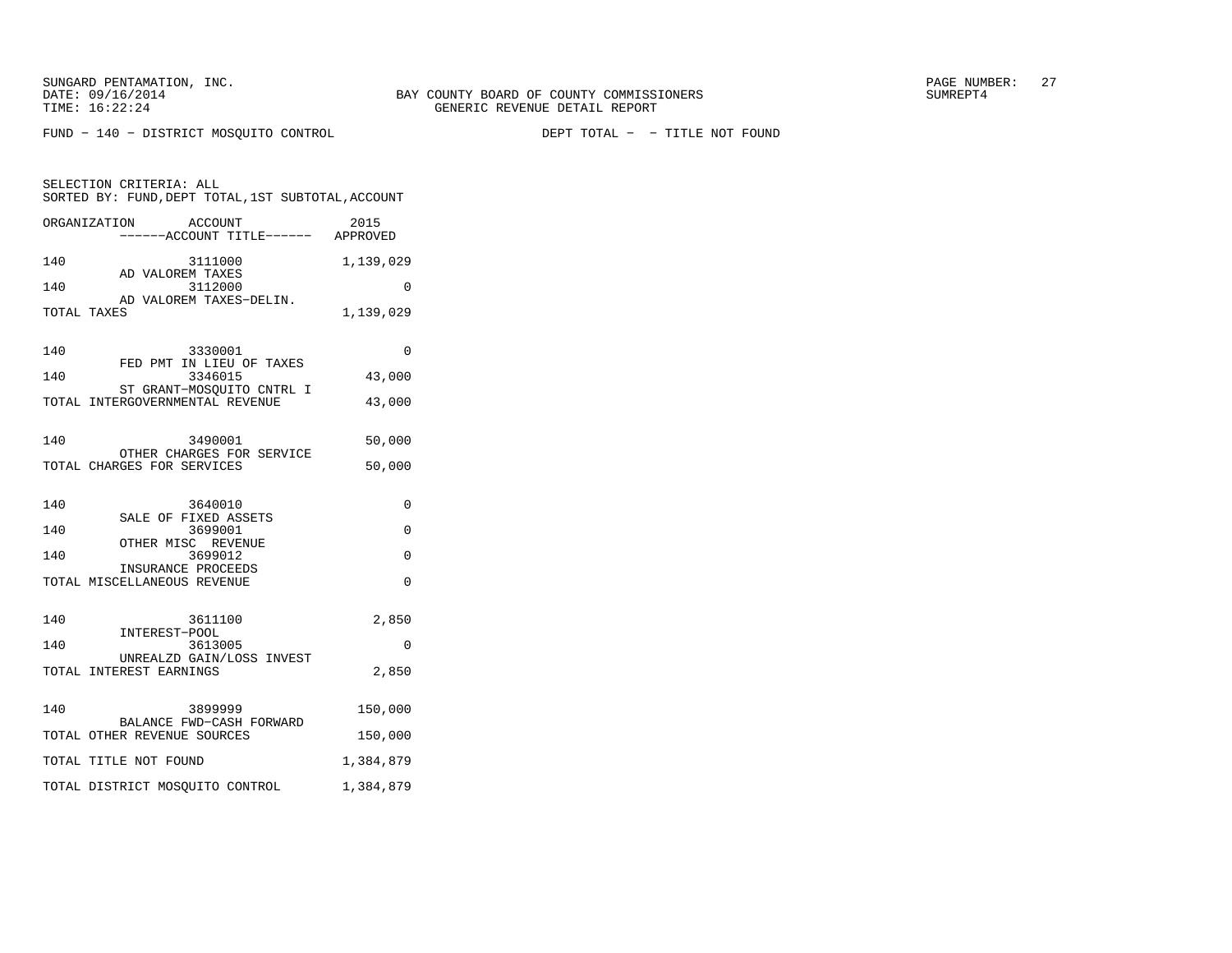FUND − 140 − DISTRICT MOSQUITO CONTROL DEPT TOTAL − − TITLE NOT FOUND

| SELECTION CRITERIA: ALL<br>SORTED BY: FUND, DEPT TOTAL, 1ST SUBTOTAL, ACCOUNT |                                                              |           |  |
|-------------------------------------------------------------------------------|--------------------------------------------------------------|-----------|--|
|                                                                               | ORGANIZATION<br>ACCOUNT<br>-----ACCOUNT TITLE------ APPROVED | 2015      |  |
| 140                                                                           | 3111000<br>AD VALOREM TAXES                                  | 1,139,029 |  |
| 140                                                                           | 3112000<br>AD VALOREM TAXES-DELIN.                           | 0         |  |
| TOTAL TAXES                                                                   |                                                              | 1,139,029 |  |
| 140                                                                           | 3330001<br>FED PMT IN LIEU OF TAXES                          | 0         |  |
| 140                                                                           | 3346015<br>ST GRANT-MOSOUITO CNTRL I                         | 43,000    |  |
|                                                                               | TOTAL INTERGOVERNMENTAL REVENUE                              | 43,000    |  |
| 140                                                                           | 3490001<br>OTHER CHARGES FOR SERVICE                         | 50,000    |  |
|                                                                               | TOTAL CHARGES FOR SERVICES                                   | 50,000    |  |
| 140                                                                           | 3640010<br>SALE OF FIXED ASSETS                              | 0         |  |
| 140                                                                           | 3699001<br>OTHER MISC REVENUE                                | 0         |  |
| 140                                                                           | 3699012<br>INSURANCE PROCEEDS                                | 0         |  |
|                                                                               | TOTAL MISCELLANEOUS REVENUE                                  | $\Omega$  |  |
| 140                                                                           | 3611100<br>INTEREST-POOL                                     | 2,850     |  |
| 140                                                                           | 3613005<br>UNREALZD GAIN/LOSS INVEST                         | $\Omega$  |  |
|                                                                               | TOTAL INTEREST EARNINGS                                      | 2,850     |  |
| 140                                                                           | 3899999<br>BALANCE FWD-CASH FORWARD                          | 150,000   |  |
|                                                                               | TOTAL OTHER REVENUE SOURCES                                  | 150,000   |  |
|                                                                               | TOTAL TITLE NOT FOUND                                        | 1,384,879 |  |
|                                                                               | TOTAL DISTRICT MOSQUITO CONTROL                              | 1,384,879 |  |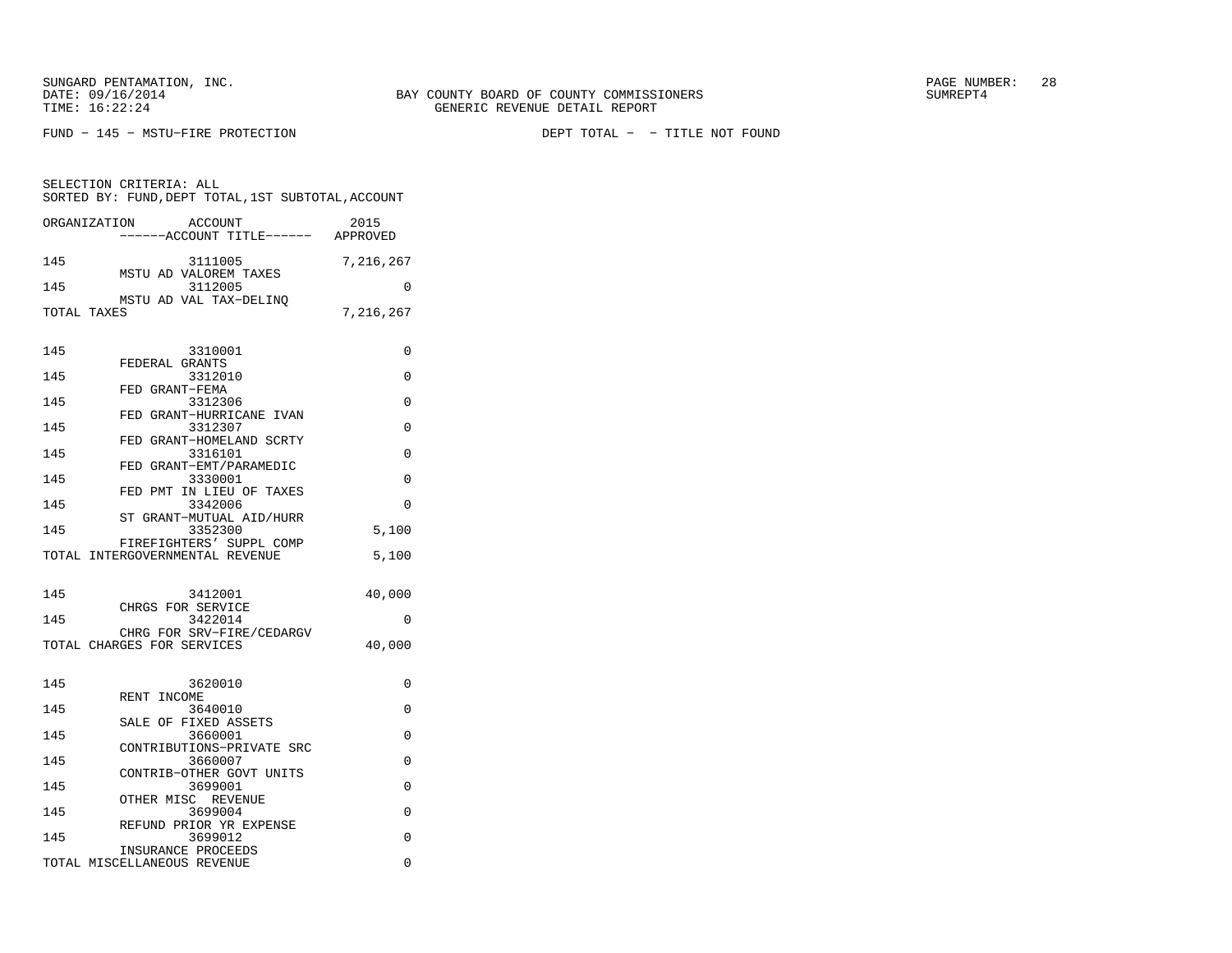SUNGARD PENTAMATION, INC.  $28$ 

SELECTION CRITERIA: ALL

FUND − 145 − MSTU−FIRE PROTECTION DEPT TOTAL − − TITLE NOT FOUND

145 3111005 7,216,267 MSTU AD VALOREM TAXES145 3112005 0 MSTU AD VAL TAX-DELINQ<br>TOTAL TAXES 7,216,267 145 3310001 0 FEDERAL GRANTS 145 3312010 0 FED GRANT−FEMA 145 3312306 0 FED GRANT−HURRICANE IVAN145 3312307 0 FED GRANT−HOMELAND SCRTY145 3316101 0 FED GRANT−EMT/PARAMEDIC145 3330001 0 FED PMT IN LIEU OF TAXES145 3342006 0 ST GRANT−MUTUAL AID/HURR145 3352300 5,100 FIREFIGHTERS' SUPPL COMP TOTAL INTERGOVERNMENTAL REVENUE 5,100 145 3412001 40,000 CHRGS FOR SERVICE 145 3422014 0 CHRG FOR SRV−FIRE/CEDARGV

 SORTED BY: FUND,DEPT TOTAL,1ST SUBTOTAL,ACCOUNTORGANIZATION ACCOUNT 2015−−−−−−ACCOUNT TITLE−−−−−− APPROVED

| 145 | 3620010                              | U        |
|-----|--------------------------------------|----------|
| 145 | RENT INCOME<br>3640010               | O        |
|     | SALE OF FIXED ASSETS                 |          |
| 145 | 3660001<br>CONTRIBUTIONS-PRIVATE SRC | O        |
| 145 | 3660007                              | U        |
| 145 | CONTRIB-OTHER GOVT UNITS<br>3699001  | U        |
|     | OTHER MISC REVENUE                   |          |
| 145 | 3699004                              | $\Omega$ |
| 145 | REFUND PRIOR YR EXPENSE<br>3699012   | O        |
|     | INSURANCE PROCEEDS                   |          |
|     | TOTAL MISCELLANEOUS REVENUE          | U        |

TOTAL CHARGES FOR SERVICES 40,000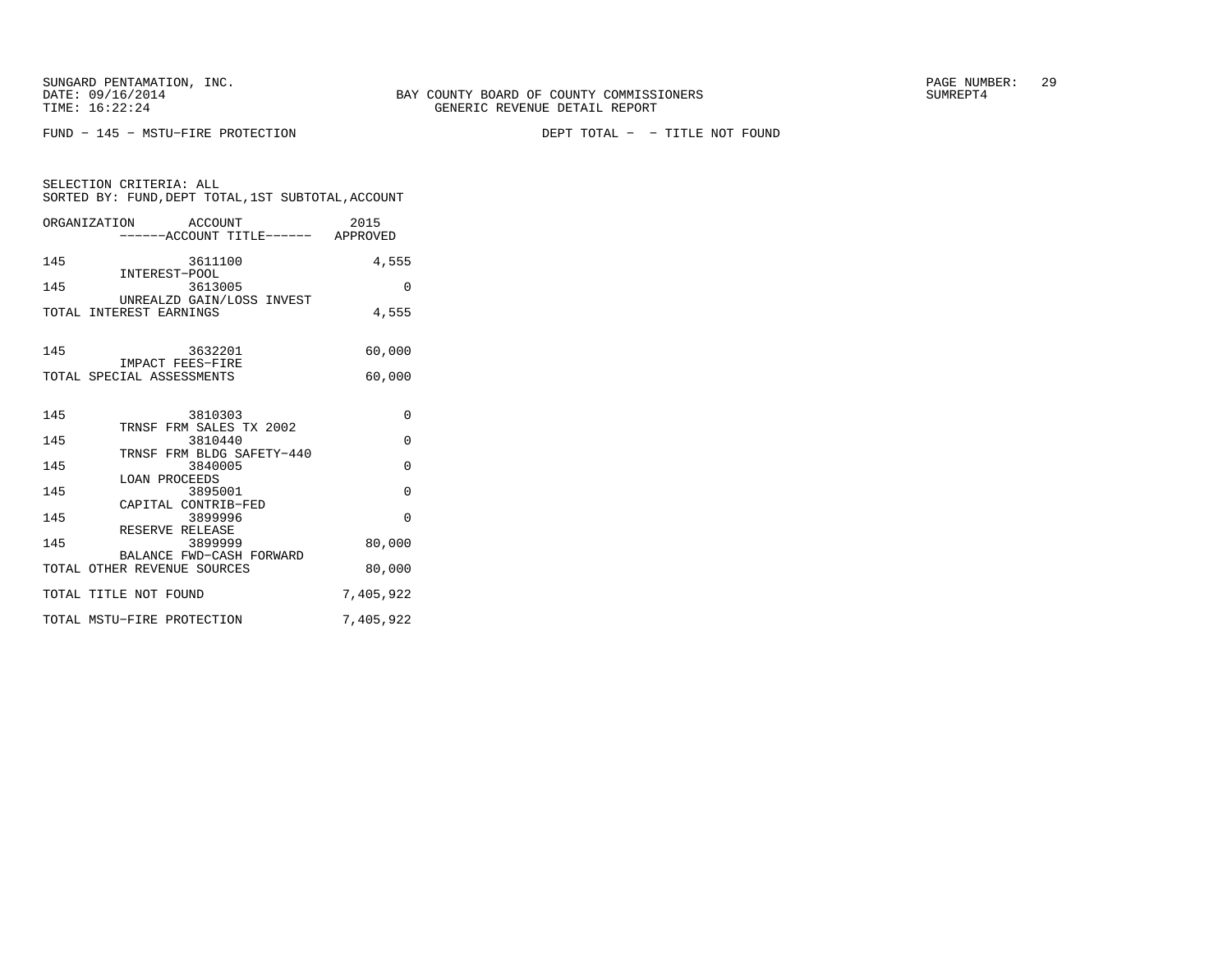SELECTION CRITERIA: ALL

FUND − 145 − MSTU−FIRE PROTECTION DEPT TOTAL − − TITLE NOT FOUND

| ORGANIZATION ACCOUNT<br>-----ACCOUNT TITLE------ APPROVED     | 2015      |
|---------------------------------------------------------------|-----------|
| 145<br>3611100<br>INTEREST-POOL                               | 4,555     |
| 145<br>3613005                                                | $\Omega$  |
| UNREALZD GAIN/LOSS INVEST<br>TOTAL INTEREST EARNINGS          | 4,555     |
| 145<br>3632201<br>IMPACT FEES-FIRE                            | 60,000    |
| TOTAL SPECIAL ASSESSMENTS                                     | 60,000    |
| 145<br>3810303<br>TRNSF FRM SALES TX 2002                     | $\Omega$  |
| 145<br>3810440                                                | $\Omega$  |
| TRNSF FRM BLDG SAFETY-440<br>145<br>3840005                   | $\Omega$  |
| <b>LOAN PROCEEDS</b><br>145<br>3895001                        | $\Omega$  |
| CAPITAL CONTRIB-FED<br>145<br>3899996                         | $\Omega$  |
| RESERVE RELEASE<br>145<br>3899999<br>BALANCE FWD-CASH FORWARD | 80,000    |
| TOTAL OTHER REVENUE SOURCES                                   | 80,000    |
| TOTAL TITLE NOT FOUND                                         | 7,405,922 |
| TOTAL MSTU-FIRE PROTECTION                                    | 7,405,922 |

SORTED BY: FUND,DEPT TOTAL,1ST SUBTOTAL,ACCOUNT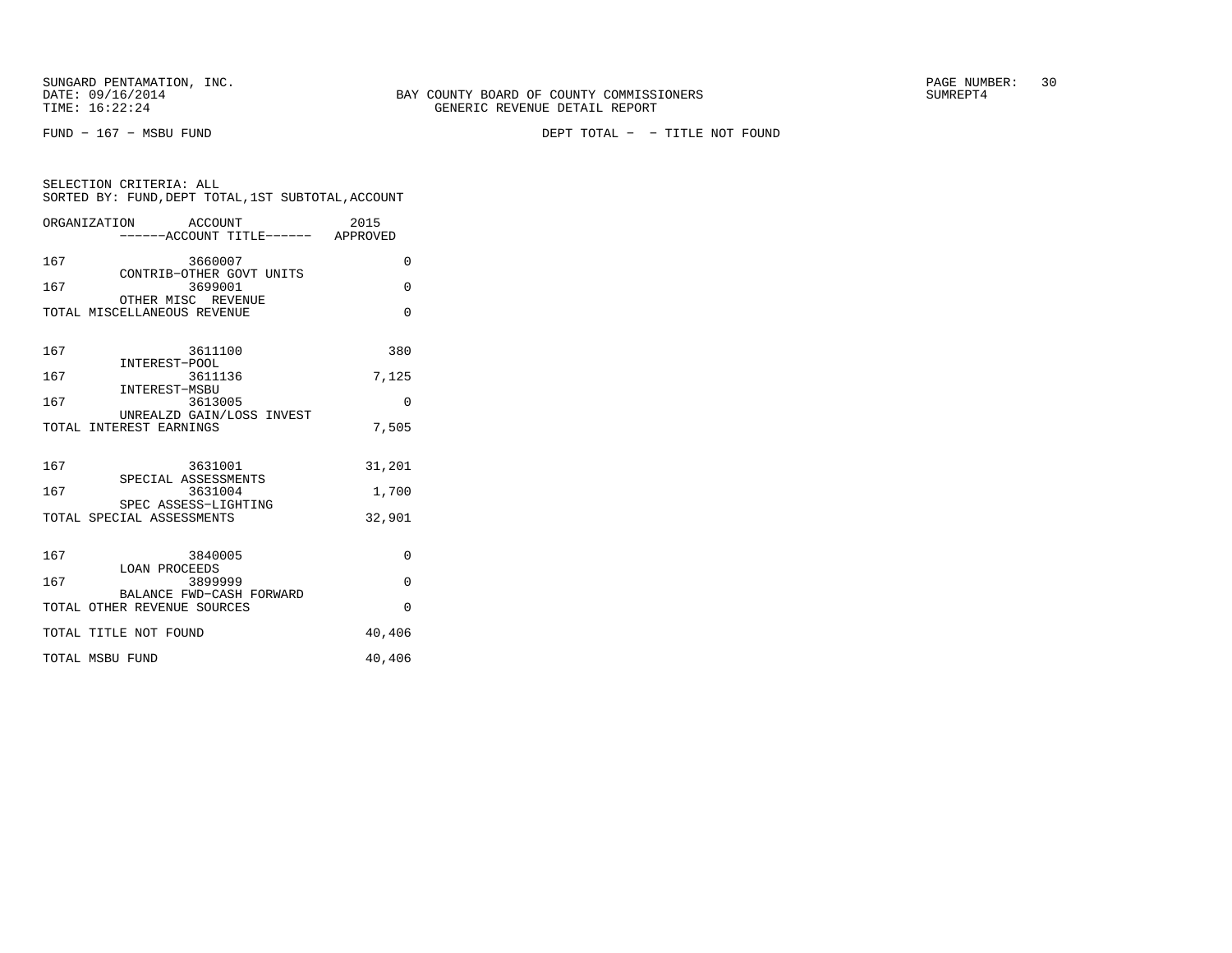SELECTION CRITERIA: ALL

FUND − 167 − MSBU FUND DEPT TOTAL − − TITLE NOT FOUND

|     | SORTED BY: FUND, DEPT TOTAL, 1ST SUBTOTAL, ACCOUNT |         |  |                                            |
|-----|----------------------------------------------------|---------|--|--------------------------------------------|
|     | ORGANIZATION                                       | ACCOUNT |  | 2015<br>------ACCOUNT TITLE------ APPROVED |
| 167 | CONTRIB-OTHER GOVT UNITS                           | 3660007 |  | 0                                          |
| 167 | OTHER MISC REVENUE                                 | 3699001 |  | 0                                          |
|     | TOTAL MISCELLANEOUS REVENUE                        |         |  | 0                                          |
| 167 | INTEREST-POOL                                      | 3611100 |  | 380                                        |
| 167 | INTEREST-MSBU                                      | 3611136 |  | 7,125                                      |
| 167 | UNREALZD GAIN/LOSS INVEST                          | 3613005 |  | 0                                          |
|     | TOTAL INTEREST EARNINGS                            |         |  | 7,505                                      |
| 167 | SPECIAL ASSESSMENTS                                | 3631001 |  | 31,201                                     |
| 167 | SPEC ASSESS-LIGHTING                               | 3631004 |  | 1,700                                      |
|     | TOTAL SPECIAL ASSESSMENTS                          |         |  | 32,901                                     |
| 167 | <b>LOAN PROCEEDS</b>                               | 3840005 |  | 0                                          |
| 167 | BALANCE FWD-CASH FORWARD                           | 3899999 |  | 0                                          |
|     | TOTAL OTHER REVENUE SOURCES                        |         |  | U                                          |
|     | TOTAL TITLE NOT FOUND                              |         |  | 40,406                                     |
|     | TOTAL MSBU FUND                                    |         |  | 40,406                                     |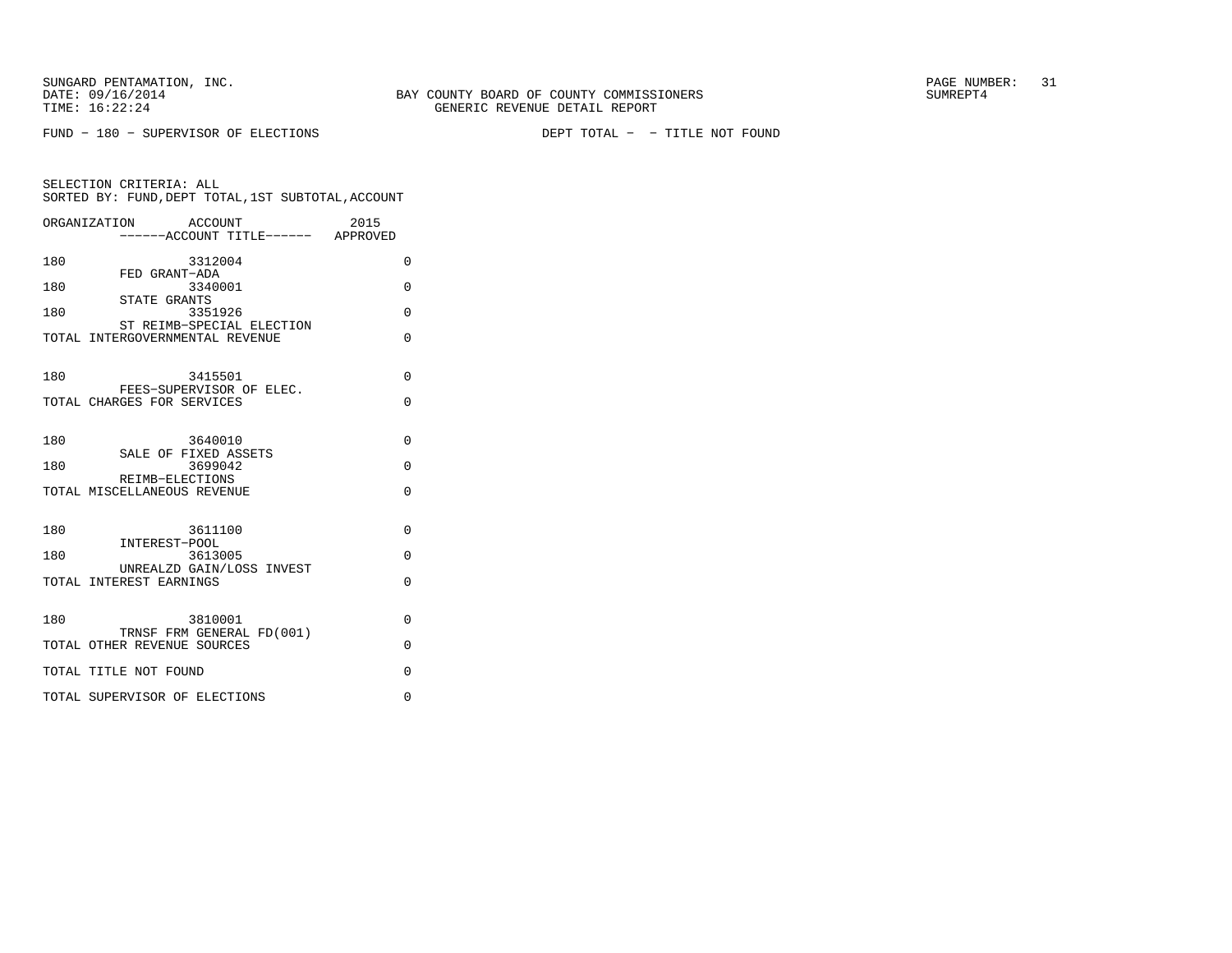FUND − 180 − SUPERVISOR OF ELECTIONS DEPT TOTAL − − TITLE NOT FOUND

|     | ORGANIZATION<br><b>ACCOUNT</b>                               | 2015     |
|-----|--------------------------------------------------------------|----------|
|     | ------ACCOUNT TITLE------ APPROVED                           |          |
| 180 | 3312004                                                      | 0        |
| 180 | FED GRANT-ADA<br>3340001                                     | $\Omega$ |
| 180 | STATE GRANTS<br>3351926                                      | $\Omega$ |
|     | ST REIMB-SPECIAL ELECTION<br>TOTAL INTERGOVERNMENTAL REVENUE | $\Omega$ |
| 180 | 3415501                                                      | $\Omega$ |
|     | FEES-SUPERVISOR OF ELEC.<br>TOTAL CHARGES FOR SERVICES       | $\Omega$ |
| 180 | 3640010                                                      | $\Omega$ |
|     | SALE OF FIXED ASSETS                                         |          |
| 180 | 3699042<br>REIMB-ELECTIONS                                   | $\Omega$ |
|     | TOTAL MISCELLANEOUS REVENUE                                  | $\Omega$ |
| 180 | 3611100                                                      | $\Omega$ |
| 180 | INTEREST-POOL<br>3613005                                     | $\Omega$ |
|     | UNREALZD GAIN/LOSS INVEST                                    |          |
|     | TOTAL INTEREST EARNINGS                                      | $\Omega$ |
| 180 | 3810001                                                      | $\Omega$ |
|     | TRNSF FRM GENERAL FD(001)<br>TOTAL OTHER REVENUE SOURCES     | $\Omega$ |
|     | TOTAL TITLE NOT FOUND                                        | $\Omega$ |
|     | TOTAL SUPERVISOR OF ELECTIONS                                | $\Omega$ |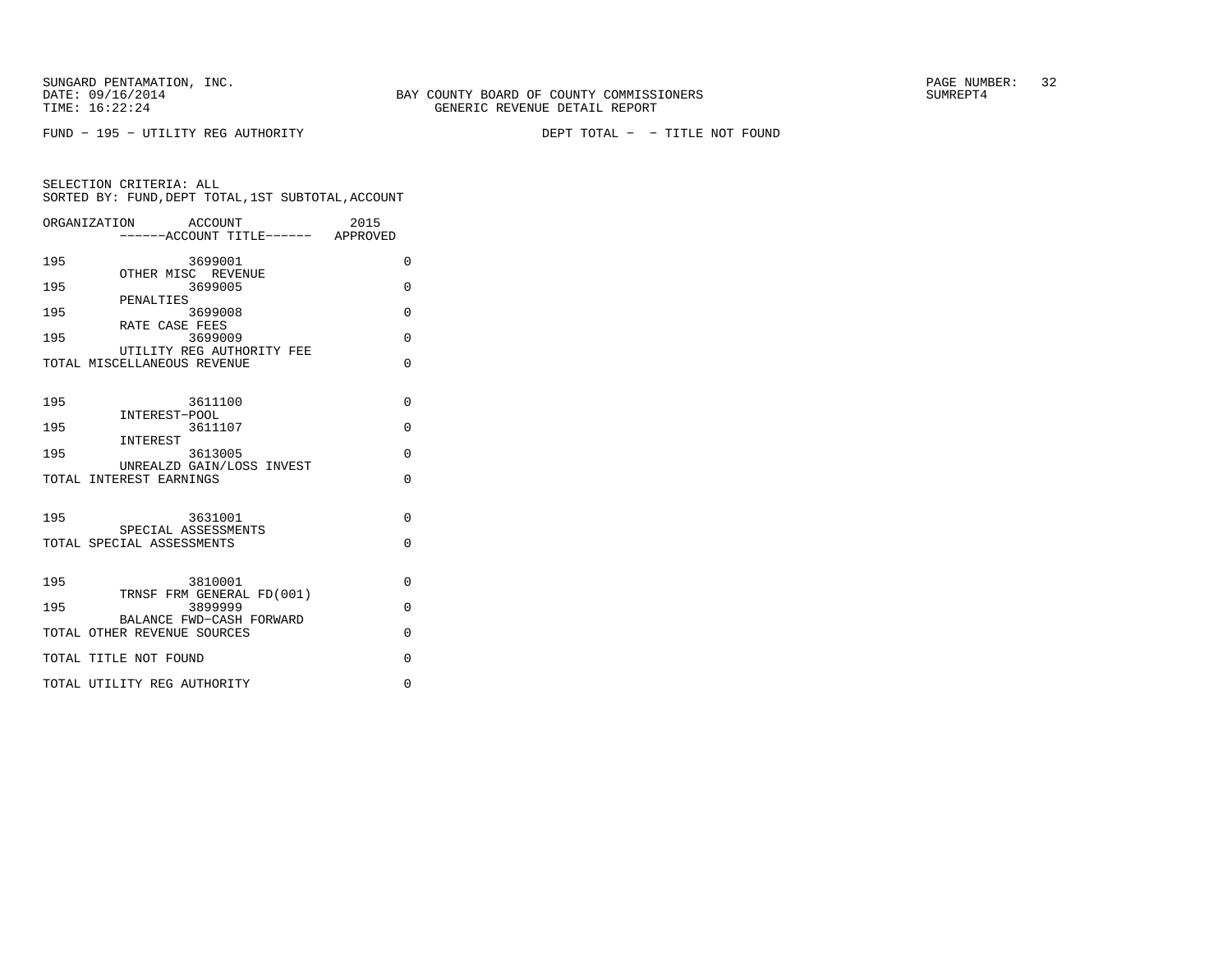FUND − 195 − UTILITY REG AUTHORITY DEPT TOTAL − − TITLE NOT FOUND

|     | ORGANIZATION<br>ACCOUNT<br>-----ACCOUNT TITLE------ APPROVED | 2015     |
|-----|--------------------------------------------------------------|----------|
| 195 | 3699001                                                      | 0        |
| 195 | OTHER MISC REVENUE<br>3699005                                | $\Omega$ |
| 195 | PENALTIES<br>3699008                                         | $\Omega$ |
| 195 | RATE CASE FEES<br>3699009                                    | $\Omega$ |
|     | UTILITY REG AUTHORITY FEE<br>TOTAL MISCELLANEOUS REVENUE     | $\Omega$ |
| 195 | 3611100                                                      | 0        |
| 195 | INTEREST-POOL<br>3611107                                     | 0        |
| 195 | INTEREST<br>3613005                                          | $\Omega$ |
|     | UNREALZD GAIN/LOSS INVEST<br>TOTAL INTEREST EARNINGS         | $\Omega$ |
| 195 | 3631001<br>SPECIAL ASSESSMENTS                               | $\Omega$ |
|     | TOTAL SPECIAL ASSESSMENTS                                    | $\Omega$ |
| 195 | 3810001                                                      | $\Omega$ |
| 195 | TRNSF FRM GENERAL FD(001)<br>3899999                         | $\Omega$ |
|     | BALANCE FWD-CASH FORWARD<br>TOTAL OTHER REVENUE SOURCES      | $\Omega$ |
|     | TOTAL TITLE NOT FOUND                                        | $\Omega$ |
|     | TOTAL UTILITY REG AUTHORITY                                  | $\Omega$ |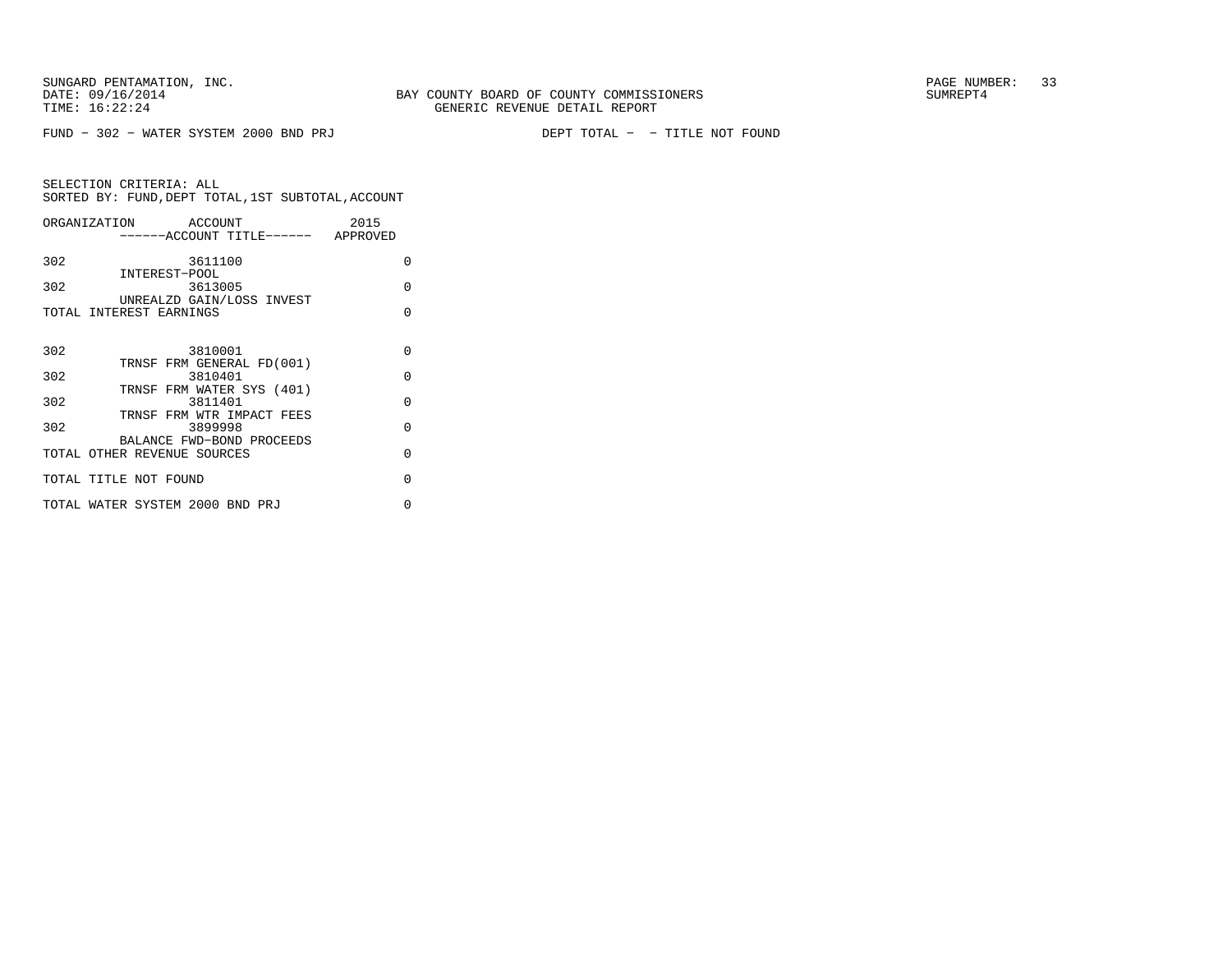| ORGANIZATION ACCOUNT            |                                      | 2015     |
|---------------------------------|--------------------------------------|----------|
|                                 | ------ACCOUNT TITLE------ APPROVED   |          |
| 302                             | 3611100                              | O        |
| INTEREST-POOL<br>302            | 3613005                              | O        |
| TOTAL INTEREST EARNINGS         | UNREALZD GAIN/LOSS INVEST            | O        |
|                                 |                                      |          |
| 302                             | 3810001                              | $\Omega$ |
|                                 | TRNSF FRM GENERAL FD(001)            |          |
| 302                             | 3810401<br>TRNSF FRM WATER SYS (401) | $\Omega$ |
| 302                             | 3811401                              | $\Omega$ |
| 302                             | TRNSF FRM WTR IMPACT FEES<br>3899998 | O        |
|                                 | BALANCE FWD-BOND PROCEEDS            |          |
| TOTAL OTHER REVENUE SOURCES     |                                      | O        |
| TOTAL TITLE NOT FOUND           |                                      | O        |
| TOTAL WATER SYSTEM 2000 BND PRJ |                                      | U        |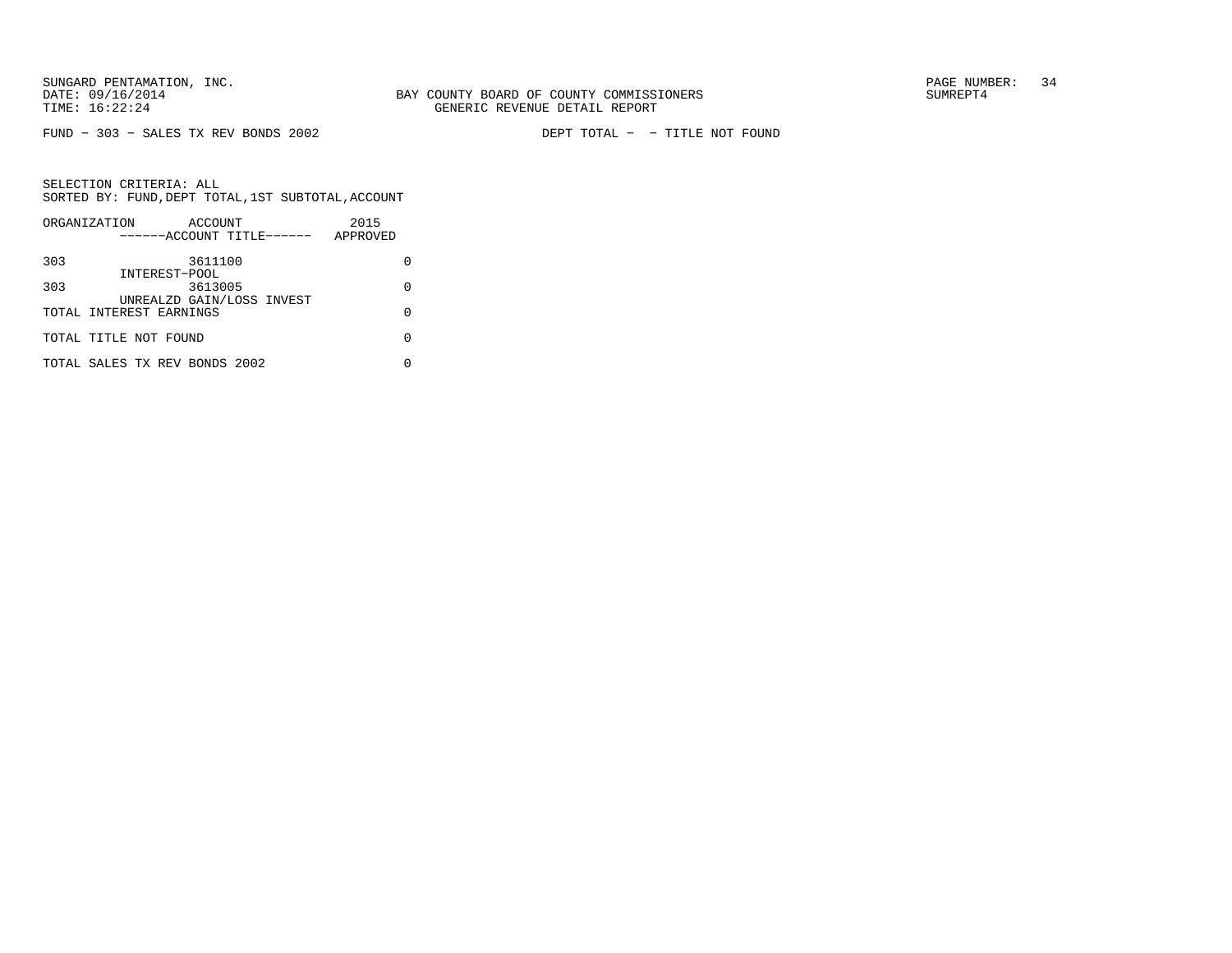FUND − 303 − SALES TX REV BONDS 2002 DEPT TOTAL − − TITLE NOT FOUND

|     | ORGANIZATION<br>ACCOUNT       | 2015     |
|-----|-------------------------------|----------|
|     | ------ACCOUNT TITLE------     | APPROVED |
| 303 | 3611100                       |          |
|     | INTEREST-POOL                 |          |
| 303 | 3613005                       | O        |
|     | UNREALZD GAIN/LOSS INVEST     |          |
|     | TOTAL INTEREST EARNINGS       | U        |
|     |                               |          |
|     | TOTAL TITLE NOT FOUND         |          |
|     |                               |          |
|     | TOTAL SALES TX REV BONDS 2002 |          |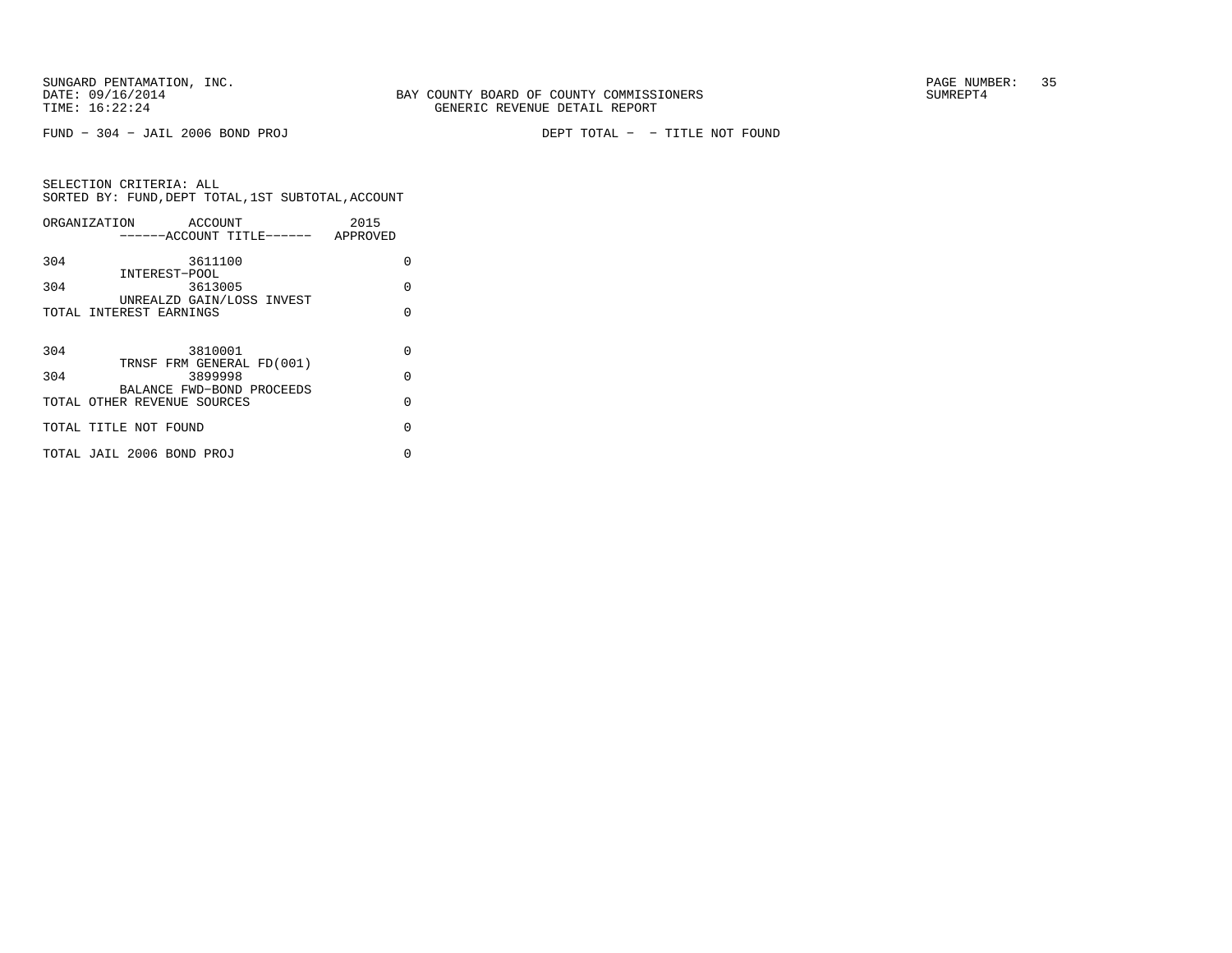FUND − 304 − JAIL 2006 BOND PROJ DEPT TOTAL − − TITLE NOT FOUND

|     | ORGANIZATION ACCOUNT               | 2015     |
|-----|------------------------------------|----------|
|     | ------ACCOUNT TITLE------ APPROVED |          |
| 304 | 3611100                            | U        |
|     | INTEREST-POOL                      |          |
| 304 | 3613005                            | O        |
|     | UNREALZD GAIN/LOSS INVEST          |          |
|     | TOTAL INTEREST EARNINGS            | O        |
|     |                                    |          |
| 304 | 3810001                            | O        |
|     | TRNSF FRM GENERAL FD(001)          |          |
| 304 | 3899998                            | $\Omega$ |
|     | BALANCE FWD-BOND PROCEEDS          |          |
|     | TOTAL OTHER REVENUE SOURCES        | $\Omega$ |
|     |                                    |          |
|     | TOTAL TITLE NOT FOUND              | $\Omega$ |
|     |                                    |          |
|     | TOTAL JAIL 2006 BOND PROJ          | 0        |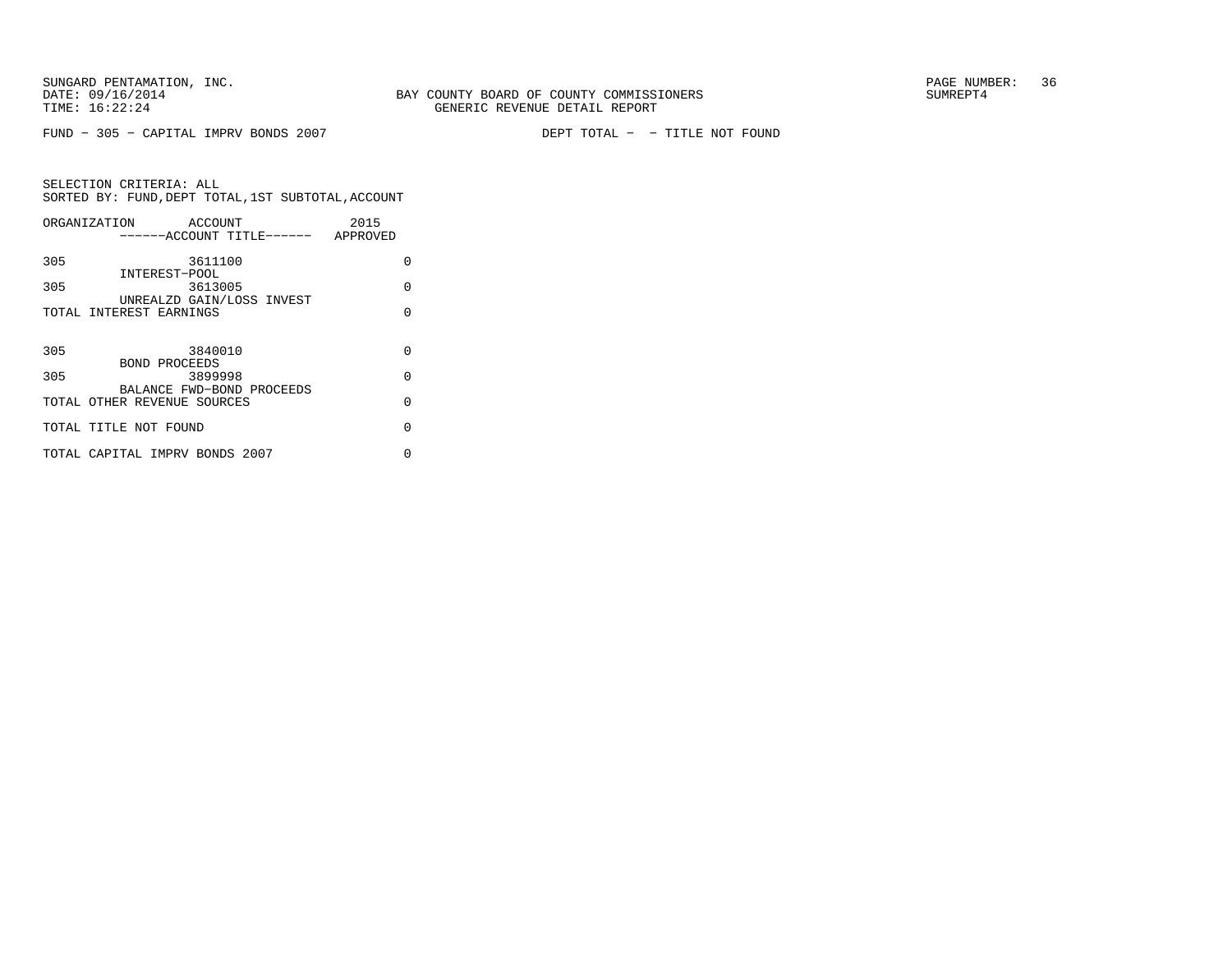FUND − 305 − CAPITAL IMPRV BONDS 2007 DEPT TOTAL − − TITLE NOT FOUND

|     | ORGANIZATION<br>ACCOUNT            | 2015     |
|-----|------------------------------------|----------|
|     | ------ACCOUNT TITLE------ APPROVED |          |
| 305 | 3611100                            | O        |
|     | INTEREST-POOL                      |          |
| 305 | 3613005                            | $\Omega$ |
|     | UNREALZD GAIN/LOSS INVEST          |          |
|     | TOTAL INTEREST EARNINGS            | U        |
|     |                                    |          |
| 305 | 3840010                            | O        |
|     | BOND PROCEEDS                      |          |
| 305 | 3899998                            | $\Omega$ |
|     | BALANCE FWD-BOND PROCEEDS          |          |
|     | TOTAL OTHER REVENUE SOURCES        | $\Omega$ |
|     | TOTAL TITLE NOT FOUND              | U        |
|     |                                    |          |
|     | TOTAL CAPITAL IMPRV BONDS 2007     | O        |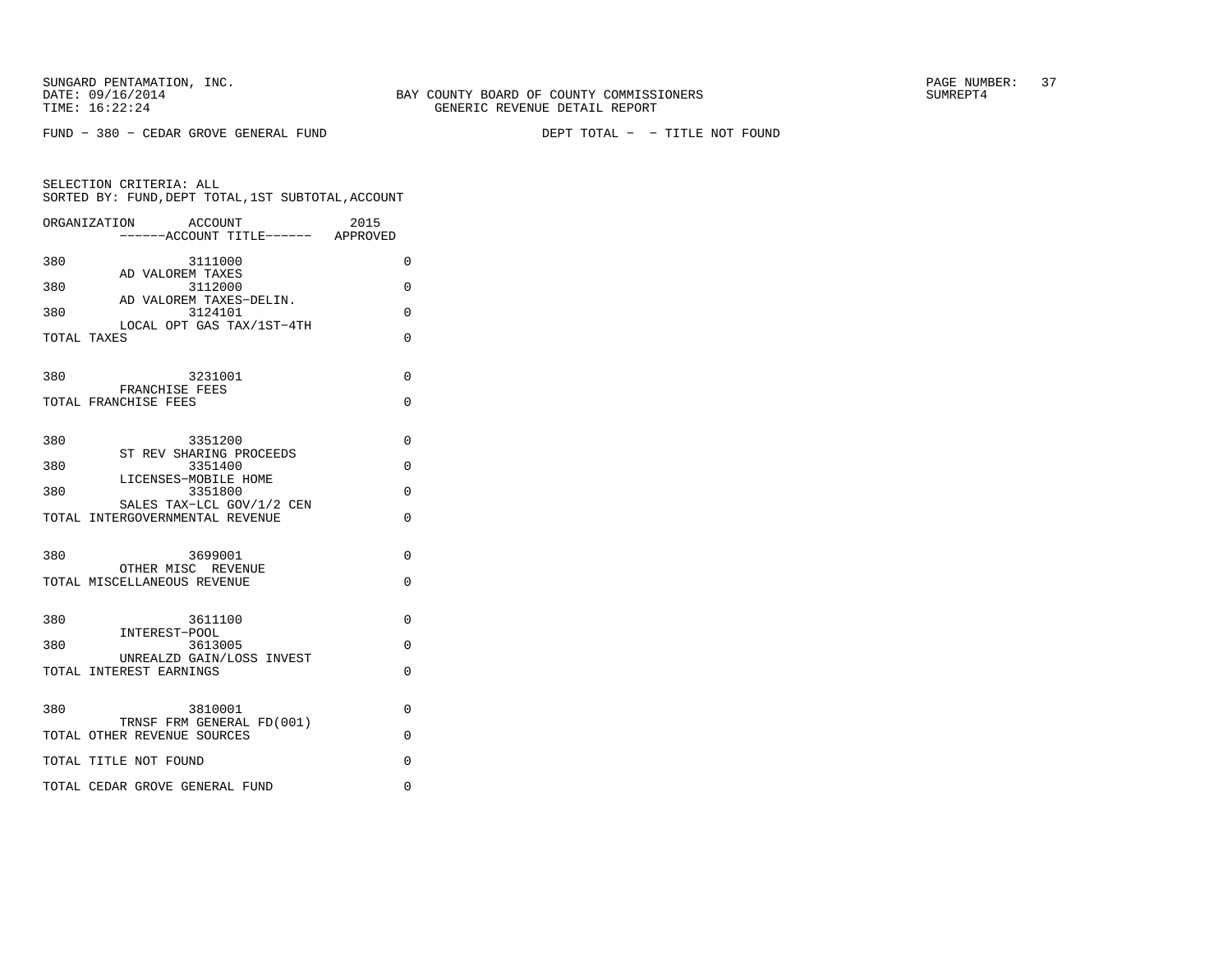|             | ORGANIZATION<br><b>ACCOUNT</b><br>------ACCOUNT TITLE------ APPROVED | 2015     |
|-------------|----------------------------------------------------------------------|----------|
| 380         | 3111000                                                              | $\Omega$ |
| 380         | AD VALOREM TAXES<br>3112000                                          | $\Omega$ |
| 380         | AD VALOREM TAXES-DELIN.<br>3124101                                   | $\Omega$ |
| TOTAL TAXES | LOCAL OPT GAS TAX/1ST-4TH                                            | 0        |
| 380         | 3231001                                                              | 0        |
|             | FRANCHISE FEES<br>TOTAL FRANCHISE FEES                               | 0        |
|             |                                                                      |          |
| 380         | 3351200<br>ST REV SHARING PROCEEDS                                   | $\Omega$ |
| 380         | 3351400<br>LICENSES-MOBILE HOME                                      | $\Omega$ |
| 380         | 3351800<br>SALES TAX-LCL GOV/1/2 CEN                                 | $\Omega$ |
|             | TOTAL INTERGOVERNMENTAL REVENUE                                      | $\Omega$ |
| 380         | 3699001                                                              | 0        |
|             | OTHER MISC REVENUE<br>TOTAL MISCELLANEOUS REVENUE                    | $\Omega$ |
|             |                                                                      |          |
| 380         | 3611100<br>INTEREST-POOL                                             | $\Omega$ |
| 380         | 3613005<br>UNREALZD GAIN/LOSS INVEST                                 | 0        |
|             | TOTAL INTEREST EARNINGS                                              | $\Omega$ |
| 380         | 3810001                                                              | 0        |
|             | TRNSF FRM GENERAL FD(001)<br>TOTAL OTHER REVENUE SOURCES             | 0        |
|             | TOTAL TITLE NOT FOUND                                                | 0        |
|             | TOTAL CEDAR GROVE GENERAL FUND                                       | 0        |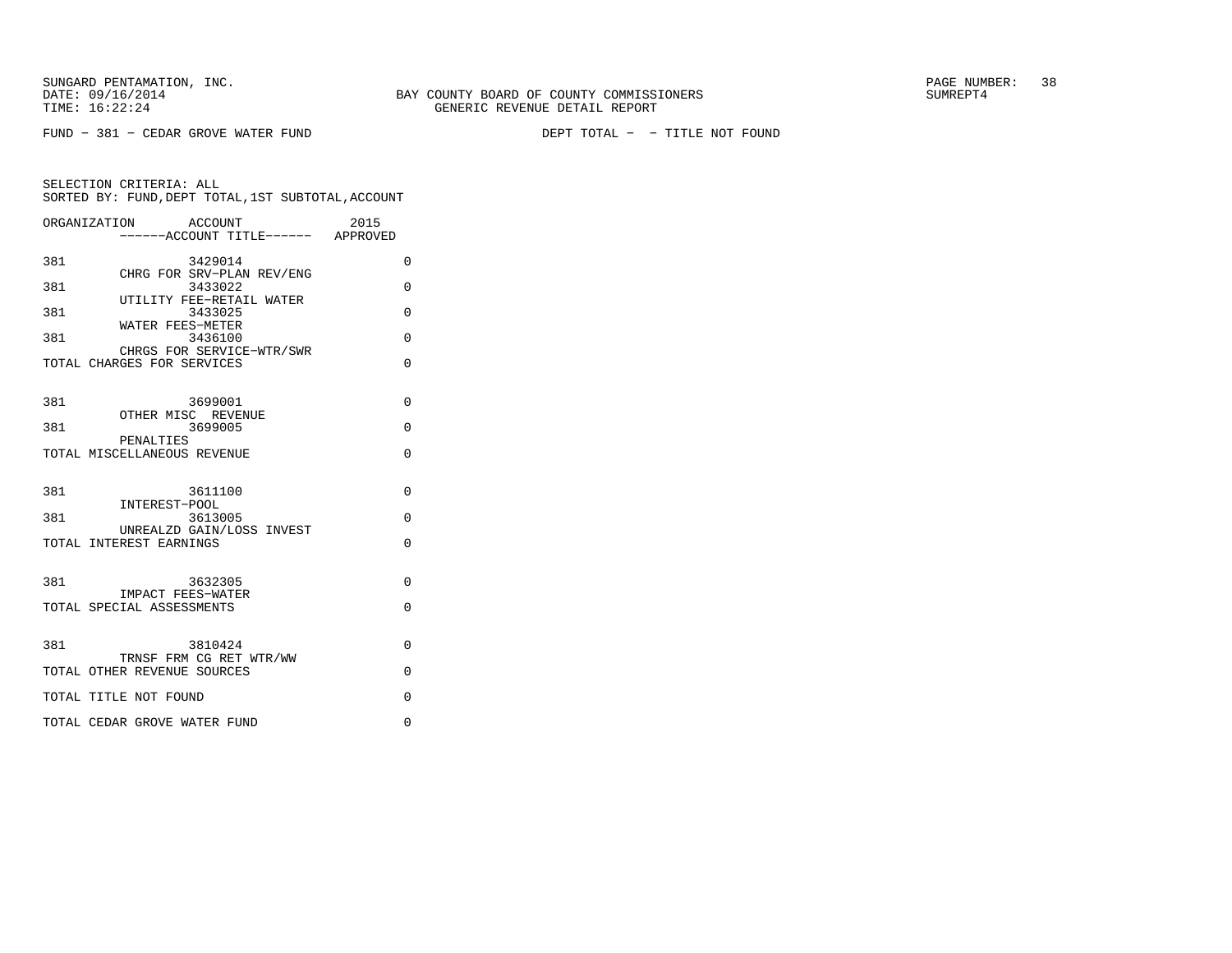| ORGANIZATION | ACCOUNT                                                 | 2015     |
|--------------|---------------------------------------------------------|----------|
| 381          | 3429014                                                 | 0        |
| 381          | CHRG FOR SRV-PLAN REV/ENG<br>3433022                    | $\Omega$ |
| 381          | UTILITY FEE-RETAIL WATER<br>3433025                     | $\Omega$ |
| 381          | WATER FEES-METER<br>3436100                             | $\Omega$ |
|              | CHRGS FOR SERVICE-WTR/SWR<br>TOTAL CHARGES FOR SERVICES | $\Omega$ |
| 381          | 3699001                                                 | $\Omega$ |
| 381          | OTHER MISC REVENUE<br>3699005                           | $\Omega$ |
|              | PENALTIES<br>TOTAL MISCELLANEOUS REVENUE                | 0        |
| 381          | 3611100                                                 | 0        |
| 381          | INTEREST-POOL<br>3613005                                | $\Omega$ |
|              | UNREALZD GAIN/LOSS INVEST<br>TOTAL INTEREST EARNINGS    | $\Omega$ |
| 381          | 3632305                                                 | $\Omega$ |
|              | IMPACT FEES-WATER<br>TOTAL SPECIAL ASSESSMENTS          | $\Omega$ |
| 381          | 3810424<br>TRNSF FRM CG RET WTR/WW                      | $\Omega$ |
|              | TOTAL OTHER REVENUE SOURCES                             | $\Omega$ |
|              | TOTAL TITLE NOT FOUND                                   | $\Omega$ |
|              | TOTAL CEDAR GROVE WATER FUND                            | $\Omega$ |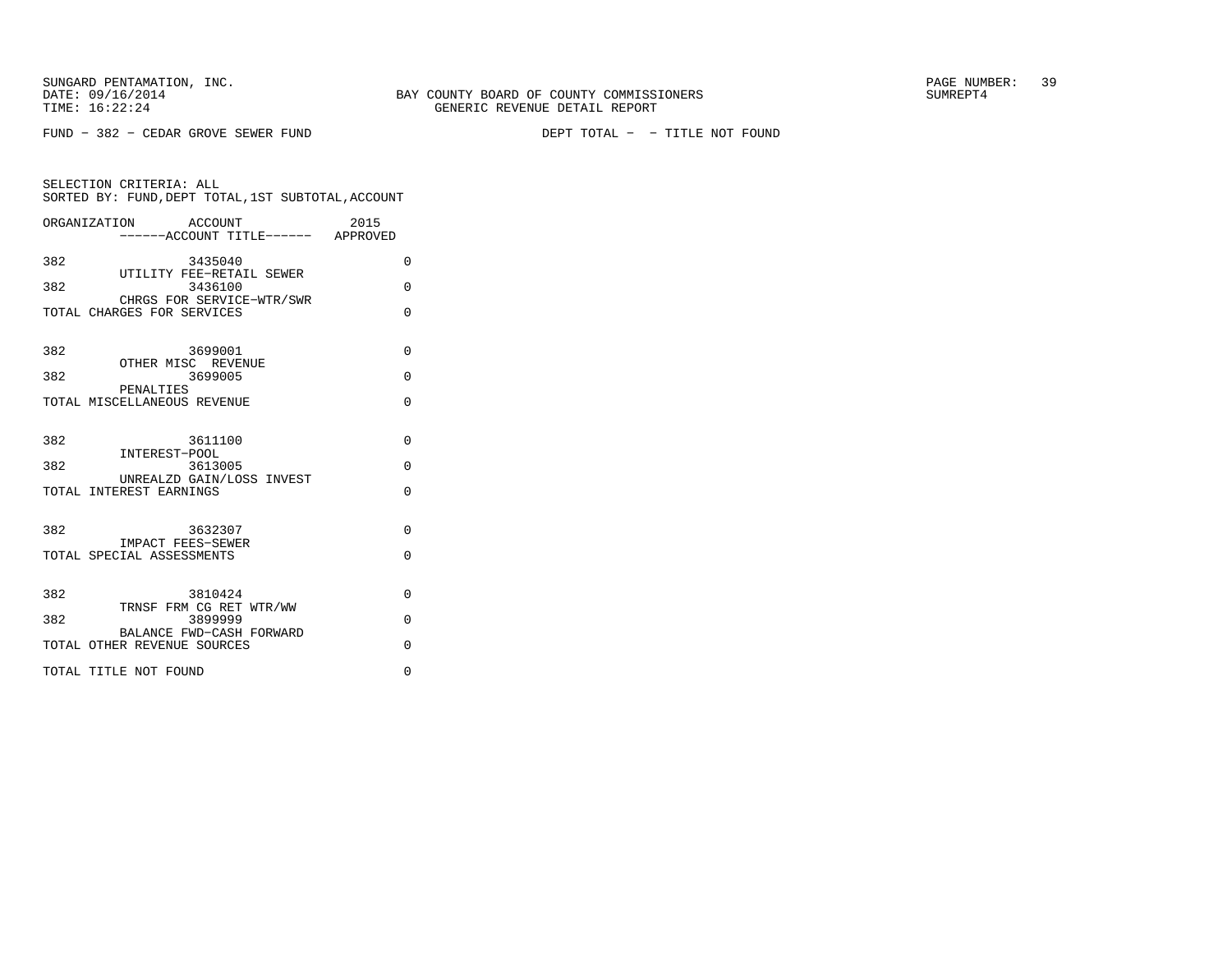FUND − 382 − CEDAR GROVE SEWER FUND DEPT TOTAL − − TITLE NOT FOUND

|             | SELECTION CRITERIA: ALL                            |                                 |      |
|-------------|----------------------------------------------------|---------------------------------|------|
|             | SORTED BY: FUND. DEPT TOTAL. 1ST SUBTOTAL. ACCOUNT |                                 |      |
| OMMITBMPTOM |                                                    | $R$ $\cap$ $\cap$ $\cap$ $\cap$ | 001F |

| ORGANIZATION<br>ACCOUNT<br>------ACCOUNT TITLE------ APPROVED | 2015     |
|---------------------------------------------------------------|----------|
| 382<br>3435040<br>UTILITY FEE-RETAIL SEWER                    | 0        |
| 382<br>3436100<br>CHRGS FOR SERVICE-WTR/SWR                   | $\Omega$ |
| TOTAL CHARGES FOR SERVICES                                    | $\Omega$ |
| 382<br>3699001                                                | $\Omega$ |
| OTHER MISC REVENUE<br>3699005<br>382<br>PENALTIES             | $\Omega$ |
| TOTAL MISCELLANEOUS REVENUE                                   | $\Omega$ |
| 382<br>3611100                                                | $\Omega$ |
| INTEREST-POOL<br>382<br>3613005                               | $\Omega$ |
| UNREALZD GAIN/LOSS INVEST<br>TOTAL INTEREST EARNINGS          | $\Omega$ |
| 382<br>3632307                                                | $\Omega$ |
| <b>IMPACT FEES-SEWER</b><br>TOTAL SPECIAL ASSESSMENTS         | $\Omega$ |
|                                                               |          |
| 382<br>3810424<br>TRNSF FRM CG RET WTR/WW                     | $\Omega$ |
| 382<br>3899999<br>BALANCE FWD-CASH FORWARD                    | $\Omega$ |
| TOTAL OTHER REVENUE SOURCES                                   | $\Omega$ |
| TOTAL TITLE NOT FOUND                                         | 0        |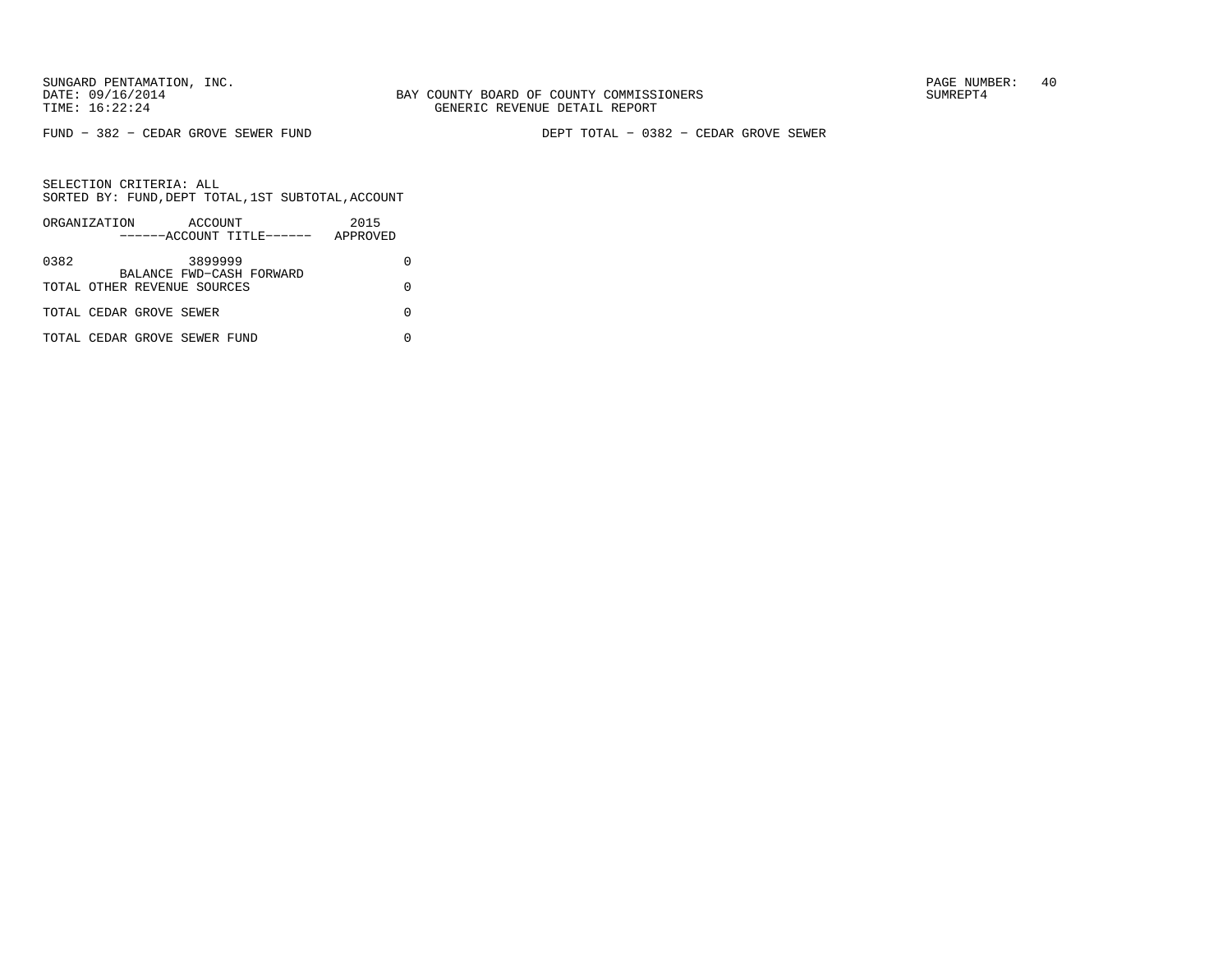FUND − 382 − CEDAR GROVE SEWER FUND DEPT TOTAL − 0382 − CEDAR GROVE SEWER

|      | ORGANIZATION                 | ACCOUNT | ------ACCOUNT TITLE------ | 2015<br>APPROVED |  |
|------|------------------------------|---------|---------------------------|------------------|--|
| 0382 |                              | 3899999 | BALANCE FWD-CASH FORWARD  |                  |  |
|      | TOTAL OTHER REVENUE SOURCES  |         |                           |                  |  |
|      | TOTAL CEDAR GROVE SEWER      |         |                           |                  |  |
|      | TOTAL CEDAR GROVE SEWER FUND |         |                           |                  |  |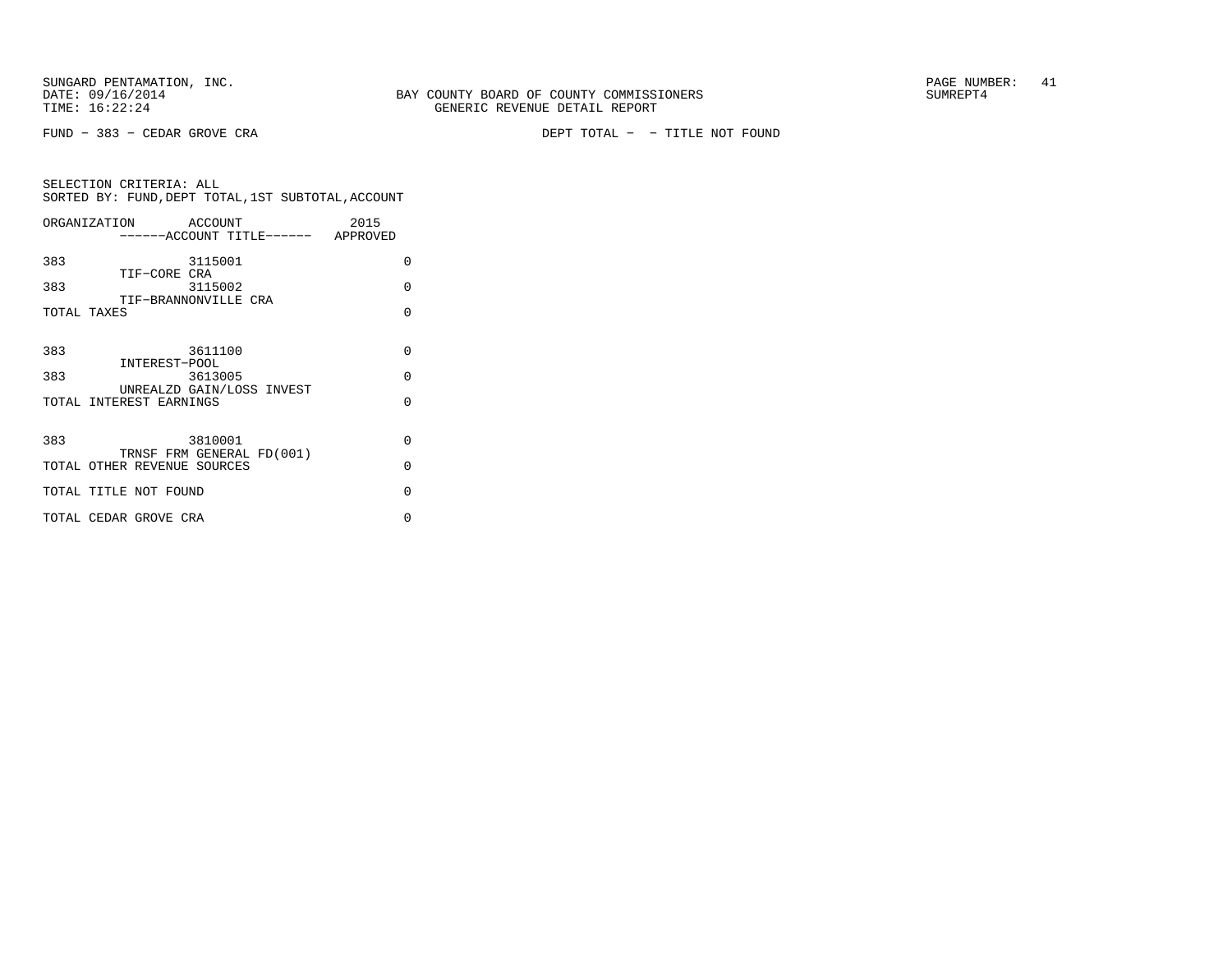FUND − 383 − CEDAR GROVE CRA DEPT TOTAL − − TITLE NOT FOUND

| ORGANIZATION                | ACCOUNT |                                    | 2015 |          |
|-----------------------------|---------|------------------------------------|------|----------|
|                             |         | ------ACCOUNT TITLE------ APPROVED |      |          |
| 383                         | 3115001 |                                    |      | 0        |
| TIF-CORE CRA<br>383         | 3115002 |                                    |      | $\Omega$ |
| TIF-BRANNONVILLE CRA        |         |                                    |      |          |
| TOTAL TAXES                 |         |                                    |      | $\Omega$ |
|                             |         |                                    |      |          |
| 383                         | 3611100 |                                    |      | $\Omega$ |
| INTEREST-POOL<br>383        | 3613005 |                                    |      | $\Omega$ |
| TOTAL INTEREST EARNINGS     |         | UNREALZD GAIN/LOSS INVEST          |      | $\Omega$ |
|                             |         |                                    |      |          |
|                             |         |                                    |      |          |
| 383                         | 3810001 | TRNSF FRM GENERAL FD(001)          |      | $\Omega$ |
| TOTAL OTHER REVENUE SOURCES |         |                                    |      | $\Omega$ |
| TOTAL TITLE NOT FOUND       |         |                                    |      | $\Omega$ |
|                             |         |                                    |      |          |
| TOTAL CEDAR GROVE CRA       |         |                                    |      | O        |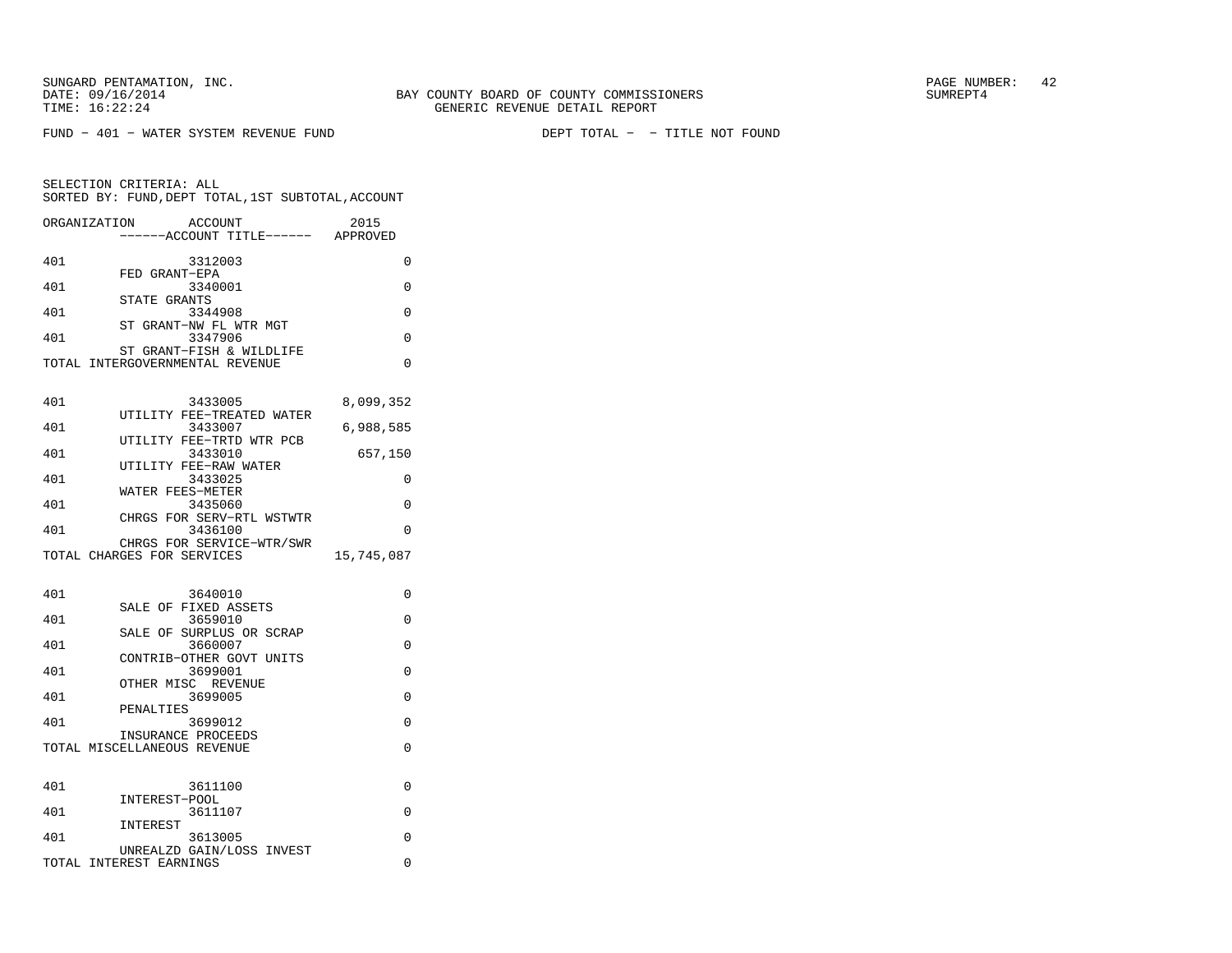FUND − 401 − WATER SYSTEM REVENUE FUND DEPT TOTAL − − TITLE NOT FOUND

| ORGANIZATION | ACCOUNT<br>------ACCOUNT TITLE------ APPROVED               | 2015       |
|--------------|-------------------------------------------------------------|------------|
| 401          | 3312003                                                     | 0          |
| 401          | FED GRANT-EPA<br>3340001                                    | 0          |
| 401          | STATE GRANTS<br>3344908                                     | 0          |
| 401          | ST<br>GRANT-NW FL WTR MGT<br>3347906                        | 0          |
|              | ST GRANT-FISH & WILDLIFE<br>TOTAL INTERGOVERNMENTAL REVENUE | 0          |
| 401          | 3433005                                                     | 8,099,352  |
| 401          | UTILITY FEE-TREATED WATER<br>3433007                        | 6,988,585  |
| 401          | UTILITY FEE-TRTD WTR PCB<br>3433010                         | 657,150    |
| 401          | UTILITY FEE-RAW WATER<br>3433025                            | 0          |
| 401          | WATER FEES-METER<br>3435060                                 | 0          |
|              | CHRGS FOR SERV-RTL WSTWTR                                   |            |
| 401          | 3436100<br>CHRGS FOR SERVICE-WTR/SWR                        | 0          |
|              | TOTAL CHARGES FOR SERVICES                                  | 15,745,087 |
| 401          | 3640010                                                     | 0          |
| 401          | SALE OF FIXED ASSETS<br>3659010                             | 0          |
| 401          | SALE OF SURPLUS OR SCRAP<br>3660007                         | 0          |
|              | CONTRIB-OTHER GOVT UNITS                                    |            |
| 401          | 3699001<br>OTHER MISC REVENUE                               | $\Omega$   |
| 401          | 3699005<br>PENALTIES                                        | 0          |
| 401          | 3699012<br>INSURANCE PROCEEDS                               | 0          |
|              | TOTAL MISCELLANEOUS REVENUE                                 | $\Omega$   |
| 401          | 3611100                                                     | 0          |
| 401          | INTEREST-POOL<br>3611107                                    | 0          |
| 401          | INTEREST<br>3613005                                         | 0          |
|              | UNREALZD GAIN/LOSS INVEST<br>TOTAL INTEREST EARNINGS        | 0          |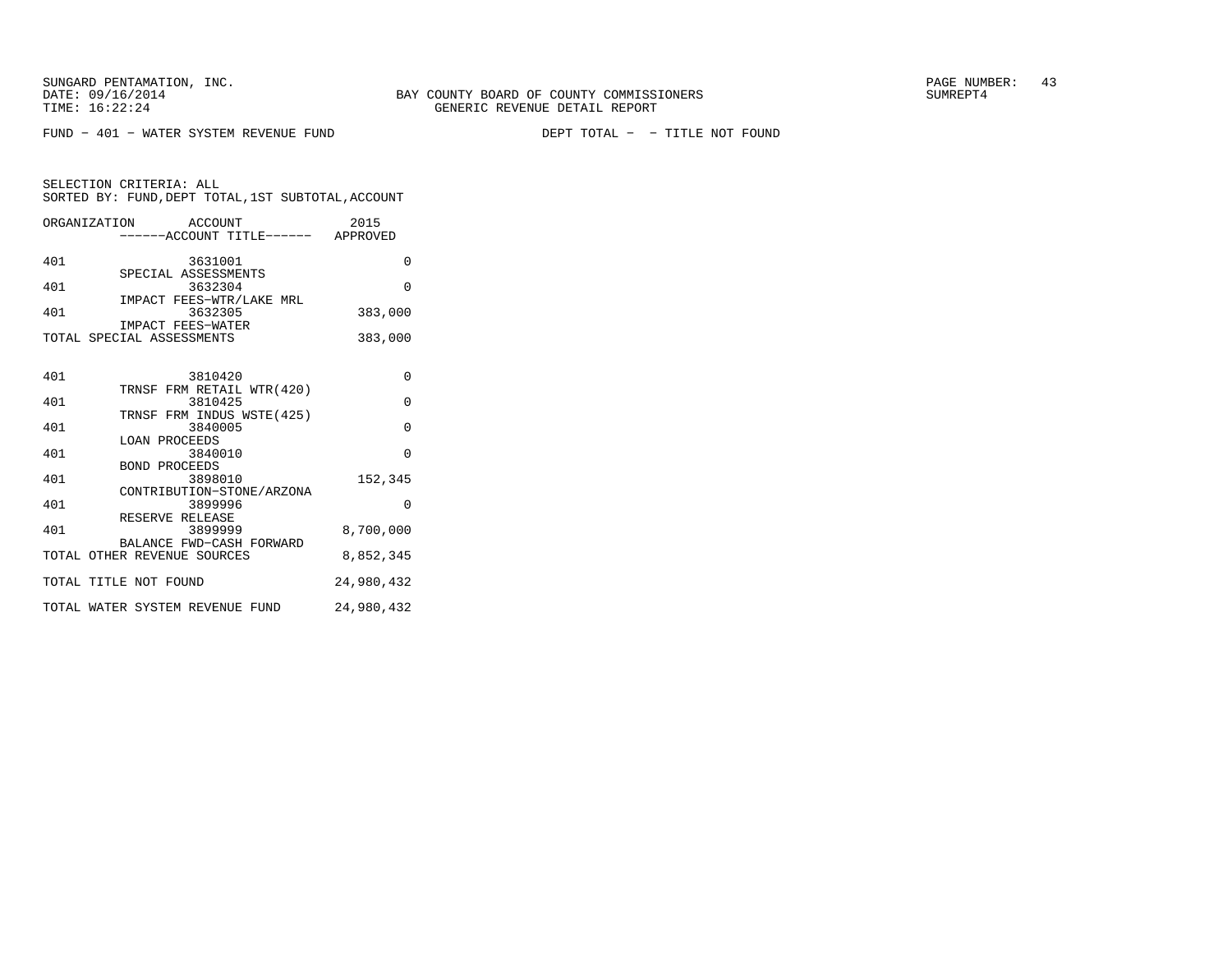FUND − 401 − WATER SYSTEM REVENUE FUND DEPT TOTAL − − TITLE NOT FOUND

| ORGANIZATION         | ACCOUNT<br>------ACCOUNT TITLE------ APPROVED            | 2015                                                       |
|----------------------|----------------------------------------------------------|------------------------------------------------------------|
| 401                  | 3631001                                                  | O                                                          |
| 401                  | SPECIAL ASSESSMENTS<br>3632304                           | $\Omega$                                                   |
| 401                  | IMPACT FEES-WTR/LAKE MRL<br>3632305                      | 383,000                                                    |
|                      | IMPACT FEES-WATER<br>TOTAL SPECIAL ASSESSMENTS           | 383,000                                                    |
|                      |                                                          |                                                            |
| 401                  | 3810420                                                  | $\Omega$                                                   |
| 401                  | TRNSF FRM RETAIL WTR(420)<br>3810425                     | $\Omega$                                                   |
| 401                  | TRNSF FRM INDUS WSTE(425)<br>3840005                     | $\Omega$                                                   |
| 401                  | <b>LOAN PROCEEDS</b><br>3840010                          | $\Omega$                                                   |
| $\sim$ $\sim$ $\sim$ | <b>BOND PROCEEDS</b><br>$\begin{array}{c} \n\end{array}$ | $\begin{array}{c} \n \cdot & \cdot & \cdot \n \end{array}$ |

| ⊥∪⊥ | J U I U I U U                                           |            |  |
|-----|---------------------------------------------------------|------------|--|
| 401 | TRNSF FRM RETAIL WTR(420)<br>3810425                    | $\Omega$   |  |
| 401 | TRNSF FRM INDUS WSTE(425)<br>3840005                    | $\Omega$   |  |
| 401 | LOAN PROCEEDS<br>3840010                                | $\Omega$   |  |
|     | BOND PROCEEDS                                           |            |  |
| 401 | 3898010<br>CONTRIBUTION-STONE/ARZONA                    | 152,345    |  |
| 401 | 3899996<br>RESERVE RELEASE                              | $\Omega$   |  |
| 401 | 3899999                                                 | 8,700,000  |  |
|     | BALANCE FWD-CASH FORWARD<br>TOTAL OTHER REVENUE SOURCES | 8,852,345  |  |
|     | TOTAL TITLE NOT FOUND                                   | 24,980,432 |  |
|     | TOTAL WATER SYSTEM REVENUE FUND                         | 24,980,432 |  |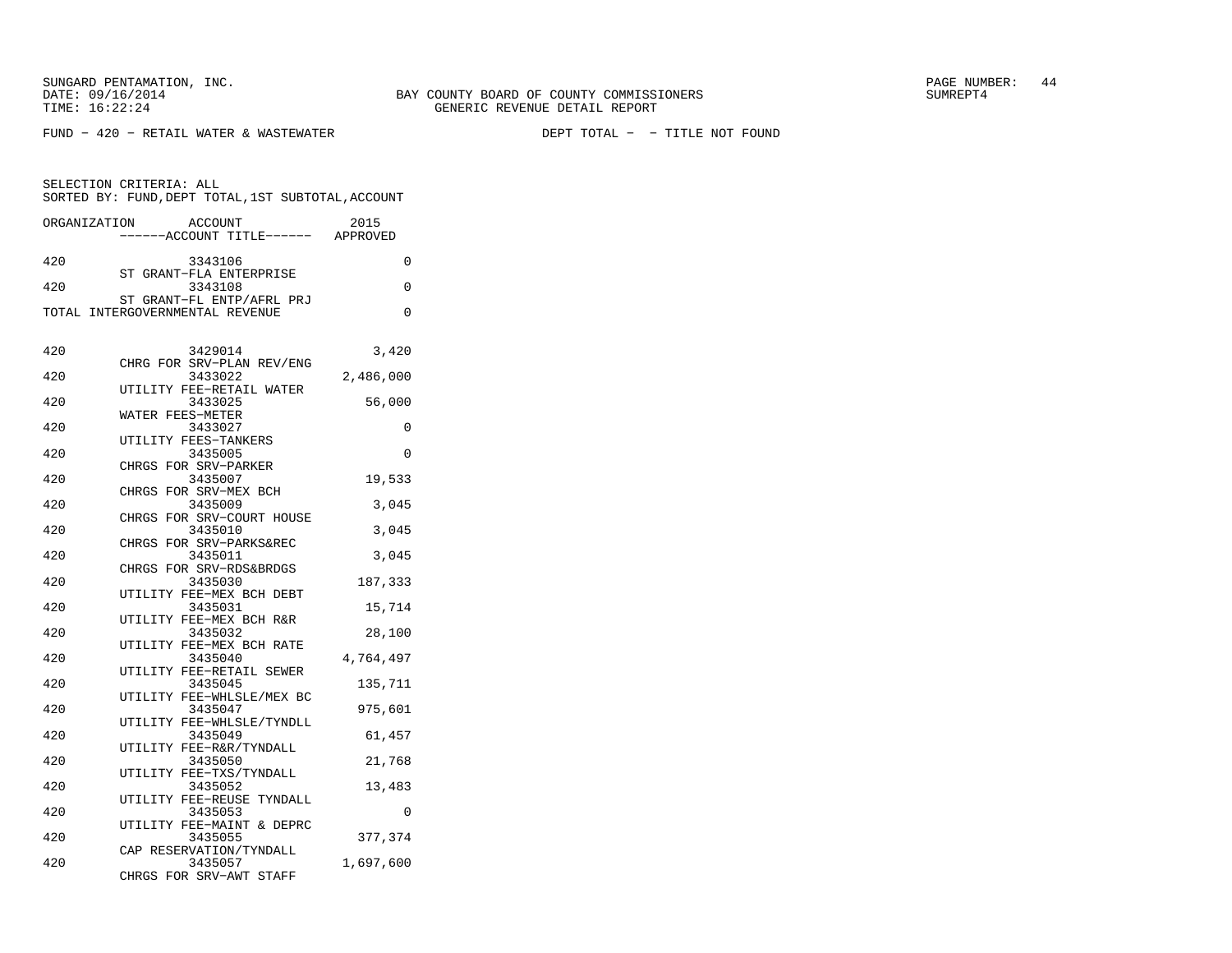FUND − 420 − RETAIL WATER & WASTEWATER DEPT TOTAL − − TITLE NOT FOUND

| SELECTION CRITERIA: ALL<br>SORTED BY: FUND, DEPT TOTAL, 1ST SUBTOTAL, ACCOUNT |                                                              |           |  |
|-------------------------------------------------------------------------------|--------------------------------------------------------------|-----------|--|
| ORGANIZATION                                                                  | ACCOUNT<br>----ACCOUNT TITLE------ APPROVED                  | 2015      |  |
| 420                                                                           | 3343106                                                      | 0         |  |
| 420                                                                           | ST GRANT-FLA ENTERPRISE<br>3343108                           | $\Omega$  |  |
|                                                                               | ST GRANT-FL ENTP/AFRL PRJ<br>TOTAL INTERGOVERNMENTAL REVENUE | 0         |  |
| 420                                                                           | 3429014                                                      | 3,420     |  |
| 420                                                                           | CHRG FOR SRV-PLAN REV/ENG<br>3433022                         | 2,486,000 |  |
| 420                                                                           | UTILITY FEE-RETAIL WATER<br>3433025                          | 56,000    |  |
| 420                                                                           | WATER FEES-METER<br>3433027                                  | 0         |  |
| 420                                                                           | UTILITY FEES-TANKERS<br>3435005                              | 0         |  |
| 420                                                                           | CHRGS FOR SRV-PARKER<br>3435007                              | 19,533    |  |
| 420                                                                           | CHRGS FOR SRV-MEX BCH<br>3435009                             | 3,045     |  |
| 420                                                                           | CHRGS FOR SRV-COURT HOUSE<br>3435010                         | 3,045     |  |
| 420                                                                           | CHRGS FOR SRV-PARKS&REC<br>3435011                           | 3,045     |  |
| 420                                                                           | CHRGS FOR SRV-RDS&BRDGS<br>3435030                           | 187,333   |  |
|                                                                               | UTILITY FEE-MEX BCH DEBT                                     |           |  |
| 420                                                                           | 3435031<br>UTILITY FEE-MEX BCH R&R                           | 15,714    |  |
| 420                                                                           | 3435032<br>UTILITY FEE-MEX BCH RATE                          | 28,100    |  |
| 420                                                                           | 3435040<br>UTILITY FEE-RETAIL SEWER                          | 4,764,497 |  |
| 420                                                                           | 3435045<br>UTILITY FEE-WHLSLE/MEX BC                         | 135,711   |  |
| 420                                                                           | 3435047<br>UTILITY FEE-WHLSLE/TYNDLL                         | 975,601   |  |
| 420                                                                           | 3435049<br>UTILITY FEE-R&R/TYNDALL                           | 61,457    |  |
| 420                                                                           | 3435050<br>UTILITY FEE-TXS/TYNDALL                           | 21,768    |  |
| 420                                                                           | 3435052<br>UTILITY FEE-REUSE TYNDALL                         | 13,483    |  |
| 420                                                                           | 3435053<br>UTILITY FEE-MAINT & DEPRC                         | 0         |  |
| 420                                                                           | 3435055<br>CAP RESERVATION/TYNDALL                           | 377,374   |  |
| 420                                                                           | 3435057<br>CHRGS FOR SRV-AWT STAFF                           | 1,697,600 |  |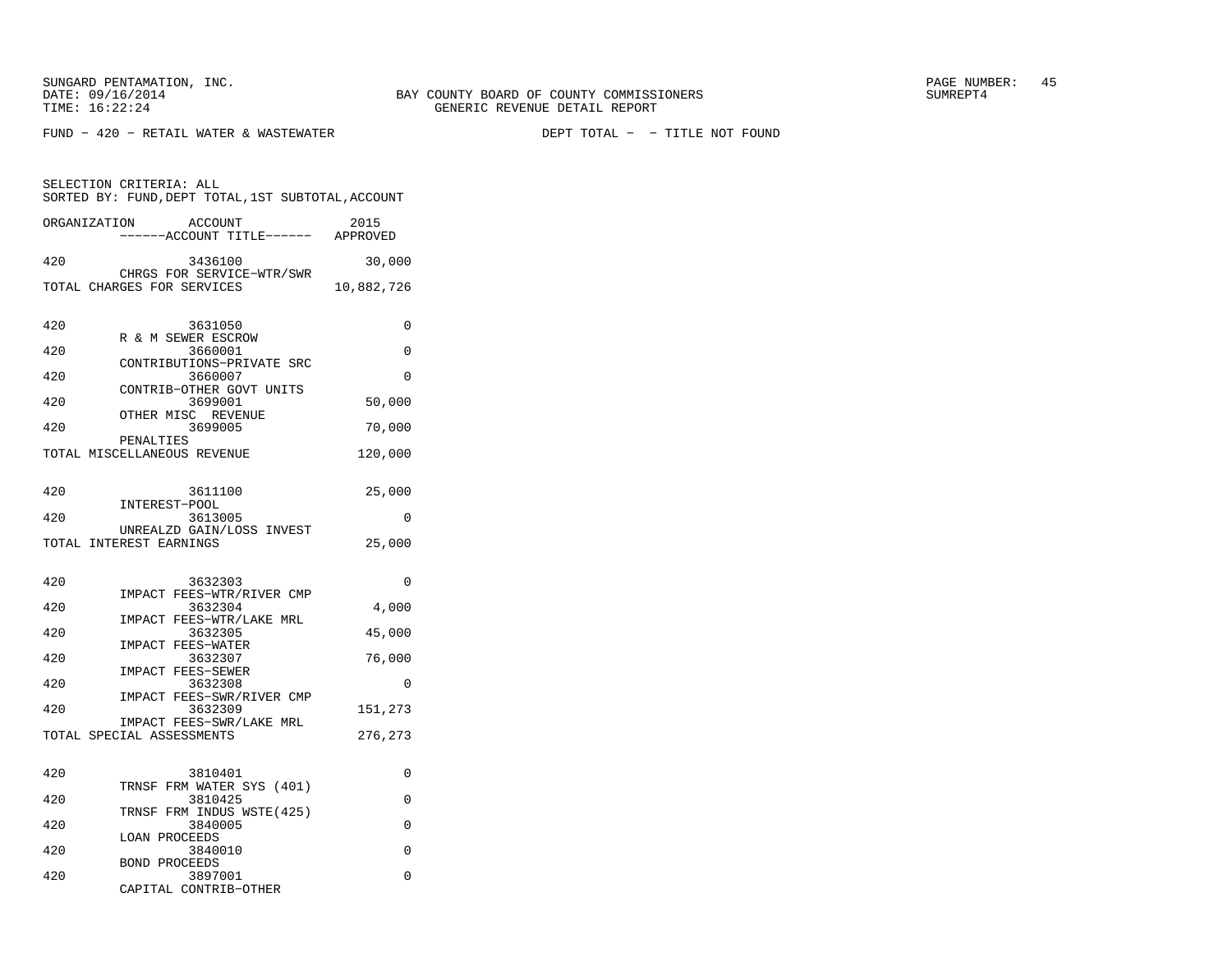FUND − 420 − RETAIL WATER & WASTEWATER DEPT TOTAL − − TITLE NOT FOUND

|     | ORGANIZATION<br>ACCOUNT<br>----ACCOUNT TITLE------       | 2015<br>APPROVED |
|-----|----------------------------------------------------------|------------------|
| 420 | 3436100                                                  | 30,000           |
|     | CHRGS FOR SERVICE-WTR/SWR<br>TOTAL CHARGES FOR SERVICES  | 10,882,726       |
| 420 | 3631050                                                  | 0                |
| 420 | R & M SEWER ESCROW<br>3660001                            | 0                |
| 420 | CONTRIBUTIONS-PRIVATE SRC<br>3660007                     | 0                |
| 420 | CONTRIB-OTHER GOVT UNITS<br>3699001                      | 50,000           |
| 420 | OTHER MISC REVENUE<br>3699005                            | 70,000           |
|     | PENALTIES<br>TOTAL MISCELLANEOUS REVENUE                 | 120,000          |
|     |                                                          |                  |
| 420 | 3611100<br>INTEREST-POOL                                 | 25,000           |
| 420 | 3613005<br>UNREALZD GAIN/LOSS INVEST                     | 0                |
|     | TOTAL INTEREST EARNINGS                                  | 25,000           |
| 420 | 3632303                                                  | 0                |
| 420 | IMPACT FEES-WTR/RIVER CMP<br>3632304                     | 4,000            |
| 420 | IMPACT FEES-WTR/LAKE MRL<br>3632305<br>IMPACT FEES-WATER | 45,000           |
| 420 | 3632307<br><b>IMPACT FEES-SEWER</b>                      | 76,000           |
| 420 | 3632308<br>IMPACT FEES-SWR/RIVER CMP                     | 0                |
| 420 | 3632309<br>IMPACT FEES-SWR/LAKE MRL                      | 151,273          |
|     | TOTAL SPECIAL ASSESSMENTS                                | 276,273          |
| 420 | 3810401                                                  | 0                |
| 420 | TRNSF FRM WATER SYS (401)<br>3810425                     | 0                |
| 420 | TRNSF<br>FRM INDUS WSTE(425)<br>3840005                  | $\Omega$         |
| 420 | LOAN PROCEEDS<br>3840010                                 | 0                |
| 100 | <b>BOND PROCEEDS</b><br>$\bigcap_{n=1}^{n}$              | $\sim$           |

|     | BOND PROCEEDS         |  |
|-----|-----------------------|--|
| 420 | 3897001               |  |
|     | CAPITAL CONTRIB-OTHER |  |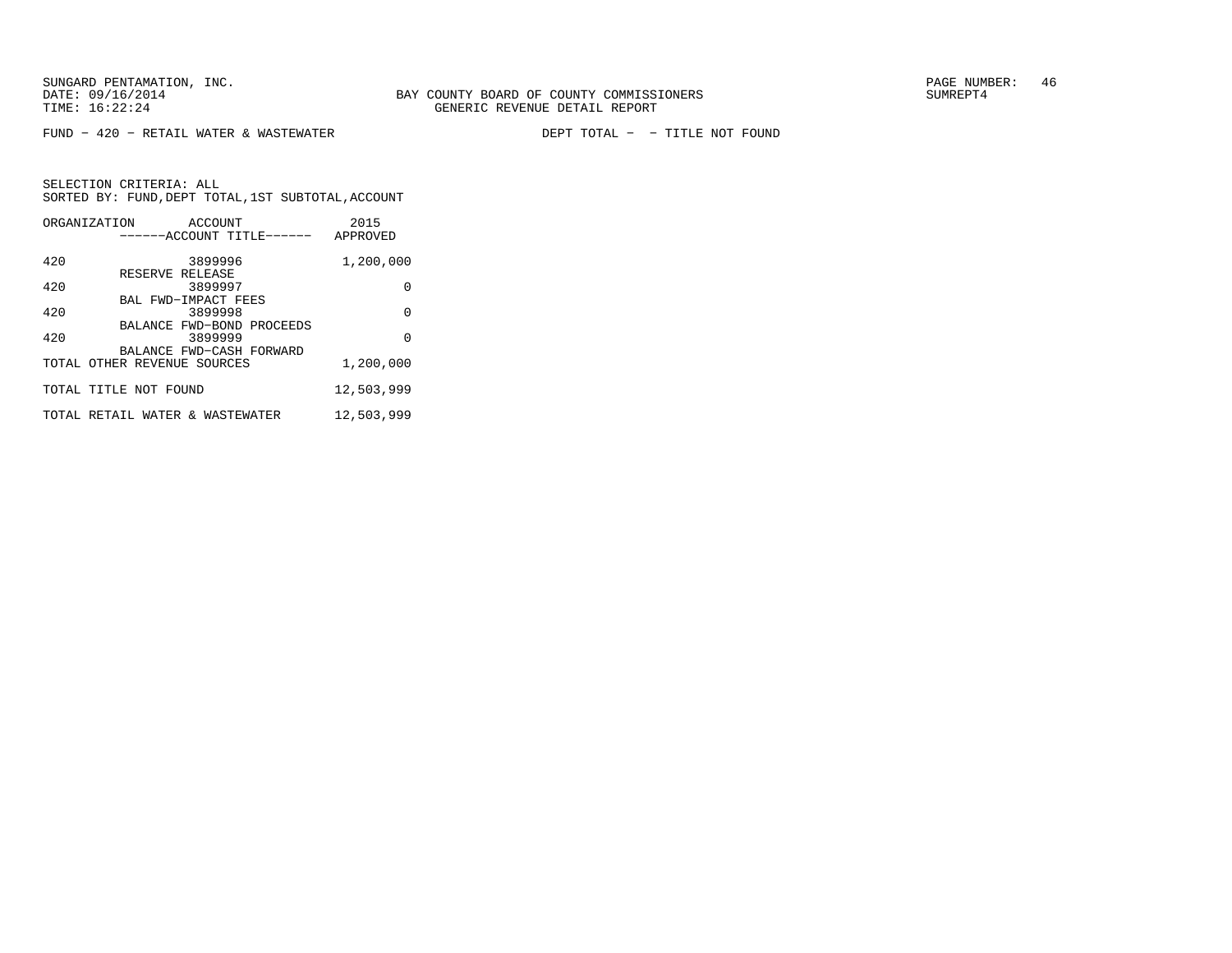FUND − 420 − RETAIL WATER & WASTEWATER DEPT TOTAL − − TITLE NOT FOUND

| ORGANIZATION                    |                 | ACCOUNT                  |                           | 2015       |
|---------------------------------|-----------------|--------------------------|---------------------------|------------|
|                                 |                 |                          | ------ACCOUNT TITLE------ | APPROVED   |
| 420                             |                 | 3899996                  |                           | 1,200,000  |
|                                 | RESERVE RELEASE |                          |                           |            |
| 420                             |                 | 3899997                  |                           | 0          |
|                                 |                 | BAL FWD-IMPACT FEES      |                           |            |
| 420                             |                 | 3899998                  |                           | $\Omega$   |
|                                 |                 |                          | BALANCE FWD-BOND PROCEEDS |            |
| 420                             |                 | 3899999                  |                           | $\Omega$   |
|                                 |                 | BALANCE FWD-CASH FORWARD |                           |            |
| TOTAL OTHER REVENUE SOURCES     |                 |                          |                           | 1,200,000  |
| TOTAL TITLE NOT FOUND           |                 |                          |                           | 12,503,999 |
|                                 |                 |                          |                           |            |
| TOTAL RETAIL WATER & WASTEWATER |                 |                          |                           | 12,503,999 |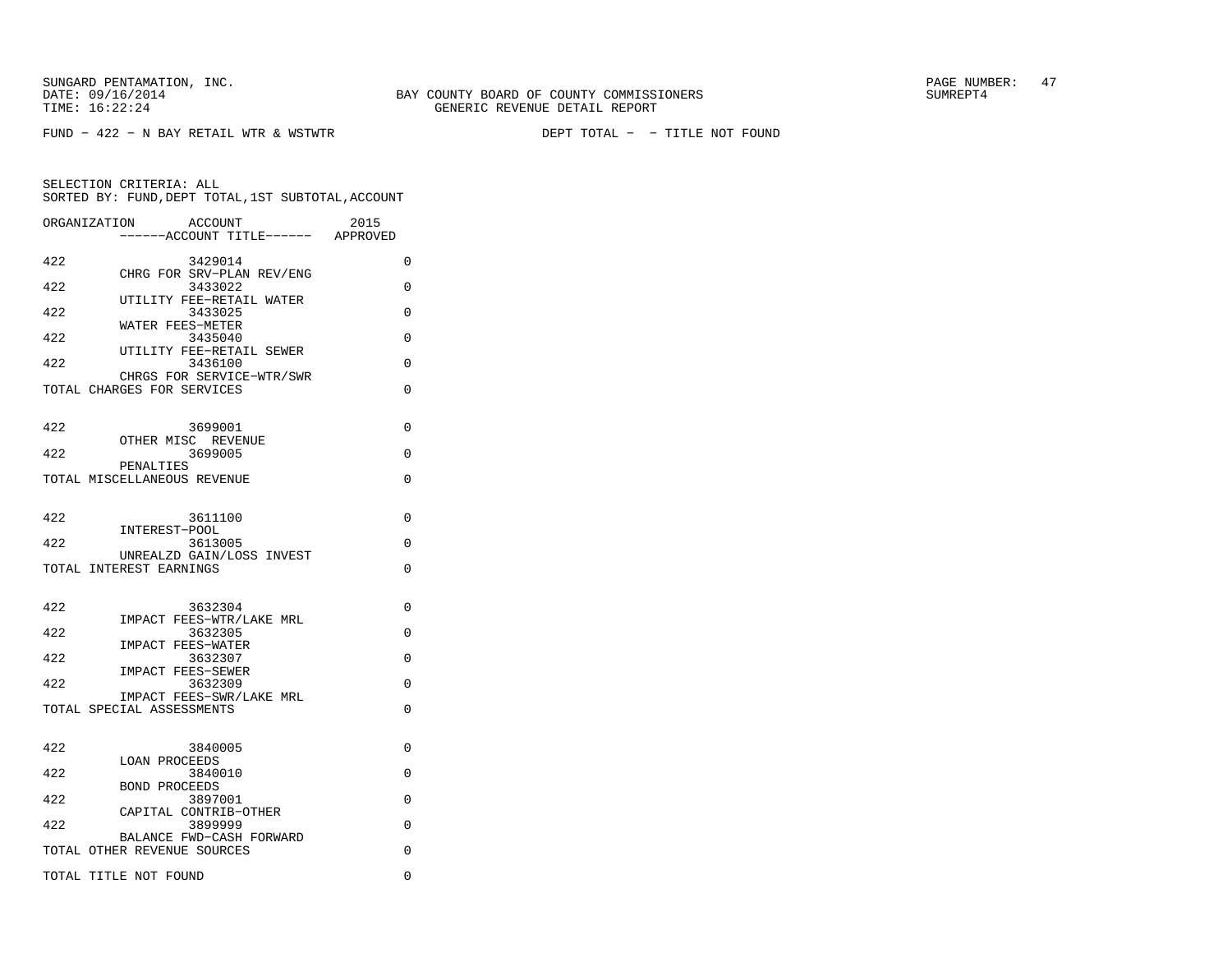FUND − 422 − N BAY RETAIL WTR & WSTWTR DEPT TOTAL − − TITLE NOT FOUND

|     | ORGANIZATION<br>ACCOUNT<br>----ACCOUNT TITLE------ APPROVED | 2015        |
|-----|-------------------------------------------------------------|-------------|
|     |                                                             |             |
| 422 | 3429014                                                     | $\Omega$    |
| 422 | CHRG FOR SRV-PLAN REV/ENG<br>3433022                        | 0           |
| 422 | UTILITY FEE-RETAIL WATER<br>3433025                         | $\Omega$    |
| 422 | WATER FEES-METER<br>3435040                                 | $\Omega$    |
| 422 | UTILITY FEE-RETAIL SEWER<br>3436100                         | 0           |
|     | CHRGS FOR SERVICE-WTR/SWR<br>TOTAL CHARGES FOR SERVICES     | $\Omega$    |
| 422 | 3699001                                                     | $\Omega$    |
|     | OTHER MISC REVENUE                                          |             |
| 422 | 3699005<br>PENALTIES                                        | $\Omega$    |
|     | TOTAL MISCELLANEOUS REVENUE                                 | 0           |
| 422 | 3611100                                                     | 0           |
|     | INTEREST-POOL                                               |             |
| 422 | 3613005<br>UNREALZD GAIN/LOSS INVEST                        | $\Omega$    |
|     | TOTAL INTEREST EARNINGS                                     | $\Omega$    |
|     |                                                             |             |
| 422 | 3632304                                                     | $\Omega$    |
| 422 | IMPACT FEES-WTR/LAKE MRL<br>3632305                         | $\Omega$    |
|     | <b>IMPACT FEES-WATER</b>                                    |             |
| 422 | 3632307                                                     | $\Omega$    |
| 422 | <b>IMPACT FEES-SEWER</b><br>3632309                         | $\Omega$    |
|     | IMPACT FEES-SWR/LAKE MRL                                    |             |
|     | TOTAL SPECIAL ASSESSMENTS                                   | 0           |
| 422 | 3840005                                                     | 0           |
| 422 | <b>LOAN PROCEEDS</b><br>3840010                             | $\Omega$    |
|     | <b>BOND PROCEEDS</b>                                        |             |
| 422 | 3897001                                                     | $\Omega$    |
| 422 | CAPITAL CONTRIB-OTHER<br>3899999                            | $\Omega$    |
|     | BALANCE FWD-CASH FORWARD<br>TOTAL OTHER REVENUE SOURCES     | $\Omega$    |
|     | TOTAL TITLE NOT FOUND                                       | $\mathbf 0$ |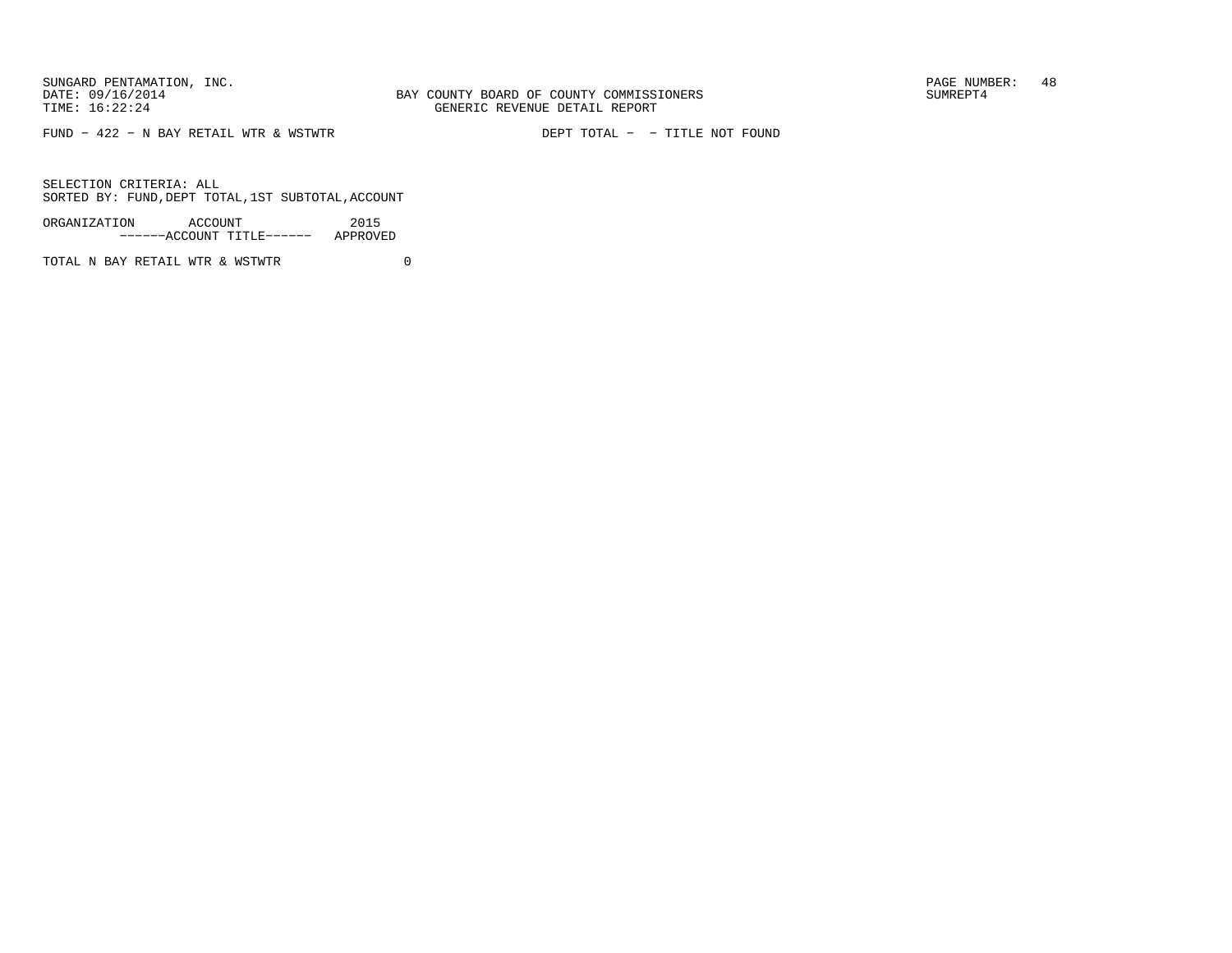SUNGARD PENTAMATION, INC.<br>DATE: 09/16/2014 SUMREPT4

FUND − 422 − N BAY RETAIL WTR & WSTWTR DEPT TOTAL − − TITLE NOT FOUND

SELECTION CRITERIA: ALLSORTED BY: FUND,DEPT TOTAL,1ST SUBTOTAL,ACCOUNT

ORGANIZATION ACCOUNT 2015−−−−−−ACCOUNT TITLE−−−−−− APPROVED

TOTAL N BAY RETAIL WTR & WSTWTR 0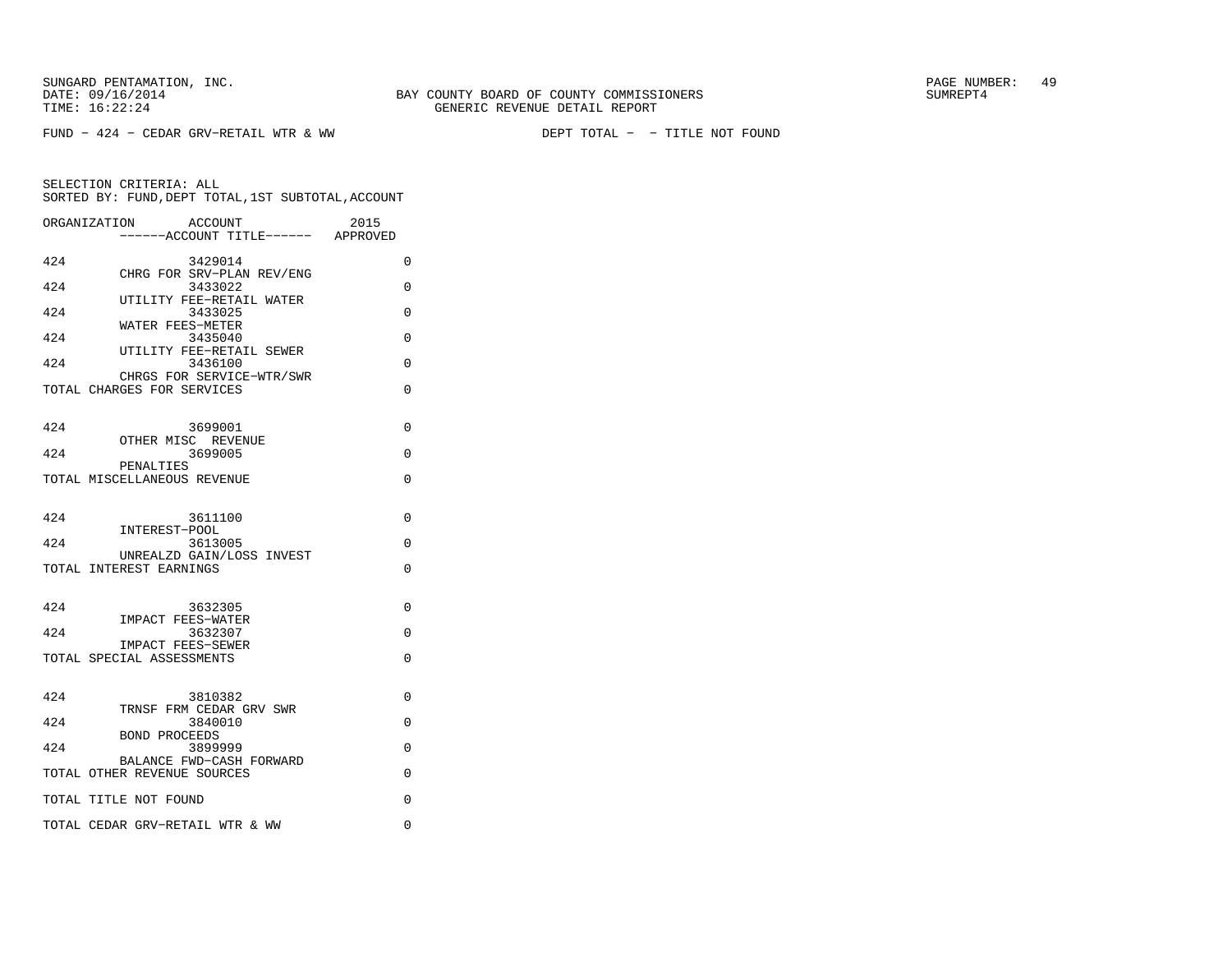FUND − 424 − CEDAR GRV−RETAIL WTR & WW DEPT TOTAL − − TITLE NOT FOUND

|     | ORGANIZATION<br><b>ACCOUNT</b><br>-----ACCOUNT TITLE------ APPROVED | 2015     |
|-----|---------------------------------------------------------------------|----------|
| 424 | 3429014                                                             | $\Omega$ |
| 424 | CHRG FOR SRV-PLAN REV/ENG<br>3433022                                | 0        |
| 424 | UTILITY FEE-RETAIL WATER<br>3433025                                 | $\Omega$ |
| 424 | WATER FEES-METER<br>3435040                                         | $\Omega$ |
| 424 | UTILITY FEE-RETAIL SEWER<br>3436100                                 | 0        |
|     | CHRGS FOR SERVICE-WTR/SWR<br>TOTAL CHARGES FOR SERVICES             | $\Omega$ |
| 424 | 3699001                                                             | $\Omega$ |
| 424 | OTHER MISC REVENUE<br>3699005                                       | $\Omega$ |
|     | PENALTIES<br>TOTAL MISCELLANEOUS REVENUE                            | $\Omega$ |
| 424 | 3611100                                                             | $\Omega$ |
| 424 | INTEREST-POOL<br>3613005                                            | $\Omega$ |
|     | UNREALZD GAIN/LOSS INVEST<br>TOTAL INTEREST EARNINGS                | $\Omega$ |
| 424 | 3632305<br><b>IMPACT FEES-WATER</b>                                 | 0        |
| 424 | 3632307                                                             | $\Omega$ |
|     | IMPACT FEES-SEWER<br>TOTAL SPECIAL ASSESSMENTS                      | $\Omega$ |
| 424 | 3810382<br>TRNSF FRM CEDAR GRV SWR                                  | $\Omega$ |
| 424 | 3840010                                                             | $\Omega$ |
| 424 | <b>BOND PROCEEDS</b><br>3899999                                     | 0        |
|     | BALANCE FWD-CASH FORWARD<br>TOTAL OTHER REVENUE SOURCES             | $\Omega$ |
|     | TOTAL TITLE NOT FOUND                                               | $\Omega$ |
|     | TOTAL CEDAR GRV-RETAIL WTR & WW                                     | 0        |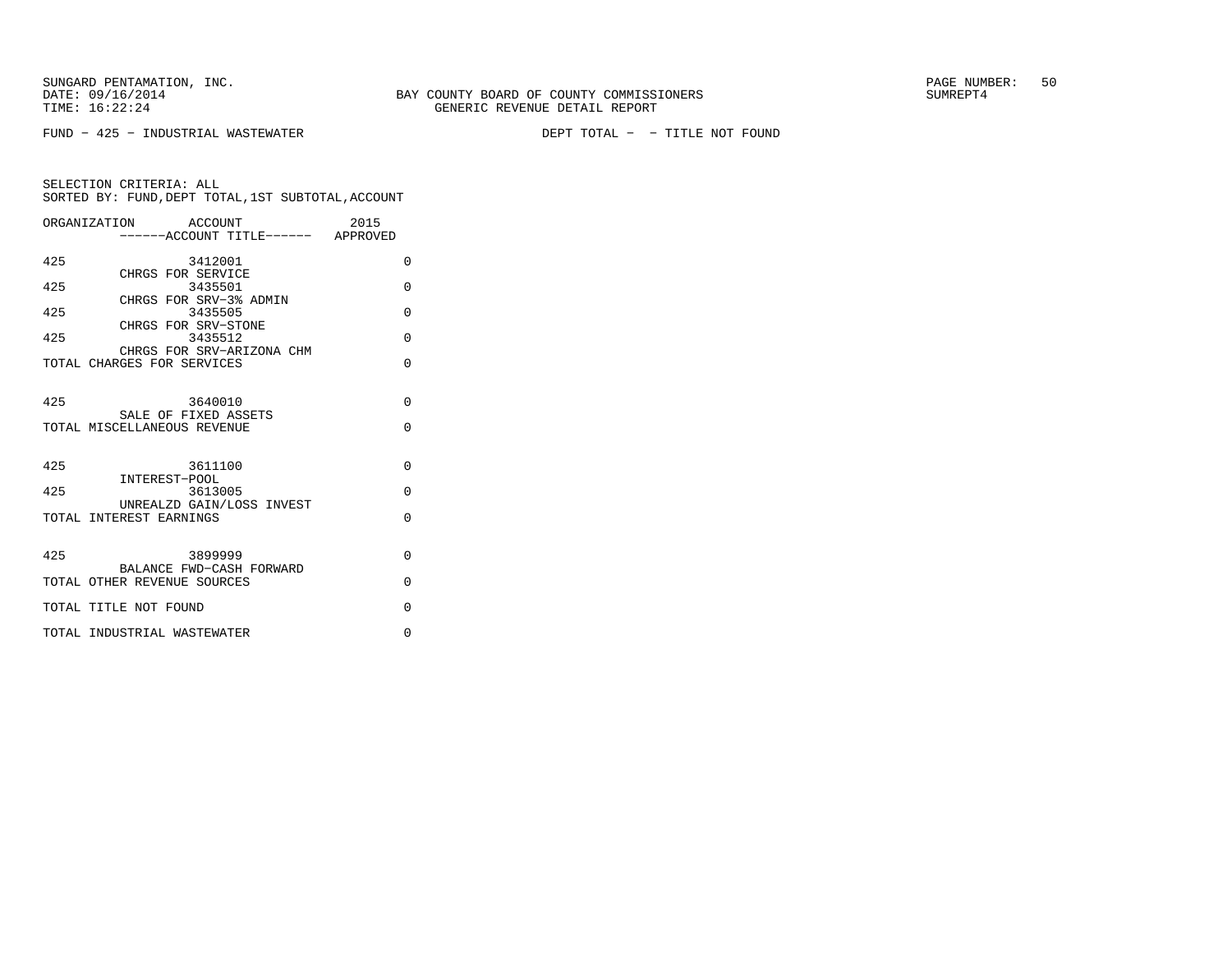FUND − 425 − INDUSTRIAL WASTEWATER DEPT TOTAL − − TITLE NOT FOUND

|     | ORGANIZATION ACCOUNT                                    | 2015     |
|-----|---------------------------------------------------------|----------|
|     | -----ACCOUNT TITLE------ APPROVED                       |          |
| 425 | 3412001                                                 | $\Omega$ |
|     | CHRGS FOR SERVICE                                       |          |
| 425 | 3435501<br>CHRGS FOR SRV-3% ADMIN                       | $\Omega$ |
| 425 | 3435505                                                 | $\Omega$ |
|     | CHRGS FOR SRV-STONE                                     |          |
| 425 | 3435512                                                 | $\Omega$ |
|     | CHRGS FOR SRV-ARIZONA CHM<br>TOTAL CHARGES FOR SERVICES | $\Omega$ |
|     |                                                         |          |
|     |                                                         |          |
| 425 | 3640010                                                 | $\Omega$ |
|     | SALE OF FIXED ASSETS                                    |          |
|     | TOTAL MISCELLANEOUS REVENUE                             | $\Omega$ |
|     |                                                         |          |
| 425 | 3611100                                                 | $\Omega$ |
|     | INTEREST-POOL                                           |          |
| 425 | 3613005                                                 | $\Omega$ |
|     | UNREALZD GAIN/LOSS INVEST<br>TOTAL INTEREST EARNINGS    | $\Omega$ |
|     |                                                         |          |
|     |                                                         |          |
| 425 | 3899999                                                 | $\Omega$ |
|     | BALANCE FWD-CASH FORWARD                                |          |
|     | TOTAL OTHER REVENUE SOURCES                             | $\Omega$ |
|     | TOTAL TITLE NOT FOUND                                   | $\Omega$ |
|     |                                                         |          |
|     | TOTAL INDUSTRIAL WASTEWATER                             | $\Omega$ |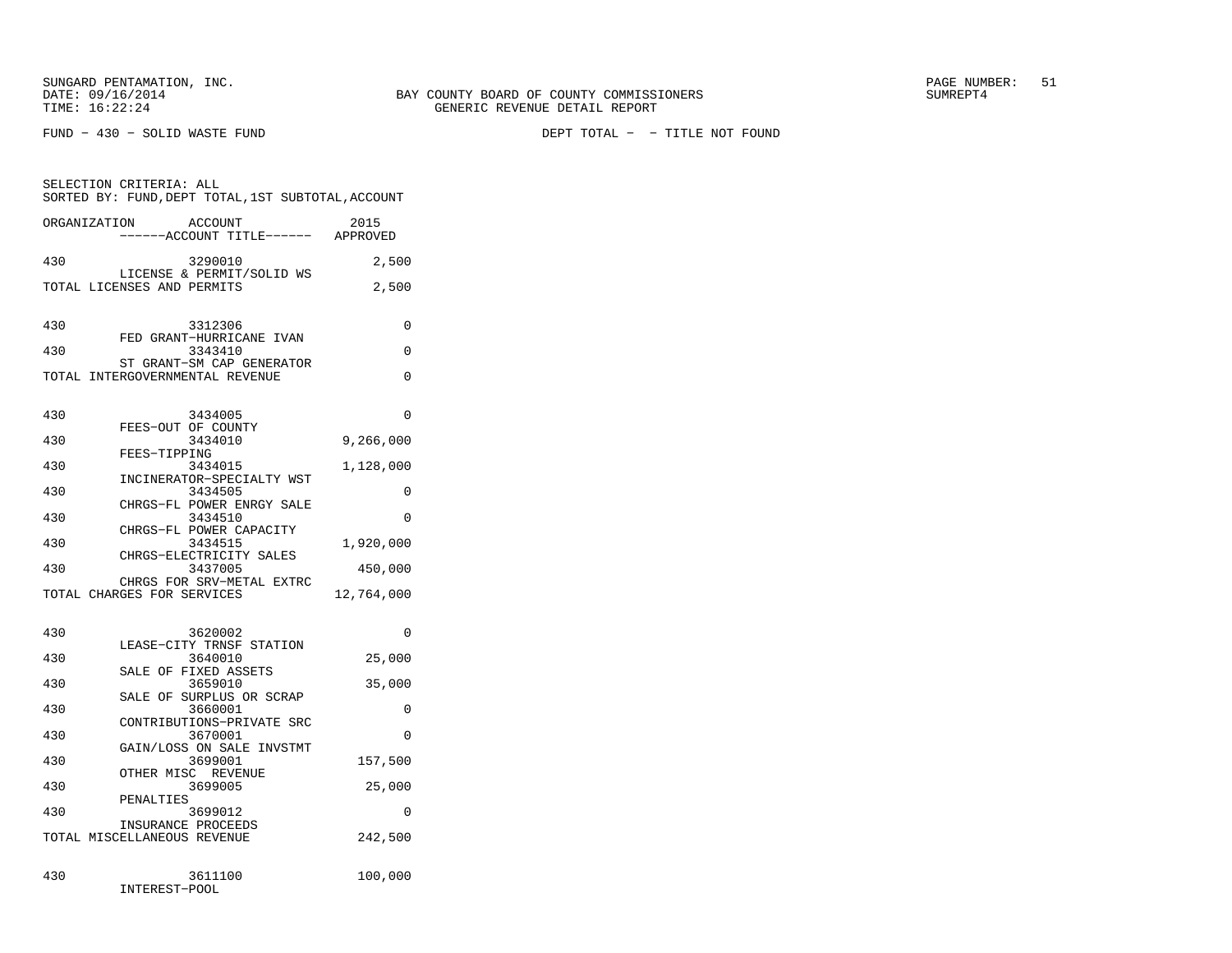FUND − 430 − SOLID WASTE FUND DEPT TOTAL − − TITLE NOT FOUND

|              | SELECTION CRITERIA: ALL<br>SORTED BY: FUND, DEPT TOTAL, 1ST SUBTOTAL, ACCOUNT |            |
|--------------|-------------------------------------------------------------------------------|------------|
| ORGANIZATION | ACCOUNT<br>-----ACCOUNT TITLE------ APPROVED                                  | 2015       |
| 430          | 3290010                                                                       | 2,500      |
|              | LICENSE & PERMIT/SOLID WS<br>TOTAL LICENSES AND PERMITS                       | 2,500      |
| 430          | 3312306                                                                       | $\Omega$   |
| 430          | FED GRANT-HURRICANE IVAN<br>3343410                                           | $\Omega$   |
|              | ST GRANT-SM CAP GENERATOR<br>TOTAL INTERGOVERNMENTAL REVENUE                  | 0          |
| 430          | 3434005<br>FEES-OUT OF COUNTY                                                 | 0          |
| 430          | 3434010                                                                       | 9,266,000  |
| 430          | FEES-TIPPING<br>3434015                                                       | 1,128,000  |
| 430          | INCINERATOR-SPECIALTY WST<br>3434505                                          | 0          |
| 430          | CHRGS-FL POWER ENRGY SALE<br>3434510                                          | 0          |
| 430          | CHRGS-FL POWER CAPACITY<br>3434515                                            | 1,920,000  |
| 430          | CHRGS-ELECTRICITY SALES<br>3437005                                            | 450,000    |
|              | CHRGS FOR SRV-METAL EXTRC<br>TOTAL CHARGES FOR SERVICES                       | 12,764,000 |
| 430          | 3620002                                                                       | $\Omega$   |
| 430          | LEASE-CITY TRNSF STATION<br>3640010                                           | 25,000     |
| 430          | SALE OF FIXED ASSETS<br>3659010                                               | 35,000     |
| 430          | SALE OF SURPLUS OR SCRAP<br>3660001                                           | $\Omega$   |
| 430          | CONTRIBUTIONS-PRIVATE SRC<br>3670001                                          | $\Omega$   |
| 430          | GAIN/LOSS ON SALE INVSTMT<br>3699001                                          | 157,500    |
| 430          | OTHER MISC REVENUE<br>3699005                                                 | 25,000     |
| 430          | PENALTIES<br>3699012                                                          | $\Omega$   |
|              | INSURANCE PROCEEDS<br>TOTAL MISCELLANEOUS REVENUE                             | 242,500    |
| 430          | 3611100<br>INTEREST-POOL                                                      | 100,000    |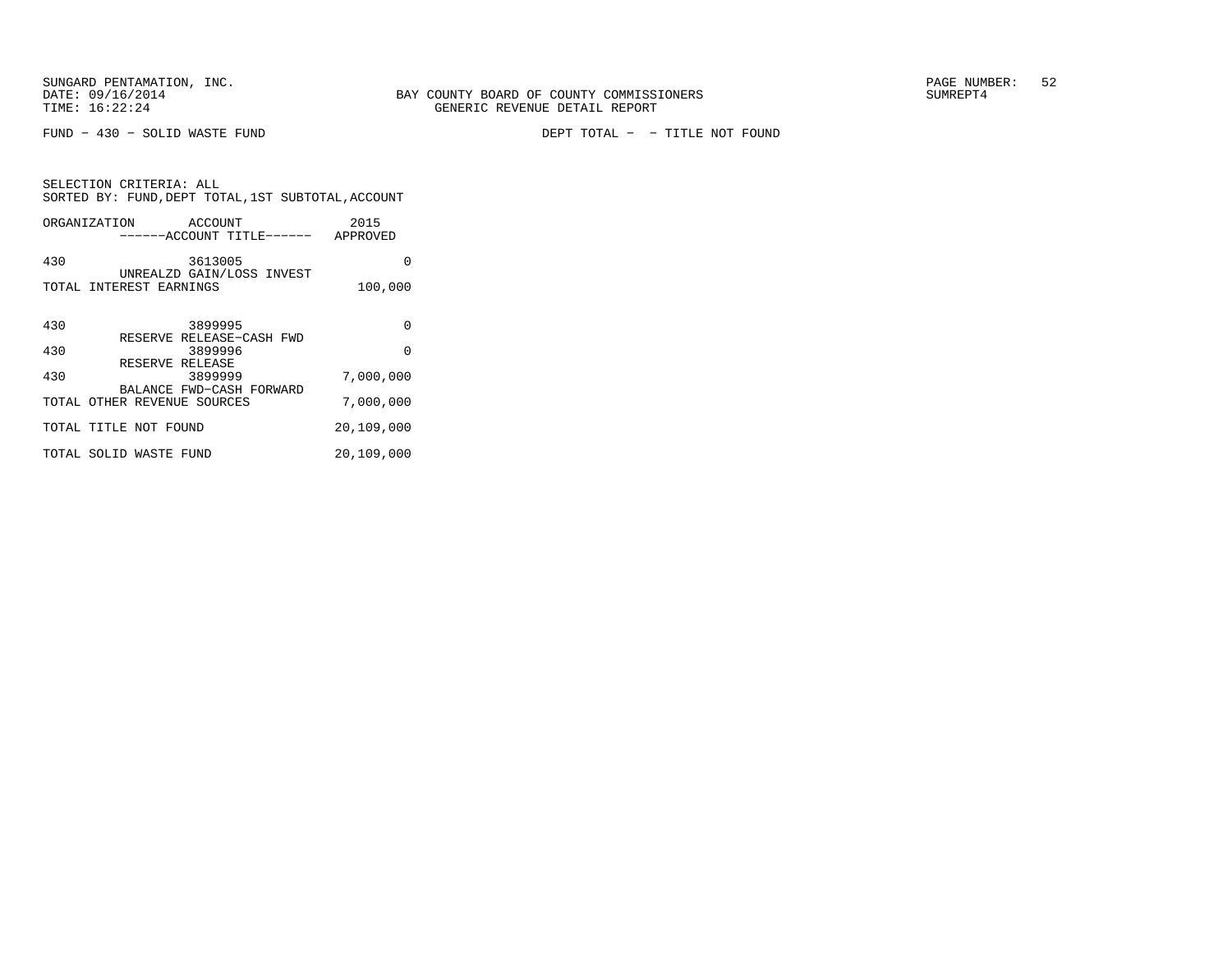SELECTION CRITERIA: ALL

FUND − 430 − SOLID WASTE FUND DEPT TOTAL − − TITLE NOT FOUND

| SORTED BY: FUND, DEPT TOTAL, 1ST SUBTOTAL, ACCOUNT         |            |
|------------------------------------------------------------|------------|
| ORGANIZATION ACCOUNT<br>------ACCOUNT TITLE------ APPROVED | 2015       |
| 430<br>3613005                                             | O          |
| UNREALZD GAIN/LOSS INVEST<br>TOTAL INTEREST EARNINGS       | 100,000    |
| 430<br>3899995                                             | $\Omega$   |
| RESERVE RELEASE-CASH FWD<br>430<br>3899996                 | $\Omega$   |
| RESERVE RELEASE<br>3899999<br>430                          | 7,000,000  |
| BALANCE FWD-CASH FORWARD<br>TOTAL OTHER REVENUE SOURCES    | 7,000,000  |
| TOTAL TITLE NOT FOUND                                      | 20,109,000 |
| TOTAL SOLID WASTE FUND                                     | 20,109,000 |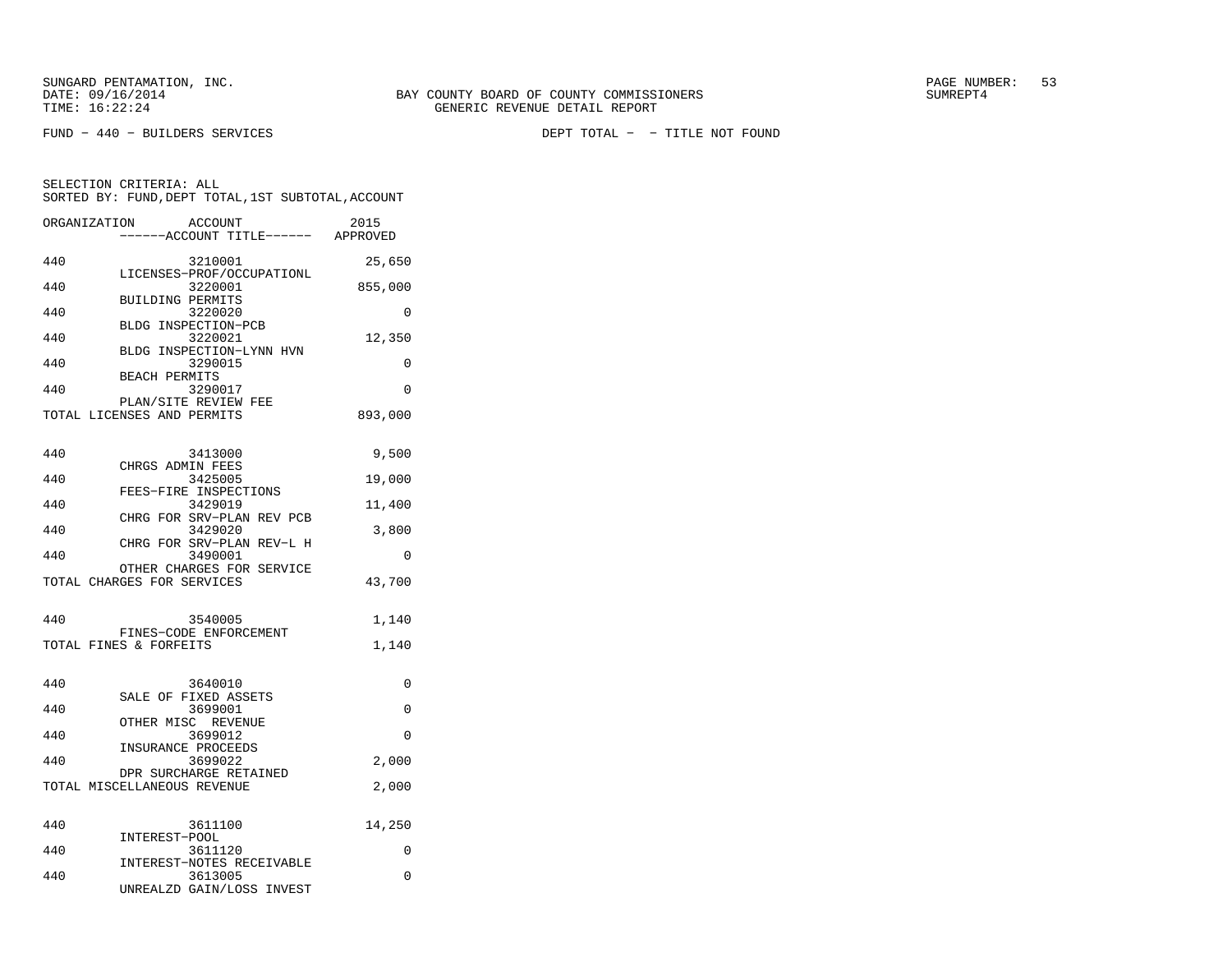SELECTION CRITERIA: ALL

FUND − 440 − BUILDERS SERVICES DEPT TOTAL − − TITLE NOT FOUND

 −−−−−−ACCOUNT TITLE−−−−−− APPROVED440 3210001 25,650 LICENSES−PROF/OCCUPATIONL440 3220001 855,000 BUILDING PERMITS 440 3220020 0 BLDG INSPECTION−PCB440 3220021 12,350 BLDG INSPECTION−LYNN HVN440 3290015 0 BEACH PERMITS 440 3290017 0 PLAN/SITE REVIEW FEETOTAL LICENSES AND PERMITS 893,000

 SORTED BY: FUND,DEPT TOTAL,1ST SUBTOTAL,ACCOUNTORGANIZATION ACCOUNT 2015

| 440        | 3413000                                                 | 9,500         |
|------------|---------------------------------------------------------|---------------|
| 440        | CHRGS ADMIN FEES<br>3425005                             | 19,000        |
| 440        | FEES-FIRE INSPECTIONS<br>3429019                        | 11,400        |
| 440        | CHRG FOR SRV-PLAN REV PCB<br>3429020                    | 3,800         |
| 440        | CHRG FOR SRV-PLAN REV-L H<br>3490001                    | $\Omega$      |
|            | OTHER CHARGES FOR SERVICE<br>TOTAL CHARGES FOR SERVICES | 43,700        |
|            |                                                         |               |
| 440        | 3540005<br>FINES-CODE ENFORCEMENT                       | 1,140         |
|            | TOTAL FINES & FORFEITS                                  | 1,140         |
|            |                                                         |               |
| 440        | 3640010                                                 | 0             |
| 440        | SALE OF FIXED ASSETS<br>3699001                         | $\Omega$      |
| 440        | OTHER MISC REVENUE<br>3699012                           | $\Omega$      |
|            | INSURANCE PROCEEDS                                      |               |
| 440        | 3699022<br>DPR SURCHARGE RETAINED                       | 2,000         |
|            | TOTAL MISCELLANEOUS REVENUE                             | 2,000         |
| 440        | 3611100                                                 | 14,250        |
|            | INTEREST-POOL                                           |               |
| 440<br>440 | 3611120<br>INTEREST-NOTES RECEIVABLE<br>3613005         | 0<br>$\Omega$ |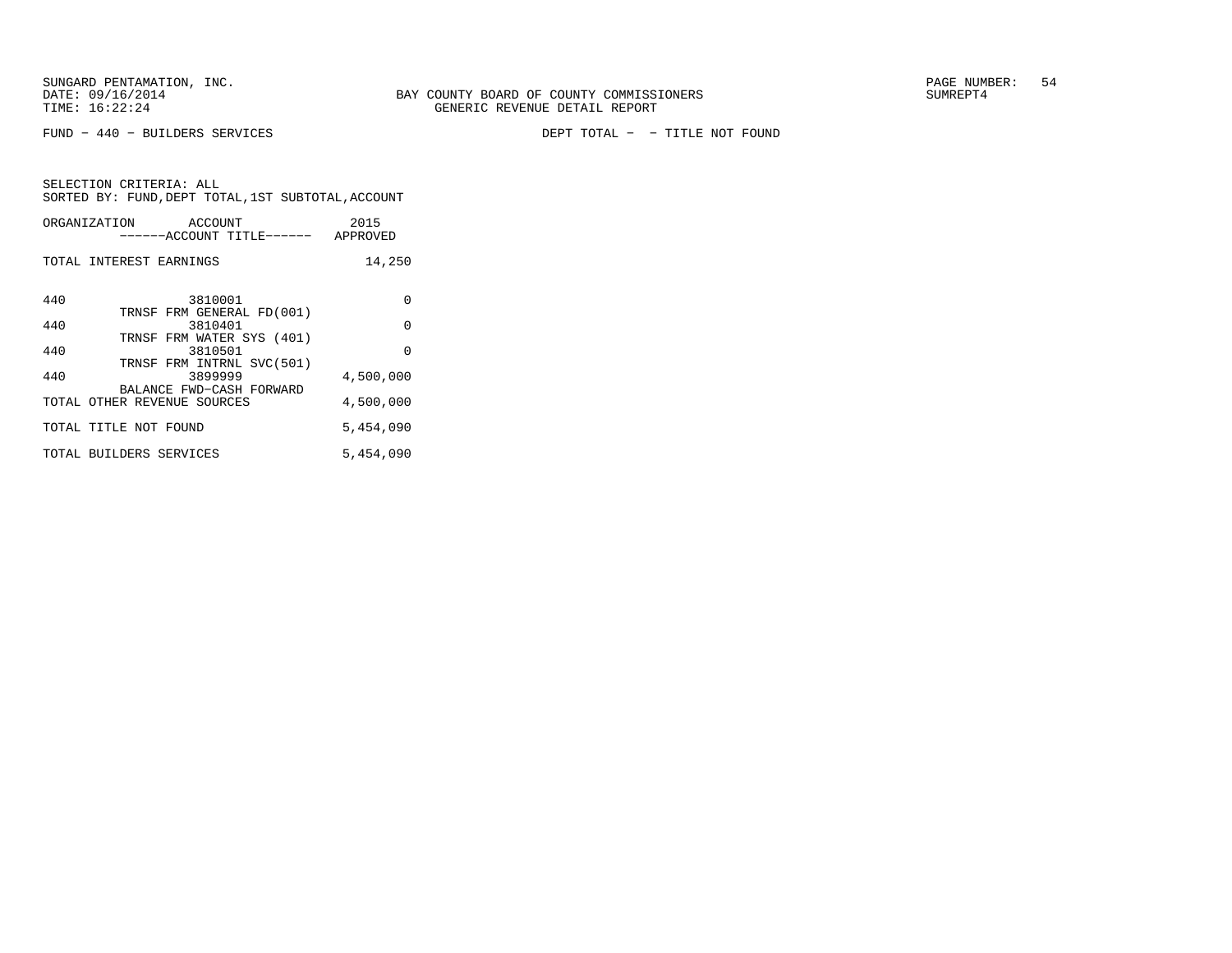FUND − 440 − BUILDERS SERVICES DEPT TOTAL − − TITLE NOT FOUND

| ORGANIZATION | ACCOUNT<br>------ACCOUNT TITLE------                              | 2015<br>APPROVED |
|--------------|-------------------------------------------------------------------|------------------|
|              | TOTAL INTEREST EARNINGS                                           | 14,250           |
| 440          | 3810001<br>TRNSF FRM GENERAL FD(001)                              | $\Omega$         |
| 440          | 3810401                                                           | $\Omega$         |
| 440          | TRNSF FRM WATER SYS (401)<br>3810501<br>TRNSF FRM INTRNL SVC(501) | $\Omega$         |
| 440          | 3899999                                                           | 4,500,000        |
|              | BALANCE FWD-CASH FORWARD<br>TOTAL OTHER REVENUE SOURCES           | 4,500,000        |
|              | TOTAL TITLE NOT FOUND                                             | 5,454,090        |
|              | TOTAL BUILDERS SERVICES                                           | 5,454,090        |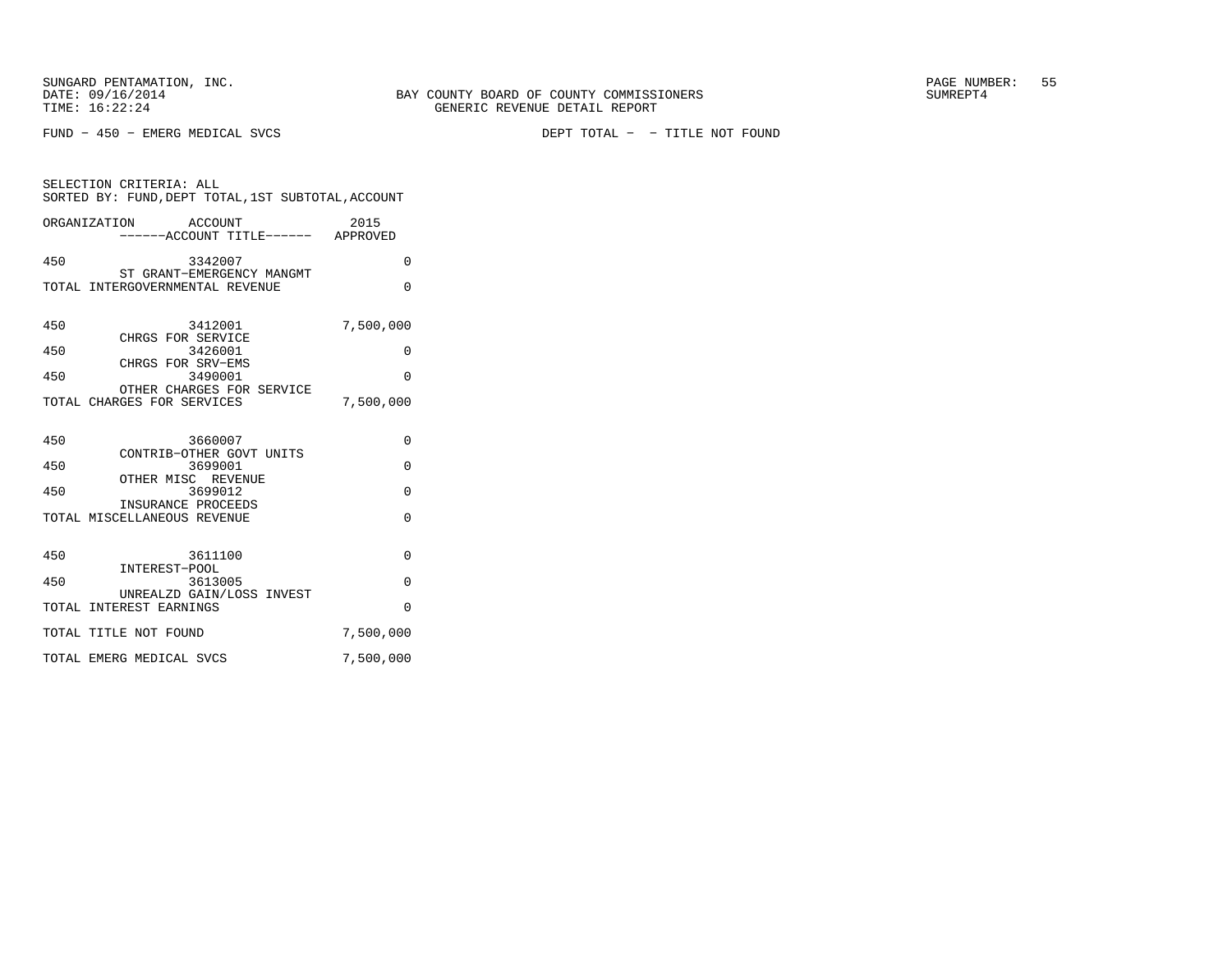FUND − 450 − EMERG MEDICAL SVCS DEPT TOTAL − − TITLE NOT FOUND

| SELECTION CRITERIA: ALL<br>SORTED BY: FUND, DEPT TOTAL, 1ST SUBTOTAL, ACCOUNT                                                                             |                                              |  |  |
|-----------------------------------------------------------------------------------------------------------------------------------------------------------|----------------------------------------------|--|--|
| ORGANIZATION ACCOUNT<br>------ACCOUNT TITLE------ APPROVED                                                                                                | 2015                                         |  |  |
| 450<br>3342007<br>ST GRANT-EMERGENCY MANGMT<br>TOTAL INTERGOVERNMENTAL REVENUE                                                                            | $\Omega$<br>$\Omega$                         |  |  |
| 450<br>3412001<br>CHRGS FOR SERVICE<br>450<br>3426001<br>CHRGS FOR SRV-EMS<br>450<br>3490001<br>OTHER CHARGES FOR SERVICE<br>TOTAL CHARGES FOR SERVICES   | 7,500,000<br>0<br>$\Omega$<br>7,500,000      |  |  |
| 3660007<br>450<br>CONTRIB-OTHER GOVT UNITS<br>3699001<br>450<br>OTHER MISC REVENUE<br>450<br>3699012<br>INSURANCE PROCEEDS<br>TOTAL MISCELLANEOUS REVENUE | $\Omega$<br>$\Omega$<br>$\Omega$<br>$\Omega$ |  |  |
| 450<br>3611100<br>INTEREST-POOL<br>450<br>3613005<br>UNREALZD GAIN/LOSS INVEST<br>TOTAL INTEREST EARNINGS<br>TOTAL TITLE NOT FOUND                        | 0<br>$\Omega$<br>$\Omega$<br>7,500,000       |  |  |
| TOTAL EMERG MEDICAL SVCS                                                                                                                                  | 7,500,000                                    |  |  |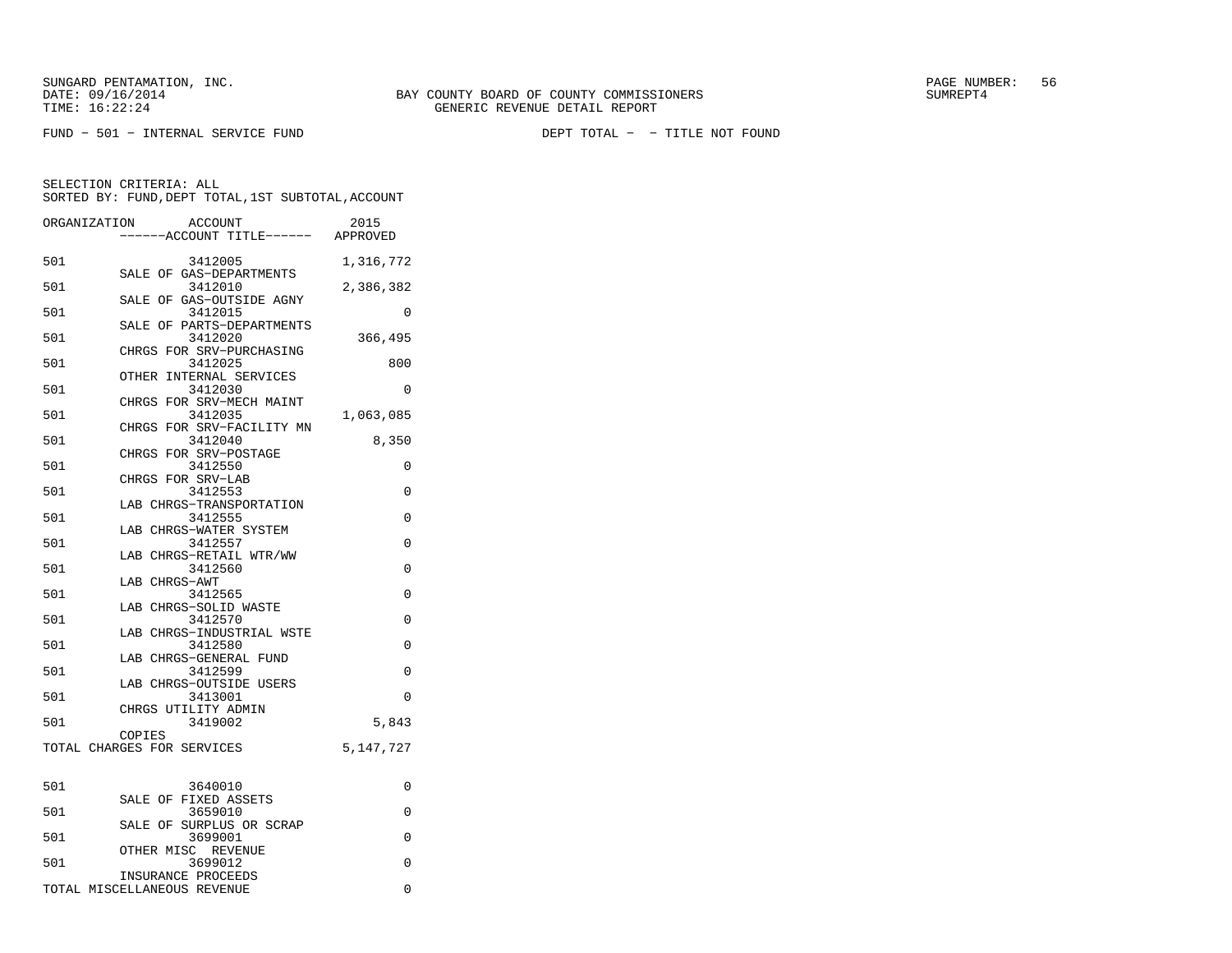FUND − 501 − INTERNAL SERVICE FUND DEPT TOTAL − − TITLE NOT FOUND

|     | ORGANIZATION<br><b>ACCOUNT</b><br>---ACCOUNT TITLE------ APPROVED | 2015      |
|-----|-------------------------------------------------------------------|-----------|
| 501 | 3412005                                                           | 1,316,772 |
| 501 | SALE OF GAS-DEPARTMENTS<br>3412010                                | 2,386,382 |
| 501 | SALE OF GAS-OUTSIDE AGNY<br>3412015                               | 0         |
| 501 | PARTS-DEPARTMENTS<br>SALE OF<br>3412020                           | 366,495   |
| 501 | CHRGS FOR SRV-PURCHASING<br>3412025                               | 800       |
| 501 | OTHER INTERNAL SERVICES<br>3412030                                | 0         |
| 501 | CHRGS FOR SRV-MECH MAINT<br>3412035                               | 1,063,085 |
| 501 | CHRGS FOR SRV-FACILITY MN<br>3412040                              | 8,350     |
| 501 | CHRGS<br>FOR SRV-POSTAGE<br>3412550                               | 0         |
| 501 | CHRGS FOR SRV-LAB<br>3412553                                      | 0         |
| 501 | LAB CHRGS-TRANSPORTATION<br>3412555                               | 0         |
| 501 | LAB CHRGS-WATER SYSTEM<br>3412557                                 | 0         |
|     | LAB CHRGS-RETAIL WTR/WW                                           |           |
| 501 | 3412560<br>LAB CHRGS-AWT                                          | 0         |
| 501 | 3412565<br>LAB CHRGS-SOLID WASTE                                  | 0         |
| 501 | 3412570<br>LAB CHRGS-INDUSTRIAL WSTE                              | $\Omega$  |
| 501 | 3412580<br>LAB CHRGS-GENERAL FUND                                 | 0         |
| 501 | 3412599<br>LAB CHRGS-OUTSIDE USERS                                | 0         |
| 501 | 3413001<br>CHRGS UTILITY ADMIN                                    | 0         |
| 501 | 3419002<br>COPIES                                                 | 5,843     |
|     | TOTAL CHARGES FOR SERVICES                                        | 5,147,727 |
| 501 | 3640010                                                           | 0         |
| 501 | SALE OF FIXED ASSETS<br>3659010                                   | 0         |
| 501 | SALE OF SURPLUS OR SCRAP<br>3699001                               | 0         |
| 501 | OTHER MISC REVENUE<br>3699012                                     | 0         |
|     | INSURANCE PROCEEDS<br>TOTAL MISCELLANEOUS REVENUE                 | $\Omega$  |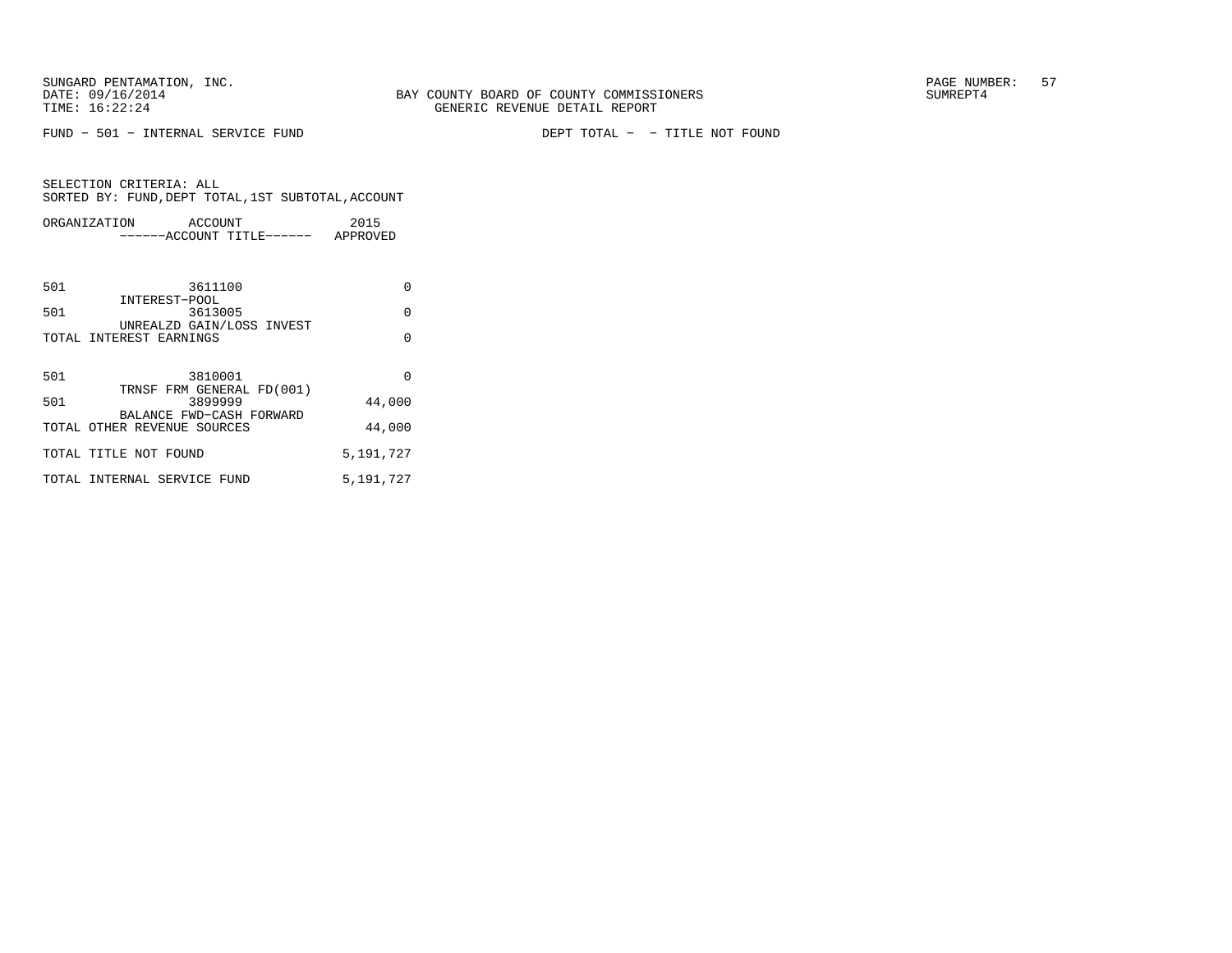FUND − 501 − INTERNAL SERVICE FUND DEPT TOTAL − − TITLE NOT FOUND

|     | ORGANIZATION<br>ACCOUNT<br>------ACCOUNT TITLE------ APPROVED | 2015      |
|-----|---------------------------------------------------------------|-----------|
|     |                                                               |           |
| 501 | 3611100<br>INTEREST-POOL                                      | $\Omega$  |
| 501 | 3613005<br>UNREALZD GAIN/LOSS INVEST                          | $\Omega$  |
|     | TOTAL INTEREST EARNINGS                                       | $\Omega$  |
|     |                                                               |           |
| 501 | 3810001<br>TRNSF FRM GENERAL FD(001)                          | $\Omega$  |
| 501 | 3899999<br>BALANCE FWD-CASH FORWARD                           | 44,000    |
|     | TOTAL OTHER REVENUE SOURCES                                   | 44,000    |
|     | TOTAL TITLE NOT FOUND                                         | 5,191,727 |
|     | TOTAL INTERNAL SERVICE FUND                                   | 5,191,727 |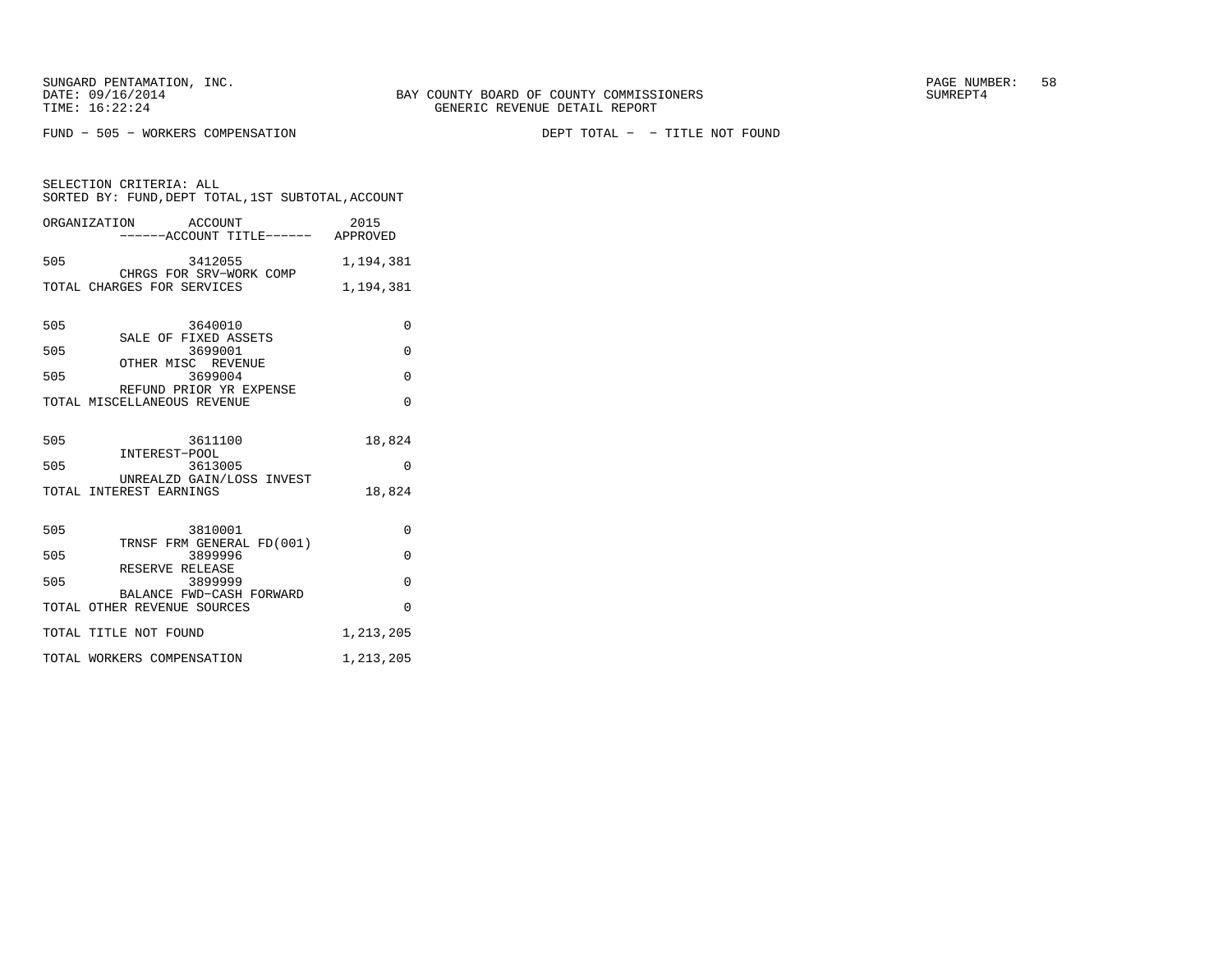FUND − 505 − WORKERS COMPENSATION DEPT TOTAL − − TITLE NOT FOUND

SELECTION CRITERIA: ALL SORTED BY: FUND,DEPT TOTAL,1ST SUBTOTAL,ACCOUNTORGANIZATION ACCOUNT 2015

|     | UNUMILLATI LUN<br>------ACCOUNT TITLE------ APPROVED   |           |
|-----|--------------------------------------------------------|-----------|
| 505 | 3412055                                                | 1,194,381 |
|     | CHRGS FOR SRV-WORK COMP<br>TOTAL CHARGES FOR SERVICES  | 1,194,381 |
| 505 | 3640010                                                | $\Omega$  |
| 505 | SALE OF FIXED ASSETS<br>3699001                        | $\Omega$  |
| 505 | OTHER MISC REVENUE<br>3699004                          | $\Omega$  |
|     | REFUND PRIOR YR EXPENSE<br>TOTAL MISCELLANEOUS REVENUE | $\Omega$  |
| 505 | 3611100<br>INTEREST-POOL                               | 18,824    |
| 505 | 3613005<br>UNREALZD GAIN/LOSS INVEST                   | $\Omega$  |
|     | TOTAL INTEREST EARNINGS                                | 18,824    |
| 505 | 3810001<br>TRNSF FRM GENERAL FD(001)                   | 0         |
| 505 | 3899996<br>RESERVE RELEASE                             | $\Omega$  |
| 505 | 3899999<br>BALANCE FWD-CASH FORWARD                    | $\Omega$  |
|     | TOTAL OTHER REVENUE SOURCES                            | $\Omega$  |
|     | TOTAL TITLE NOT FOUND                                  | 1,213,205 |
|     | TOTAL WORKERS COMPENSATION                             | 1,213,205 |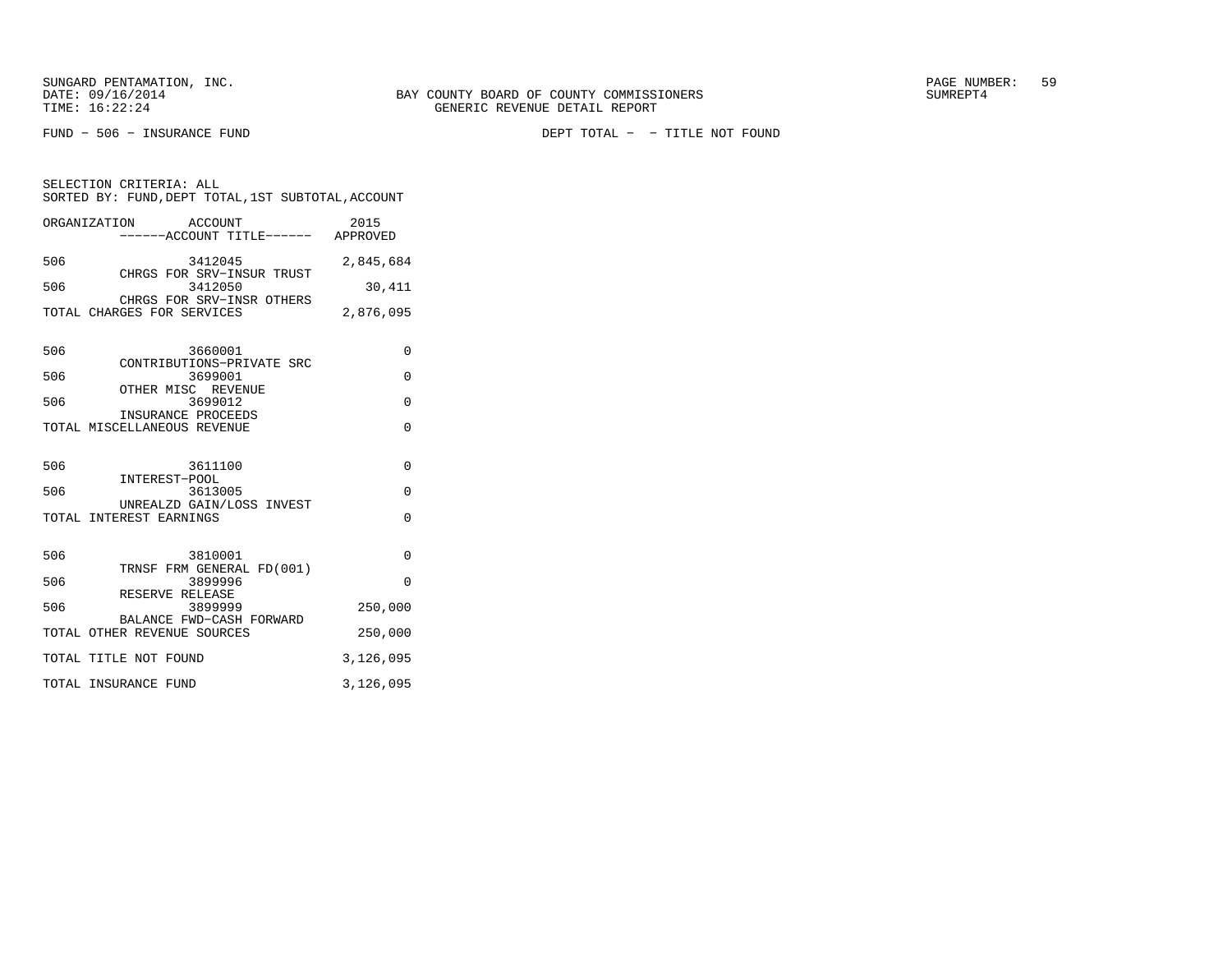SUNGARD PENTAMATION, INC. THE SUNGARD PAGE NUMBER: 59

SELECTION CRITERIA: ALL

FUND − 506 − INSURANCE FUND DEPT TOTAL − − TITLE NOT FOUND

ORGANIZATION ACCOUNT 2015 −−−−−−ACCOUNT TITLE−−−−−− APPROVED506 3412045 2,845,684 CHRGS FOR SRV−INSUR TRUST 506 3412050 30,411 CHRGS FOR SRV−INSR OTHERS TOTAL CHARGES FOR SERVICES 2,876,095 506 3660001 0 CONTRIBUTIONS−PRIVATE SRC506 3699001 0 OTHER MISC REVENUE506 3699012 0 INSURANCE PROCEEDS TOTAL MISCELLANEOUS REVENUE 0 506 3611100 0 INTEREST−POOL 506 3613005 0 UNREALZD GAIN/LOSS INVESTTOTAL INTEREST EARNINGS 0 506 3810001 0 TRNSF FRM GENERAL FD(001)506 3899996 0 RESERVE RELEASE3899999 506 3899999 250,000 BALANCE FWD−CASH FORWARDTOTAL OTHER REVENUE SOURCES 250,000

SORTED BY: FUND,DEPT TOTAL,1ST SUBTOTAL,ACCOUNT

| TOTAL TITLE NOT FOUND | 3,126,095 |
|-----------------------|-----------|
| TOTAL INSURANCE FUND  | 3,126,095 |

## DATE:  $09/16/2014$  SUMREPT4